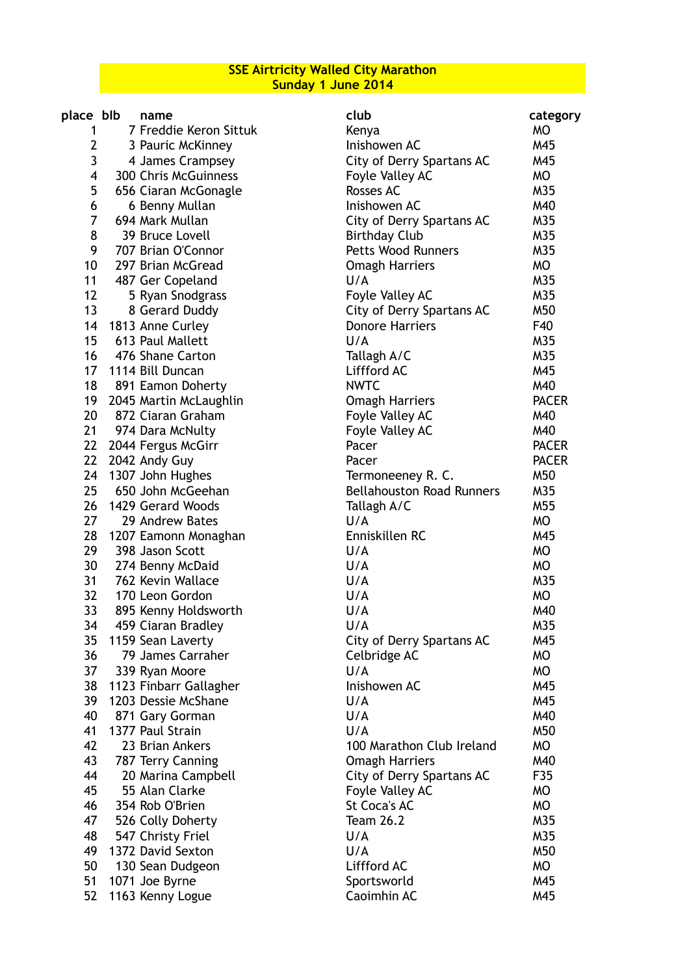**SSE Airtricity Walled City Marathon Sunday 1 June 2014**

| place blb       | name                    | club                             | category     |
|-----------------|-------------------------|----------------------------------|--------------|
| 1               | 7 Freddie Keron Sittuk  | Kenya                            | <b>MO</b>    |
| 2               | 3 Pauric McKinney       | Inishowen AC                     | M45          |
| 3               | 4 James Crampsey        | City of Derry Spartans AC        | M45          |
| 4               | 300 Chris McGuinness    | Foyle Valley AC                  | MO           |
| 5               | 656 Ciaran McGonagle    | Rosses AC                        | M35          |
| 6               | 6 Benny Mullan          | Inishowen AC                     | M40          |
| 7               | 694 Mark Mullan         | City of Derry Spartans AC        | M35          |
| 8               | 39 Bruce Lovell         | <b>Birthday Club</b>             | M35          |
| 9               | 707 Brian O'Connor      | <b>Petts Wood Runners</b>        | M35          |
| 10              | 297 Brian McGread       | <b>Omagh Harriers</b>            | MO           |
| 11              | 487 Ger Copeland        | U/A                              | M35          |
| 12              | 5 Ryan Snodgrass        | Foyle Valley AC                  | M35          |
| 13              | 8 Gerard Duddy          | City of Derry Spartans AC        | M50          |
|                 | 14 1813 Anne Curley     | <b>Donore Harriers</b>           | F40          |
| 15 <sub>1</sub> | 613 Paul Mallett        | U/A                              | M35          |
| 16 <sup>1</sup> | 476 Shane Carton        | Tallagh A/C                      | M35          |
|                 | 17 1114 Bill Duncan     | Liffford AC                      | M45          |
| 18              | 891 Eamon Doherty       | <b>NWTC</b>                      | M40          |
| 19              | 2045 Martin McLaughlin  | <b>Omagh Harriers</b>            | <b>PACER</b> |
| 20              | 872 Ciaran Graham       | Foyle Valley AC                  | M40          |
|                 | 21 974 Dara McNulty     | Foyle Valley AC                  | M40          |
|                 | 22 2044 Fergus McGirr   | Pacer                            | <b>PACER</b> |
| 22              | 2042 Andy Guy           | Pacer                            | <b>PACER</b> |
|                 | 24 1307 John Hughes     | Termoneeney R. C.                | M50          |
| 25 <sub>1</sub> | 650 John McGeehan       | <b>Bellahouston Road Runners</b> | M35          |
| 26              | 1429 Gerard Woods       | Tallagh A/C                      | M55          |
| 27              | 29 Andrew Bates         | U/A                              | <b>MO</b>    |
|                 | 28 1207 Eamonn Monaghan | Enniskillen RC                   | M45          |
| 29              | 398 Jason Scott         | U/A                              | <b>MO</b>    |
| 30              | 274 Benny McDaid        | U/A                              | <b>MO</b>    |
| 31              | 762 Kevin Wallace       | U/A                              | M35          |
| 32              | 170 Leon Gordon         | U/A                              | MO           |
| 33              | 895 Kenny Holdsworth    | U/A                              | M40          |
| 34              | 459 Ciaran Bradley      | U/A                              | M35          |
| 35              | 1159 Sean Laverty       | <b>City of Derry Spartans AC</b> | M45          |
| 36              | 79 James Carraher       | Celbridge AC                     | <b>MO</b>    |
| 37              | 339 Ryan Moore          | U/A                              | MO           |
| 38              | 1123 Finbarr Gallagher  | Inishowen AC                     | M45          |
| 39              | 1203 Dessie McShane     | U/A                              | M45          |
| 40              | 871 Gary Gorman         | U/A                              | M40          |
| 41              | 1377 Paul Strain        | U/A                              | M50          |
| 42              | 23 Brian Ankers         | 100 Marathon Club Ireland        | MO           |
| 43              | 787 Terry Canning       | <b>Omagh Harriers</b>            | M40          |
| 44              | 20 Marina Campbell      | City of Derry Spartans AC        | F35          |
| 45              | 55 Alan Clarke          | Foyle Valley AC                  | MO           |
| 46              | 354 Rob O'Brien         | <b>St Coca's AC</b>              | <b>MO</b>    |
| 47              | 526 Colly Doherty       | <b>Team 26.2</b>                 | M35          |
| 48              | 547 Christy Friel       | U/A                              | M35          |
| 49              | 1372 David Sexton       | U/A                              | M50          |
| 50              | 130 Sean Dudgeon        | Liffford AC                      | MO           |
| 51              | 1071 Joe Byrne          | Sportsworld                      | M45          |
| 52              | 1163 Kenny Logue        | Caoimhin AC                      | M45          |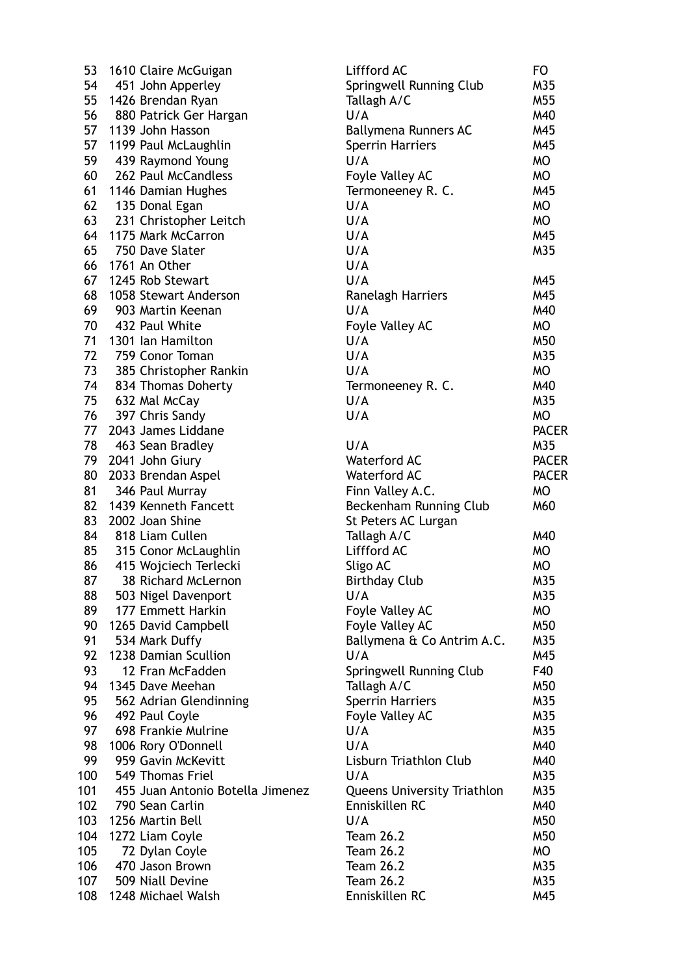| 53  | 1610 Claire McGuigan             | Liffford AC                        | FO           |
|-----|----------------------------------|------------------------------------|--------------|
| 54  | 451 John Apperley                | Springwell Running Club            | M35          |
| 55  | 1426 Brendan Ryan                | Tallagh A/C                        | M55          |
| 56  | 880 Patrick Ger Hargan           | U/A                                | M40          |
| 57  | 1139 John Hasson                 | Ballymena Runners AC               | M45          |
| 57  | 1199 Paul McLaughlin             | <b>Sperrin Harriers</b>            | M45          |
| 59  | 439 Raymond Young                | U/A                                | MO           |
| 60  | 262 Paul McCandless              | Foyle Valley AC                    | MO           |
| 61  | 1146 Damian Hughes               | Termoneeney R. C.                  | M45          |
| 62  | 135 Donal Egan                   | U/A                                | <b>MO</b>    |
| 63  | 231 Christopher Leitch           | U/A                                | <b>MO</b>    |
| 64  | 1175 Mark McCarron               | U/A                                | M45          |
| 65  | 750 Dave Slater                  | U/A                                | M35          |
| 66  | 1761 An Other                    | U/A                                |              |
| 67  | 1245 Rob Stewart                 | U/A                                | M45          |
| 68  | 1058 Stewart Anderson            | Ranelagh Harriers                  | M45          |
| 69  | 903 Martin Keenan                | U/A                                | M40          |
| 70  | 432 Paul White                   | Foyle Valley AC                    | MO           |
| 71  | 1301 Ian Hamilton                | U/A                                | M50          |
| 72  | 759 Conor Toman                  | U/A                                | M35          |
| 73  | 385 Christopher Rankin           | U/A                                | MO           |
| 74  | 834 Thomas Doherty               | Termoneeney R. C.                  | M40          |
| 75  | 632 Mal McCay                    | U/A                                | M35          |
| 76  | 397 Chris Sandy                  | U/A                                | <b>MO</b>    |
| 77  | 2043 James Liddane               |                                    | <b>PACER</b> |
| 78  | 463 Sean Bradley                 | U/A                                | M35          |
| 79  | 2041 John Giury                  | <b>Waterford AC</b>                | <b>PACER</b> |
| 80  | 2033 Brendan Aspel               | <b>Waterford AC</b>                | <b>PACER</b> |
| 81  | 346 Paul Murray                  | Finn Valley A.C.                   | <b>MO</b>    |
| 82  | 1439 Kenneth Fancett             | Beckenham Running Club             | M60          |
| 83  | 2002 Joan Shine                  | St Peters AC Lurgan                |              |
| 84  | 818 Liam Cullen                  | Tallagh A/C                        | M40          |
| 85  | 315 Conor McLaughlin             | Liffford AC                        | MO           |
| 86  | 415 Wojciech Terlecki            | Sligo AC                           | <b>MO</b>    |
| 87  | 38 Richard McLernon              | <b>Birthday Club</b>               | M35          |
| 88  | 503 Nigel Davenport              | U/A                                | M35          |
| 89  | 177 Emmett Harkin                | Foyle Valley AC                    | MO           |
| 90  | 1265 David Campbell              | Foyle Valley AC                    | M50          |
| 91  | 534 Mark Duffy                   | Ballymena & Co Antrim A.C.         | M35          |
| 92  | 1238 Damian Scullion             | U/A                                | M45          |
| 93  | 12 Fran McFadden                 | Springwell Running Club            | F40          |
| 94  | 1345 Dave Meehan                 | Tallagh A/C                        | M50          |
| 95  | 562 Adrian Glendinning           | <b>Sperrin Harriers</b>            | M35          |
| 96  | 492 Paul Coyle                   | Foyle Valley AC                    | M35          |
| 97  | 698 Frankie Mulrine              | U/A                                | M35          |
| 98  | 1006 Rory O'Donnell              | U/A                                | M40          |
| 99  | 959 Gavin McKevitt               | Lisburn Triathlon Club             | M40          |
| 100 | 549 Thomas Friel                 | U/A                                | M35          |
| 101 | 455 Juan Antonio Botella Jimenez | <b>Queens University Triathlon</b> | M35          |
| 102 | 790 Sean Carlin                  | Enniskillen RC                     | M40          |
| 103 | 1256 Martin Bell                 | U/A                                | M50          |
| 104 | 1272 Liam Coyle                  | <b>Team 26.2</b>                   | M50          |
| 105 | 72 Dylan Coyle                   | <b>Team 26.2</b>                   | MO           |
| 106 | 470 Jason Brown                  | <b>Team 26.2</b>                   | M35          |
| 107 | 509 Niall Devine                 | <b>Team 26.2</b>                   | M35          |
| 108 | 1248 Michael Walsh               | Enniskillen RC                     | M45          |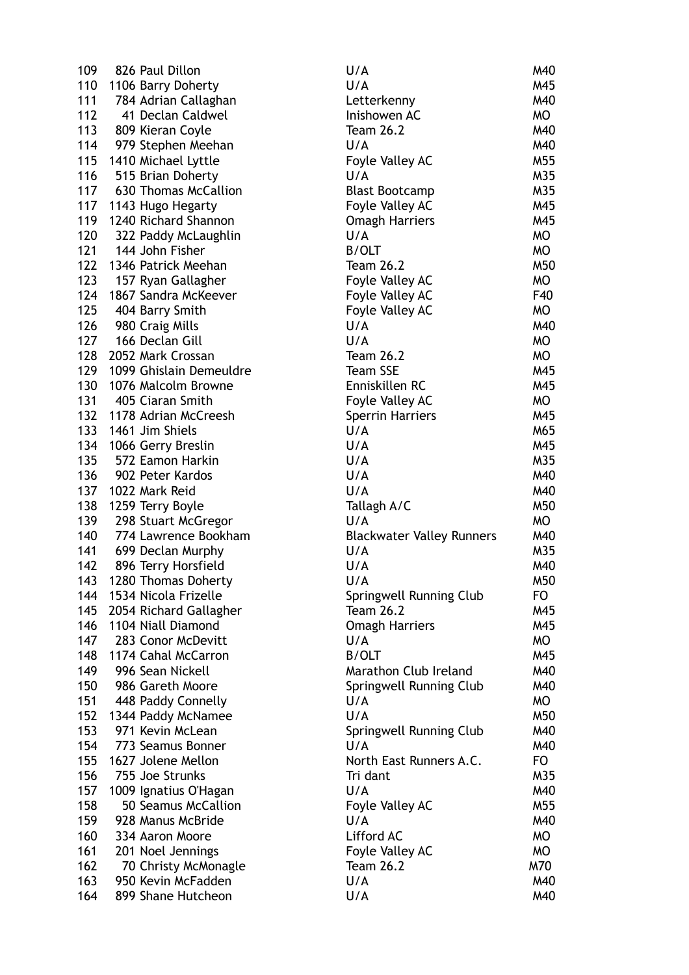| 109 | 826 Paul Dillon         | U/A                              | M40 |
|-----|-------------------------|----------------------------------|-----|
| 110 | 1106 Barry Doherty      | U/A                              | M45 |
| 111 | 784 Adrian Callaghan    | Letterkenny                      | M40 |
| 112 | 41 Declan Caldwel       | Inishowen AC                     | MO  |
| 113 | 809 Kieran Coyle        | <b>Team 26.2</b>                 | M40 |
| 114 | 979 Stephen Meehan      | U/A                              | M40 |
| 115 | 1410 Michael Lyttle     | Foyle Valley AC                  | M55 |
| 116 | 515 Brian Doherty       | U/A                              | M35 |
| 117 | 630 Thomas McCallion    | <b>Blast Bootcamp</b>            | M35 |
| 117 | 1143 Hugo Hegarty       | Foyle Valley AC                  | M45 |
| 119 | 1240 Richard Shannon    | <b>Omagh Harriers</b>            | M45 |
| 120 | 322 Paddy McLaughlin    | U/A                              | MO  |
| 121 | 144 John Fisher         | <b>B/OLT</b>                     | MO  |
| 122 | 1346 Patrick Meehan     | <b>Team 26.2</b>                 | M50 |
| 123 | 157 Ryan Gallagher      | Foyle Valley AC                  | MO  |
| 124 | 1867 Sandra McKeever    | Foyle Valley AC                  | F40 |
| 125 | 404 Barry Smith         | Foyle Valley AC                  | MO  |
| 126 | 980 Craig Mills         | U/A                              | M40 |
| 127 | 166 Declan Gill         | U/A                              | MO  |
| 128 | 2052 Mark Crossan       | <b>Team 26.2</b>                 | MO  |
| 129 | 1099 Ghislain Demeuldre | <b>Team SSE</b>                  | M45 |
| 130 | 1076 Malcolm Browne     | Enniskillen RC                   | M45 |
| 131 | 405 Ciaran Smith        | Foyle Valley AC                  | MO  |
| 132 | 1178 Adrian McCreesh    | <b>Sperrin Harriers</b>          | M45 |
| 133 | 1461 Jim Shiels         | U/A                              | M65 |
| 134 | 1066 Gerry Breslin      | U/A                              | M45 |
| 135 | 572 Eamon Harkin        | U/A                              | M35 |
| 136 | 902 Peter Kardos        | U/A                              | M40 |
| 137 | 1022 Mark Reid          | U/A                              | M40 |
| 138 | 1259 Terry Boyle        | Tallagh A/C                      | M50 |
| 139 | 298 Stuart McGregor     | U/A                              | MO  |
| 140 | 774 Lawrence Bookham    | <b>Blackwater Valley Runners</b> | M40 |
| 141 | 699 Declan Murphy       | U/A                              | M35 |
| 142 | 896 Terry Horsfield     | U/A                              | M40 |
| 143 | 1280 Thomas Doherty     | U/A                              | M50 |
| 144 | 1534 Nicola Frizelle    | Springwell Running Club          | FO. |
| 145 | 2054 Richard Gallagher  | <b>Team 26.2</b>                 | M45 |
| 146 | 1104 Niall Diamond      | <b>Omagh Harriers</b>            | M45 |
| 147 | 283 Conor McDevitt      | U/A                              | MO  |
| 148 | 1174 Cahal McCarron     | <b>B/OLT</b>                     | M45 |
| 149 | 996 Sean Nickell        | Marathon Club Ireland            | M40 |
| 150 | 986 Gareth Moore        | Springwell Running Club          | M40 |
| 151 | 448 Paddy Connelly      | U/A                              | MO  |
| 152 | 1344 Paddy McNamee      | U/A                              | M50 |
| 153 | 971 Kevin McLean        | Springwell Running Club          | M40 |
| 154 | 773 Seamus Bonner       | U/A                              | M40 |
| 155 | 1627 Jolene Mellon      | North East Runners A.C.          | FO  |
| 156 | 755 Joe Strunks         | Tri dant                         | M35 |
| 157 | 1009 Ignatius O'Hagan   | U/A                              | M40 |
| 158 | 50 Seamus McCallion     | Foyle Valley AC                  | M55 |
| 159 | 928 Manus McBride       | U/A                              | M40 |
| 160 | 334 Aaron Moore         | Lifford AC                       | MO  |
| 161 | 201 Noel Jennings       | Foyle Valley AC                  | MO  |
| 162 | 70 Christy McMonagle    | <b>Team 26.2</b>                 | M70 |
| 163 | 950 Kevin McFadden      | U/A                              | M40 |
| 164 | 899 Shane Hutcheon      | U/A                              | M40 |
|     |                         |                                  |     |

| U/A                              | M40 |
|----------------------------------|-----|
| U/A                              | M45 |
| Letterkenny                      | M40 |
| Inishowen AC                     | МO  |
| <b>Team 26.2</b>                 | M40 |
| U/A                              | M40 |
| Foyle Valley AC                  | M55 |
| U/A                              | M35 |
| <b>Blast Bootcamp</b>            | M35 |
| Foyle Valley AC                  | M45 |
| <b>Omagh Harriers</b>            | M45 |
| U/A                              | MO  |
| <b>B/OLT</b>                     | МO  |
| <b>Team 26.2</b>                 | M50 |
| Foyle Valley AC                  | МO  |
| Foyle Valley AC                  | F40 |
| Foyle Valley AC                  | МO  |
| U/A                              | M40 |
| U/A                              | МO  |
| <b>Team 26.2</b>                 | МO  |
| <b>Team SSE</b>                  | M45 |
| Enniskillen RC                   | M45 |
| Foyle Valley AC                  | МO  |
| <b>Sperrin Harriers</b>          | M45 |
| U/A                              | M65 |
| U/A                              | M45 |
| U/A                              | M35 |
| U/A                              | M40 |
| U/A                              | M40 |
| Tallagh A/C                      | M50 |
| U/A                              | МO  |
| <b>Blackwater Valley Runners</b> | M40 |
| U/A                              | M35 |
| U/A                              | M40 |
| U / A                            | M50 |
| Springwell Running Club          | FO. |
| <b>Team 26.2</b>                 | M45 |
| <b>Omagh Harriers</b>            | M45 |
| U/A                              | МO  |
| <b>B/OLT</b>                     | M45 |
| Marathon Club Ireland            | M40 |
| Springwell Running Club          | M40 |
| U/A                              | MO  |
| U/A                              | M50 |
| Springwell Running Club          | M40 |
| U/A                              | M40 |
| North East Runners A.C.          | FO  |
| Tri dant                         | M35 |
| U/A                              | M40 |
| Foyle Valley AC                  | M55 |
| U/A                              | M40 |
| Lifford AC                       | МO  |
| Foyle Valley AC                  | МO  |
| <b>Team 26.2</b>                 | M70 |
| U/A                              | M40 |
| U/A                              | M40 |
|                                  |     |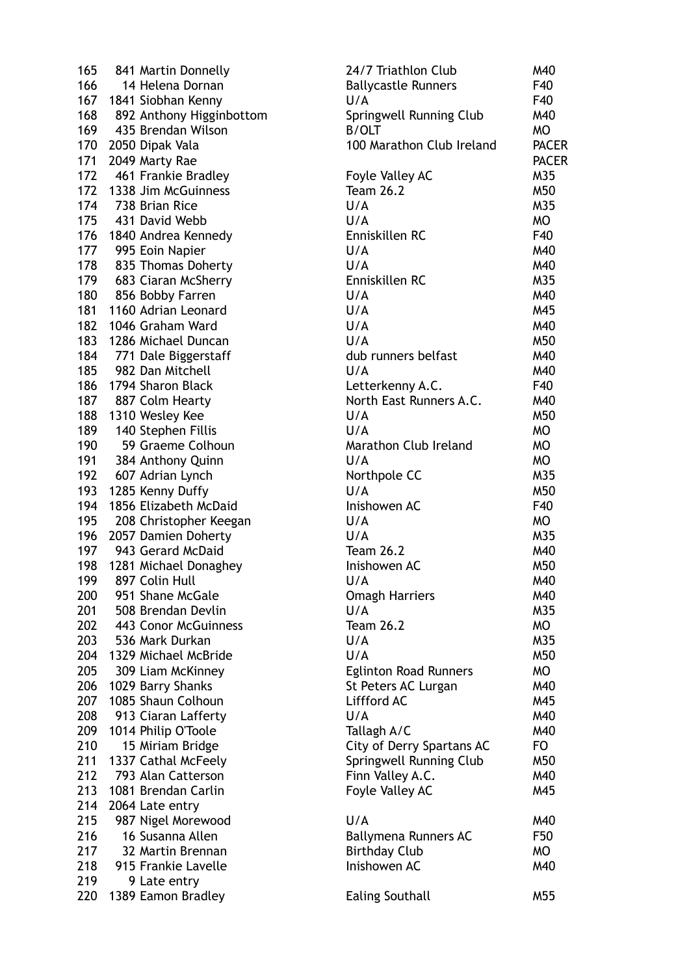| 165 | 841 Martin Donnelly      |
|-----|--------------------------|
| 166 | 14 Helena Dornan         |
| 167 | 1841 Siobhan Kenny       |
| 168 | 892 Anthony Higginbottom |
| 169 | 435 Brendan Wilson       |
| 170 |                          |
|     | 2050 Dipak Vala          |
| 171 | 2049 Marty Rae           |
| 172 | 461 Frankie Bradley      |
| 172 | 1338 Jim McGuinness      |
| 174 | 738 Brian Rice           |
| 175 | 431 David Webb           |
| 176 | 1840 Andrea Kennedy      |
| 177 | 995 Eoin Napier          |
| 178 | 835 Thomas Doherty       |
| 179 | 683 Ciaran McSherry      |
| 180 | 856 Bobby Farren         |
|     |                          |
| 181 | 1160 Adrian Leonard      |
| 182 | 1046 Graham Ward         |
| 183 | 1286 Michael Duncan      |
| 184 | 771 Dale Biggerstaff     |
| 185 | 982 Dan Mitchell         |
| 186 | 1794 Sharon Black        |
| 187 | 887 Colm Hearty          |
| 188 | 1310 Wesley Kee          |
| 189 | 140 Stephen Fillis       |
| 190 | 59 Graeme Colhoun        |
| 191 |                          |
|     | 384 Anthony Quinn        |
| 192 | 607 Adrian Lynch         |
| 193 | 1285 Kenny Duffy         |
| 194 | 1856 Elizabeth McDaid    |
| 195 | 208 Christopher Keegan   |
| 196 | 2057 Damien Doherty      |
| 197 | 943 Gerard McDaid        |
| 198 | 1281 Michael Donaghey    |
| 199 | 897 Colin Hull           |
| 200 | 951 Shane McGale         |
| 201 | 508 Brendan Devlin       |
| 202 | 443 Conor McGuinness     |
| 203 | 536 Mark Durkan          |
|     |                          |
| 204 | 1329 Michael McBride     |
| 205 | 309 Liam McKinney        |
| 206 | 1029 Barry Shanks        |
| 207 | 1085 Shaun Colhoun       |
| 208 | 913 Ciaran Lafferty      |
| 209 | 1014 Philip O'Toole      |
| 210 | 15 Miriam Bridge         |
| 211 | 1337 Cathal McFeely      |
| 212 | 793 Alan Catterson       |
| 213 | 1081 Brendan Carlin      |
| 214 | 2064 Late entry          |
|     |                          |
| 215 | 987 Nigel Morewood       |
| 216 | 16 Susanna Allen         |
| 217 | 32 Martin Brennan        |
| 218 | 915 Frankie Lavelle      |
| 219 | 9 Late entry             |
| 220 | 1389 Eamon Bradley       |
|     |                          |

| 165 | 841 Martin Donnelly      | 24/7 Triathlon Club          | M40          |
|-----|--------------------------|------------------------------|--------------|
| 166 | 14 Helena Dornan         | <b>Ballycastle Runners</b>   | F40          |
| 167 | 1841 Siobhan Kenny       | U/A                          | F40          |
| 168 | 892 Anthony Higginbottom | Springwell Running Club      | M40          |
| 169 | 435 Brendan Wilson       | <b>B/OLT</b>                 | <b>MO</b>    |
| 170 | 2050 Dipak Vala          | 100 Marathon Club Ireland    | <b>PACER</b> |
| 171 | 2049 Marty Rae           |                              | <b>PACER</b> |
| 172 | 461 Frankie Bradley      | Foyle Valley AC              | M35          |
| 172 | 1338 Jim McGuinness      | <b>Team 26.2</b>             | M50          |
| 174 | 738 Brian Rice           | U/A                          | M35          |
| 175 | 431 David Webb           | U/A                          | MO           |
| 176 | 1840 Andrea Kennedy      | Enniskillen RC               | F40          |
| 177 | 995 Eoin Napier          | U/A                          | M40          |
| 178 | 835 Thomas Doherty       | U/A                          | M40          |
| 179 | 683 Ciaran McSherry      | Enniskillen RC               | M35          |
| 180 | 856 Bobby Farren         | U/A                          | M40          |
| 181 | 1160 Adrian Leonard      | U/A                          | M45          |
| 182 | 1046 Graham Ward         | U/A                          | M40          |
| 183 | 1286 Michael Duncan      | U/A                          | M50          |
| 184 | 771 Dale Biggerstaff     | dub runners belfast          | M40          |
| 185 | 982 Dan Mitchell         | U/A                          | M40          |
| 186 | 1794 Sharon Black        | Letterkenny A.C.             | F40          |
| 187 | 887 Colm Hearty          | North East Runners A.C.      | M40          |
| 188 | 1310 Wesley Kee          | U/A                          | M50          |
| 189 | 140 Stephen Fillis       | U/A                          | MO           |
| 190 | 59 Graeme Colhoun        | Marathon Club Ireland        | MO           |
| 191 | 384 Anthony Quinn        | U/A                          | <b>MO</b>    |
| 192 | 607 Adrian Lynch         | Northpole CC                 | M35          |
| 193 | 1285 Kenny Duffy         | U/A                          | M50          |
| 194 | 1856 Elizabeth McDaid    | Inishowen AC                 | F40          |
| 195 | 208 Christopher Keegan   | U/A                          | MO           |
| 196 | 2057 Damien Doherty      | U/A                          | M35          |
| 197 | 943 Gerard McDaid        | <b>Team 26.2</b>             | M40          |
| 198 | 1281 Michael Donaghey    | Inishowen AC                 | M50          |
| 199 | 897 Colin Hull           | U/A                          | M40          |
| 200 | 951 Shane McGale         | <b>Omagh Harriers</b>        | M40          |
| 201 | 508 Brendan Devlin       | U/A                          | M35          |
| 202 | 443 Conor McGuinness     | <b>Team 26.2</b>             | MO           |
| 203 | 536 Mark Durkan          | U/A                          | M35          |
| 204 | 1329 Michael McBride     | U/A                          | M50          |
| 205 | 309 Liam McKinney        | <b>Eglinton Road Runners</b> | MO           |
| 206 | 1029 Barry Shanks        | St Peters AC Lurgan          | M40          |
| 207 | 1085 Shaun Colhoun       | Liffford AC                  | M45          |
| 208 | 913 Ciaran Lafferty      | U/A                          | M40          |
| 209 | 1014 Philip O'Toole      | Tallagh A/C                  | M40          |
| 210 | 15 Miriam Bridge         | City of Derry Spartans AC    | FO           |
| 211 | 1337 Cathal McFeely      | Springwell Running Club      | M50          |
| 212 | 793 Alan Catterson       | Finn Valley A.C.             | M40          |
| 213 | 1081 Brendan Carlin      | Foyle Valley AC              | M45          |
| 214 | 2064 Late entry          |                              |              |
| 215 | 987 Nigel Morewood       | U/A                          | M40          |
| 216 | 16 Susanna Allen         | Ballymena Runners AC         | F50          |
| 217 | 32 Martin Brennan        | <b>Birthday Club</b>         | MO           |
| 218 | 915 Frankie Lavelle      | Inishowen AC                 | M40          |
| 219 | 9 Late entry             |                              |              |
| 220 | 1389 Eamon Bradley       | <b>Ealing Southall</b>       | M55          |
|     |                          |                              |              |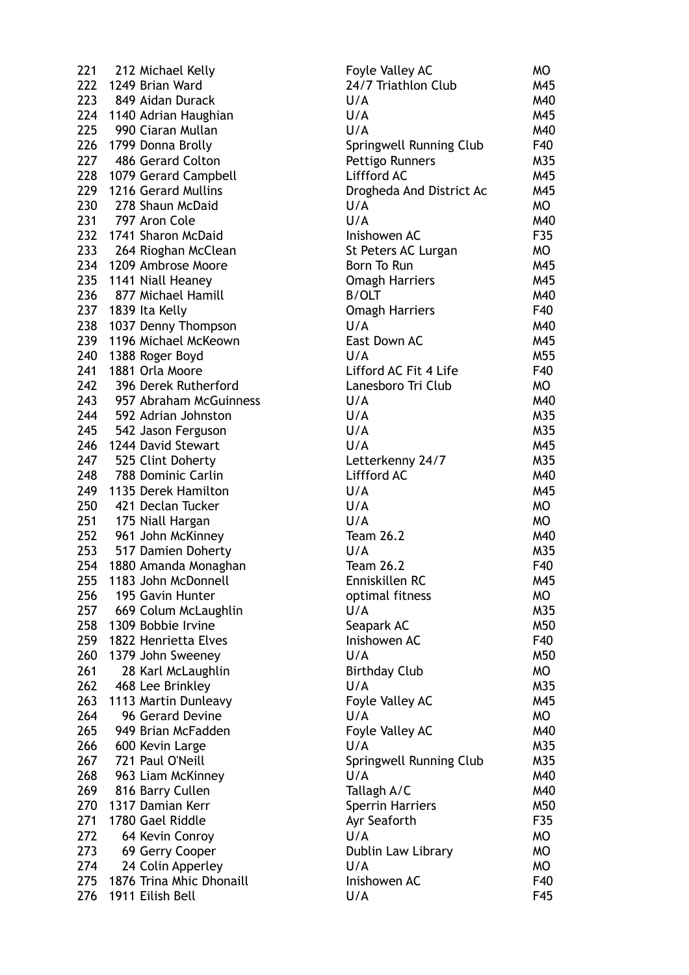| 221 | 212 Michael Kelly        |
|-----|--------------------------|
| 222 | 1249 Brian Ward          |
| 223 | 849 Aidan Durack         |
| 224 | 1140 Adrian Haughian     |
| 225 | 990 Ciaran Mullan        |
| 226 | 1799 Donna Brolly        |
| 227 | 486 Gerard Colton        |
| 228 | 1079 Gerard Campbell     |
| 229 | 1216 Gerard Mullins      |
| 230 | 278 Shaun McDaid         |
| 231 | 797 Aron Cole            |
| 232 | 1741 Sharon McDaid       |
| 233 | 264 Rioghan McClean      |
| 234 | 1209 Ambrose Moore       |
| 235 | 1141 Niall Heaney        |
| 236 |                          |
|     | 877 Michael Hamill       |
|     | 237 1839 Ita Kelly       |
| 238 | 1037 Denny Thompson      |
| 239 | 1196 Michael McKeown     |
| 240 | 1388 Roger Boyd          |
| 241 | 1881 Orla Moore          |
| 242 | 396 Derek Rutherford     |
| 243 | 957 Abraham McGuinness   |
| 244 | 592 Adrian Johnston      |
|     | 245 542 Jason Ferguson   |
| 246 | 1244 David Stewart       |
| 247 | 525 Clint Doherty        |
| 248 | 788 Dominic Carlin       |
| 249 | 1135 Derek Hamilton      |
| 250 | 421 Declan Tucker        |
| 251 | 175 Niall Hargan         |
| 252 | 961 John McKinney        |
|     | 253 517 Damien Doherty   |
|     | 254 1880 Amanda Monaghan |
| 255 | 1183 John McDonnell      |
| 256 | 195 Gavin Hunter         |
| 257 | 669 Colum McLaughlin     |
| 258 | 1309 Bobbie Irvine       |
| 259 | 1822 Henrietta Elves     |
| 260 | 1379 John Sweeney        |
| 261 | 28 Karl McLaughlin       |
| 262 | 468 Lee Brinkley         |
| 263 |                          |
|     | 1113 Martin Dunleavy     |
| 264 | 96 Gerard Devine         |
| 265 | 949 Brian McFadden       |
| 266 | 600 Kevin Large          |
| 267 | 721 Paul O'Neill         |
| 268 | 963 Liam McKinney        |
| 269 | 816 Barry Cullen         |
| 270 | 1317 Damian Kerr         |
| 271 | 1780 Gael Riddle         |
| 272 | 64 Kevin Conroy          |
| 273 | 69 Gerry Cooper          |
| 274 | 24 Colin Apperley        |
| 275 | 1876 Trina Mhic Dhonaill |
| 276 | 1911 Eilish Bell         |
|     |                          |

| 221 | 212 Michael Kelly        | Foyle Valley AC          | MO        |
|-----|--------------------------|--------------------------|-----------|
| 222 | 1249 Brian Ward          | 24/7 Triathlon Club      | M45       |
| 223 | 849 Aidan Durack         | U/A                      | M40       |
| 224 | 1140 Adrian Haughian     | U/A                      | M45       |
| 225 | 990 Ciaran Mullan        | U/A                      | M40       |
| 226 | 1799 Donna Brolly        | Springwell Running Club  | F40       |
| 227 | 486 Gerard Colton        | Pettigo Runners          | M35       |
| 228 | 1079 Gerard Campbell     | Liffford AC              | M45       |
| 229 | 1216 Gerard Mullins      | Drogheda And District Ac | M45       |
| 230 | 278 Shaun McDaid         | U/A                      | MO        |
|     |                          |                          |           |
| 231 | 797 Aron Cole            | U/A                      | M40       |
| 232 | 1741 Sharon McDaid       | Inishowen AC             | F35       |
| 233 | 264 Rioghan McClean      | St Peters AC Lurgan      | MO        |
| 234 | 1209 Ambrose Moore       | Born To Run              | M45       |
| 235 | 1141 Niall Heaney        | <b>Omagh Harriers</b>    | M45       |
| 236 | 877 Michael Hamill       | <b>B/OLT</b>             | M40       |
| 237 | 1839 Ita Kelly           | <b>Omagh Harriers</b>    | F40       |
| 238 | 1037 Denny Thompson      | U/A                      | M40       |
| 239 | 1196 Michael McKeown     | East Down AC             | M45       |
| 240 | 1388 Roger Boyd          | U/A                      | M55       |
| 241 | 1881 Orla Moore          | Lifford AC Fit 4 Life    | F40       |
| 242 | 396 Derek Rutherford     | Lanesboro Tri Club       | MO        |
| 243 | 957 Abraham McGuinness   | U/A                      | M40       |
| 244 | 592 Adrian Johnston      | U/A                      | M35       |
| 245 | 542 Jason Ferguson       | U/A                      | M35       |
| 246 | 1244 David Stewart       | U/A                      | M45       |
| 247 | 525 Clint Doherty        | Letterkenny 24/7         | M35       |
| 248 | 788 Dominic Carlin       | Liffford AC              | M40       |
| 249 | 1135 Derek Hamilton      | U/A                      | M45       |
|     | 421 Declan Tucker        |                          |           |
| 250 |                          | U/A                      | MO        |
| 251 | 175 Niall Hargan         | U/A                      | MO        |
| 252 | 961 John McKinney        | <b>Team 26.2</b>         | M40       |
| 253 | 517 Damien Doherty       | U/A                      | M35       |
| 254 | 1880 Amanda Monaghan     | <b>Team 26.2</b>         | F40       |
| 255 | 1183 John McDonnell      | Enniskillen RC           | M45       |
| 256 | 195 Gavin Hunter         | optimal fitness          | MO        |
| 257 | 669 Colum McLaughlin     | U/A                      | M35       |
| 258 | 1309 Bobbie Irvine       | Seapark AC               | M50       |
| 259 | 1822 Henrietta Elves     | Inishowen AC             | F40       |
| 260 | 1379 John Sweeney        | U/A                      | M50       |
| 261 | 28 Karl McLaughlin       | <b>Birthday Club</b>     | MO        |
| 262 | 468 Lee Brinkley         | U/A                      | M35       |
| 263 | 1113 Martin Dunleavy     | Foyle Valley AC          | M45       |
| 264 | 96 Gerard Devine         | U/A                      | MO        |
| 265 | 949 Brian McFadden       | Foyle Valley AC          | M40       |
| 266 | 600 Kevin Large          | U/A                      | M35       |
| 267 | 721 Paul O'Neill         | Springwell Running Club  | M35       |
| 268 | 963 Liam McKinney        | U/A                      | M40       |
| 269 | 816 Barry Cullen         | Tallagh A/C              | M40       |
| 270 | 1317 Damian Kerr         | <b>Sperrin Harriers</b>  | M50       |
|     |                          |                          |           |
| 271 | 1780 Gael Riddle         | Ayr Seaforth             | F35       |
| 272 | 64 Kevin Conroy          | U/A                      | MO        |
| 273 | 69 Gerry Cooper          | Dublin Law Library       | <b>MO</b> |
| 274 | 24 Colin Apperley        | U/A                      | <b>MO</b> |
| 275 | 1876 Trina Mhic Dhonaill | Inishowen AC             | F40       |
| 276 | 1911 Eilish Bell         | U/A                      | F45       |
|     |                          |                          |           |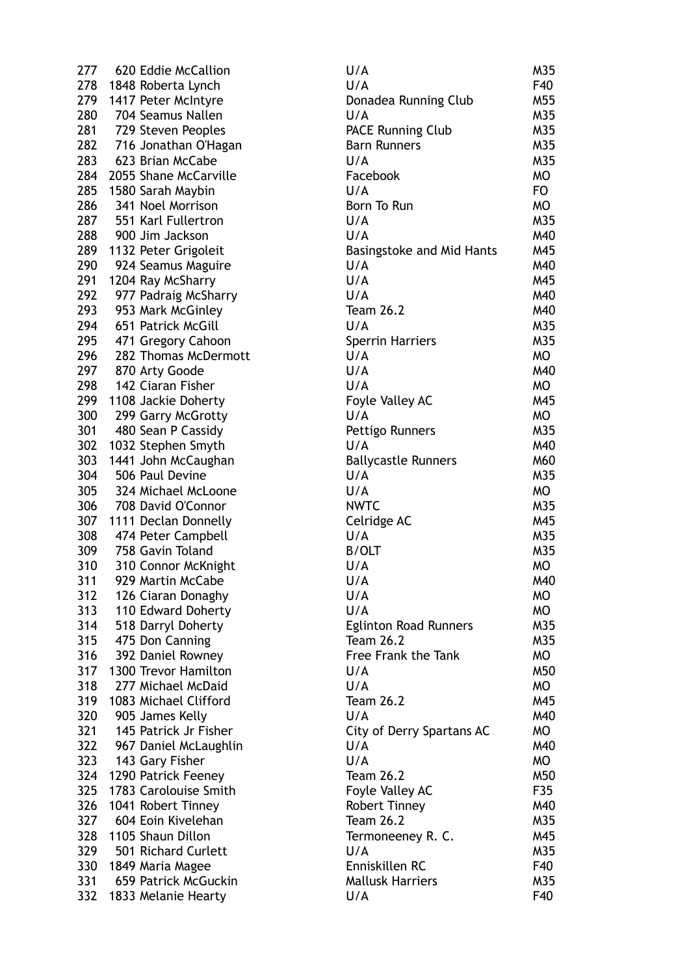277 620 Eddie McCallion 278 1848 Roberta Lynch 279 1417 Peter McIntyre 280 704 Seamus Nallen 281 729 Steven Peoples 282 716 Jonathan O'Hagan 283 623 Brian McCabe 284 2055 Shane McCarville 285 1580 Sarah Maybin 286 341 Noel Morrison 287 551 Karl Fullertron 288 900 Jim Jackson 289 1132 Peter Grigoleit 290 924 Seamus Maguire 291 1204 Ray McSharry 292 977 Padraig McSharry 293 953 Mark McGinley 294 651 Patrick McGill 295 471 Gregory Cahoon 296 282 Thomas McDermott 297 870 Arty Goode 298 142 Ciaran Fisher 299 1108 Jackie Doherty 300 299 Garry McGrotty 301 480 Sean P Cassidy 302 1032 Stephen Smyth 303 1441 John McCaughan 304 506 Paul Devine 305 324 Michael McLoone 306 708 David O'Connor 307 1111 Declan Donnelly 308 474 Peter Campbell 309 758 Gavin Toland 310 310 Connor McKnight 311 929 Martin McCabe 312 126 Ciaran Donaghy 313 110 Edward Doherty 314 518 Darryl Doherty  $315$  475 Don Canning 316 392 Daniel Rowney 317 1300 Trevor Hamilton 318 277 Michael McDaid 319 1083 Michael Clifford 320 905 James Kelly 321 145 Patrick Jr Fisher 322 967 Daniel McLaughlin 323 143 Gary Fisher 324 1290 Patrick Feeney 325 1783 Carolouise Smith 326 1041 Robert Tinney 327 604 Eoin Kivelehan 328 1105 Shaun Dillon 329 501 Richard Curlett 330 1849 Maria Magee 331 659 Patrick McGuckin 332 1833 Melanie Hearty

| U/A                          | M35       |
|------------------------------|-----------|
| U/A                          | F40       |
| Donadea Running Club         | M55       |
| U/A                          | M35       |
| <b>PACE Running Club</b>     | M35       |
| <b>Barn Runners</b>          | M35       |
| U/A                          | M35       |
| Facebook                     | <b>MO</b> |
| U/A                          | FO.       |
| Born To Run                  | <b>MO</b> |
| U/A                          | M35       |
| U/A                          | M40       |
| Basingstoke and Mid Hants    | M45       |
| U/A                          | M40       |
| U/A                          | M45       |
| U/A                          | M40       |
| <b>Team 26.2</b>             | M40       |
| U/A                          | M35       |
| <b>Sperrin Harriers</b>      | M35       |
| U/A                          | МO        |
| U/A                          | M40       |
| U/A                          | МO        |
|                              | M45       |
| Foyle Valley AC<br>U/A       |           |
|                              | МO        |
| Pettigo Runners              | M35       |
| U/A                          | M40       |
| <b>Ballycastle Runners</b>   | M60       |
| U/A                          | M35       |
| U/A                          | МO        |
| <b>NWTC</b>                  | M35       |
| Celridge AC                  | M45       |
| U/A                          | M35       |
| <b>B/OLT</b>                 | M35       |
| U/A                          | MO        |
| U/A                          | M40       |
| U/A                          | МO        |
| U/A                          | МO        |
| <b>Eglinton Road Runners</b> | M35       |
| <b>Team 26.2</b>             | M35       |
| <b>Free Frank the Tank</b>   | МO        |
| U/A                          | M50       |
| U/A                          | МO        |
| <b>Team 26.2</b>             | M45       |
| U/A                          | M40       |
| City of Derry Spartans AC    | МO        |
| U/A                          | M40       |
| U/A                          | МO        |
| <b>Team 26.2</b>             | M50       |
| Foyle Valley AC              | F35       |
| <b>Robert Tinney</b>         | M40       |
| <b>Team 26.2</b>             | M35       |
| Termoneeney R. C.            | M45       |
| U/A                          | M35       |
| Enniskillen RC               | F40       |
| <b>Mallusk Harriers</b>      | M35       |
| U/A                          | F40       |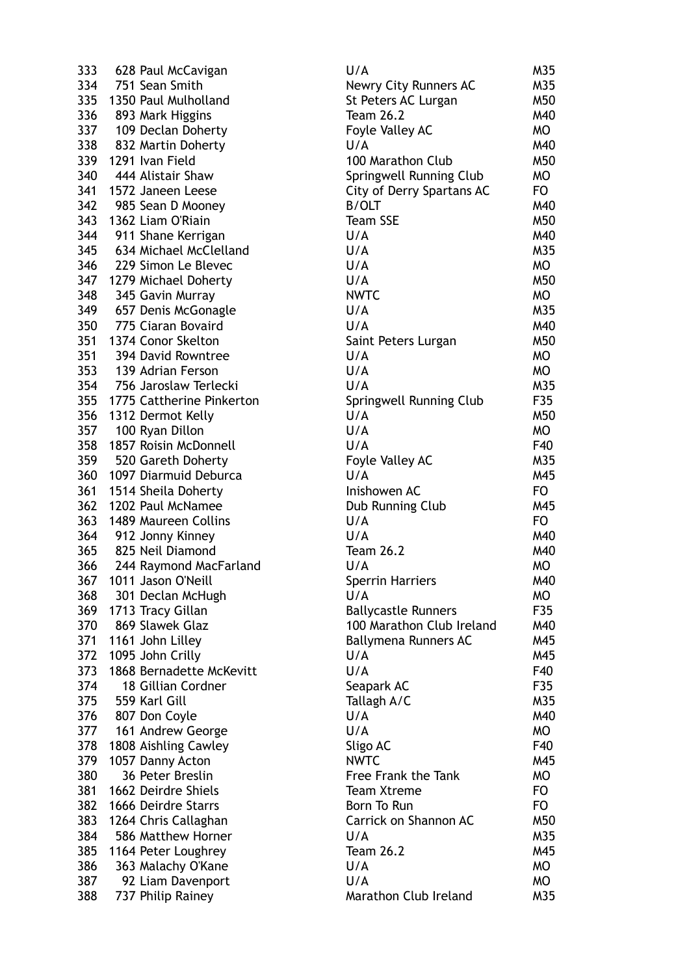| 333 | 628 Paul McCavigan        | U/A                        | M35            |
|-----|---------------------------|----------------------------|----------------|
| 334 | 751 Sean Smith            | Newry City Runners AC      | M35            |
| 335 | 1350 Paul Mulholland      | St Peters AC Lurgan        | M50            |
| 336 | 893 Mark Higgins          | <b>Team 26.2</b>           | M40            |
| 337 | 109 Declan Doherty        | Foyle Valley AC            | <b>MO</b>      |
| 338 | 832 Martin Doherty        | U/A                        | M40            |
|     | 339 1291 Ivan Field       | 100 Marathon Club          | M50            |
| 340 | 444 Alistair Shaw         | Springwell Running Club    | <b>MO</b>      |
| 341 | 1572 Janeen Leese         | City of Derry Spartans AC  | FO.            |
| 342 | 985 Sean D Mooney         | <b>B/OLT</b>               | M40            |
| 343 | 1362 Liam O'Riain         | <b>Team SSE</b>            | M50            |
|     |                           |                            |                |
| 344 | 911 Shane Kerrigan        | U/A                        | M40            |
| 345 | 634 Michael McClelland    | U/A                        | M35            |
| 346 | 229 Simon Le Blevec       | U/A                        | MO             |
| 347 | 1279 Michael Doherty      | U/A                        | M50            |
| 348 | 345 Gavin Murray          | <b>NWTC</b>                | <b>MO</b>      |
| 349 | 657 Denis McGonagle       | U/A                        | M35            |
| 350 | 775 Ciaran Bovaird        | U/A                        | M40            |
|     | 351 1374 Conor Skelton    | Saint Peters Lurgan        | M50            |
| 351 | 394 David Rowntree        | U/A                        | MO             |
| 353 | 139 Adrian Ferson         | U/A                        | MO             |
| 354 | 756 Jaroslaw Terlecki     | U/A                        | M35            |
| 355 | 1775 Cattherine Pinkerton | Springwell Running Club    | F35            |
|     | 356 1312 Dermot Kelly     | U/A                        | M50            |
| 357 | 100 Ryan Dillon           | U/A                        | МO             |
| 358 | 1857 Roisin McDonnell     | U/A                        | F40            |
| 359 | 520 Gareth Doherty        | Foyle Valley AC            | M35            |
| 360 | 1097 Diarmuid Deburca     | U/A                        | M45            |
| 361 | 1514 Sheila Doherty       | Inishowen AC               | F <sub>O</sub> |
| 362 | 1202 Paul McNamee         | Dub Running Club           | M45            |
| 363 | 1489 Maureen Collins      | U/A                        | F <sub>O</sub> |
| 364 | 912 Jonny Kinney          | U/A                        | M40            |
| 365 | 825 Neil Diamond          | <b>Team 26.2</b>           | M40            |
| 366 |                           | U/A                        | <b>MO</b>      |
|     | 244 Raymond MacFarland    |                            |                |
| 367 | 1011 Jason O'Neill        | <b>Sperrin Harriers</b>    | M40            |
| 368 | 301 Declan McHugh         | U/A                        | МO             |
| 369 | 1713 Tracy Gillan         | <b>Ballycastle Runners</b> | F35            |
| 370 | 869 Slawek Glaz           | 100 Marathon Club Ireland  | M40            |
| 371 | 1161 John Lilley          | Ballymena Runners AC       | M45            |
| 372 | 1095 John Crilly          | U/A                        | M45            |
| 373 | 1868 Bernadette McKevitt  | U/A                        | F40            |
| 374 | 18 Gillian Cordner        | Seapark AC                 | F35            |
| 375 | 559 Karl Gill             | Tallagh A/C                | M35            |
| 376 | 807 Don Coyle             | U/A                        | M40            |
| 377 | 161 Andrew George         | U/A                        | МO             |
| 378 | 1808 Aishling Cawley      | Sligo AC                   | F40            |
| 379 | 1057 Danny Acton          | <b>NWTC</b>                | M45            |
| 380 | 36 Peter Breslin          | Free Frank the Tank        | МO             |
| 381 | 1662 Deirdre Shiels       | <b>Team Xtreme</b>         | FO             |
| 382 | 1666 Deirdre Starrs       | Born To Run                | <b>FO</b>      |
| 383 | 1264 Chris Callaghan      | Carrick on Shannon AC      | M50            |
| 384 | 586 Matthew Horner        | U/A                        | M35            |
| 385 | 1164 Peter Loughrey       | <b>Team 26.2</b>           | M45            |
| 386 | 363 Malachy O'Kane        | U/A                        | МO             |
| 387 | 92 Liam Davenport         | U/A                        | MO             |
| 388 |                           | Marathon Club Ireland      |                |
|     | 737 Philip Rainey         |                            | M35            |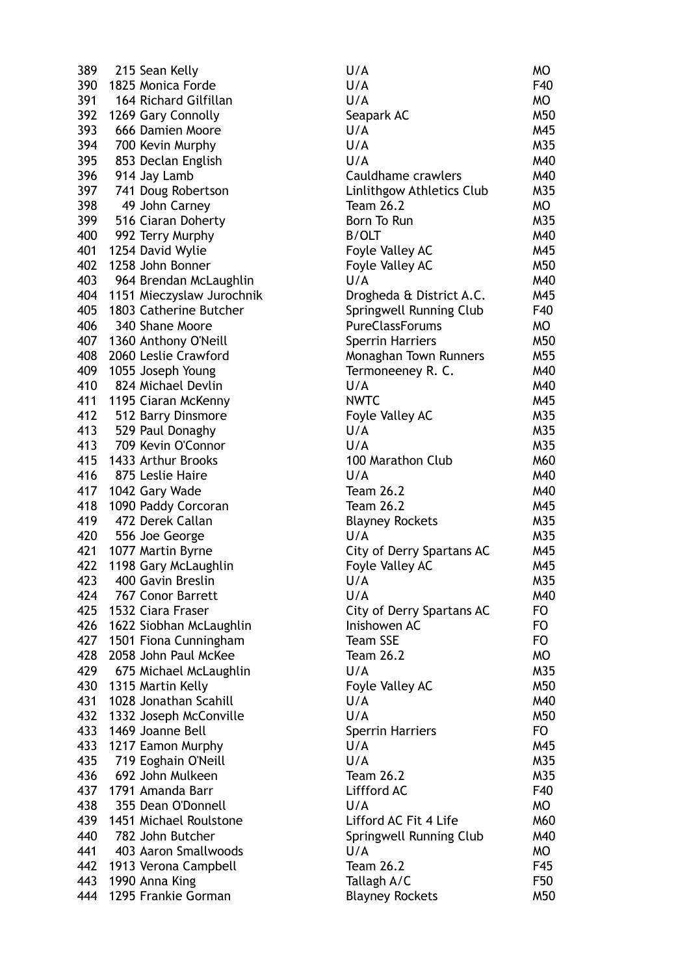389 215 Sean Kelly 390 1825 Monica Forde 391 164 Richard Gilfillan 392 1269 Gary Connolly 393 666 Damien Moore 394 700 Kevin Murphy 395 853 Declan English 396 914 Jay Lamb 397 741 Doug Robertson 398 49 John Carney 399 516 Ciaran Doherty 400 992 Terry Murphy 401 1254 David Wylie 402 1258 John Bonner 403 964 Brendan McLaughlin 404 1151 Mieczyslaw Jurochnik 405 1803 Catherine Butcher 406 340 Shane Moore 407 1360 Anthony O'Neill 408 2060 Leslie Crawford 409 1055 Joseph Young 410 824 Michael Devlin 411 1195 Ciaran McKenny 412 512 Barry Dinsmore 413 529 Paul Donaghy 413 709 Kevin O'Connor 415 1433 Arthur Brooks 416 875 Leslie Haire 417 1042 Gary Wade 418 1090 Paddy Corcoran 419 472 Derek Callan 420 556 Joe George 421 1077 Martin Byrne 422 1198 Gary McLaughlin 423 400 Gavin Breslin 424 767 Conor Barrett 425 1532 Ciara Fraser 426 1622 Siobhan McLaughlin 427 1501 Fiona Cunningham 428 2058 John Paul McKee 429 675 Michael McLaughlin 430 1315 Martin Kelly 431 1028 Jonathan Scahill 432 1332 Joseph McConville 433 1469 Joanne Bell 433 1217 Eamon Murphy 435 719 Eoghain O'Neill 436 692 John Mulkeen 437 1791 Amanda Barr 438 355 Dean O'Donnell 439 1451 Michael Roulstone 440 782 John Butcher 441 403 Aaron Smallwoods 442 1913 Verona Campbell 443 1990 Anna King 444 1295 Frankie Gorman

| U/A                              | МO  |
|----------------------------------|-----|
| U/A                              | F40 |
| U/A                              | МO  |
| Seapark AC                       | M50 |
| U/A                              | M45 |
| U/A                              | M35 |
| U/A                              | M40 |
| Cauldhame crawlers               | M40 |
| Linlithgow Athletics Club        | M35 |
| <b>Team 26.2</b>                 | МO  |
|                                  |     |
| Born To Run                      | M35 |
| <b>B/OLT</b>                     | M40 |
| Foyle Valley AC                  | M45 |
| Foyle Valley AC                  | M50 |
| U/A                              | M40 |
| Drogheda & District A.C.         | M45 |
| Springwell Running Club          | F40 |
| <b>PureClassForums</b>           | МO  |
| <b>Sperrin Harriers</b>          | M50 |
| Monaghan Town Runners            | M55 |
| Termoneeney R. C.                | M40 |
| U/A                              | M40 |
| <b>NWTC</b>                      | M45 |
| Foyle Valley AC                  | M35 |
| U/A                              | M35 |
| U/A                              | M35 |
| 100 Marathon Club                | M60 |
| U/A                              | M40 |
|                                  |     |
| <b>Team 26.2</b>                 | M40 |
| <b>Team 26.2</b>                 | M45 |
| <b>Blayney Rockets</b>           | M35 |
| U/A                              | M35 |
| City of Derry Spartans AC        | M45 |
| Foyle Valley AC                  | M45 |
| U/A                              | M35 |
| U/A                              | M40 |
| <b>City of Derry Spartans AC</b> | FO  |
| Inishowen AC                     | FO  |
| <b>Team SSE</b>                  | FO. |
| <b>Team 26.2</b>                 | МO  |
| U/A                              | M35 |
| Foyle Valley AC                  | M50 |
| U/A                              | M40 |
| U/A                              | M50 |
| <b>Sperrin Harriers</b>          | FO. |
| U/A                              | M45 |
| U/A                              | M35 |
| <b>Team 26.2</b>                 | M35 |
| Liffford AC                      |     |
|                                  | F40 |
| U/A                              | МO  |
| Lifford AC Fit 4 Life            | M60 |
| Springwell Running Club          | M40 |
| U/A                              | МO  |
| <b>Team 26.2</b>                 | F45 |
| Tallagh A/C                      | F50 |
| <b>Blayney Rockets</b>           | M50 |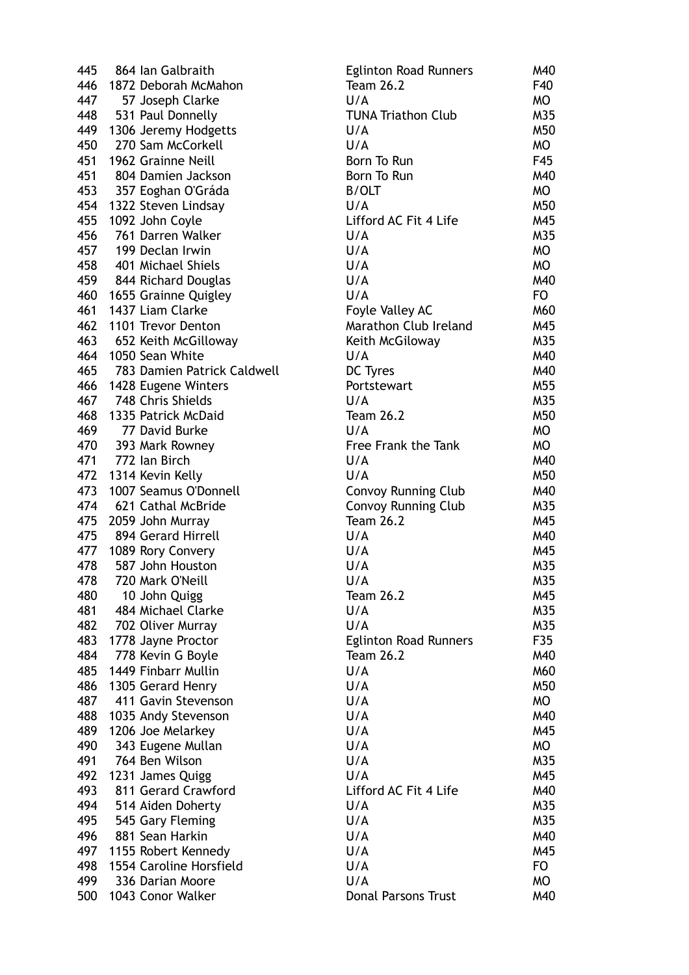| 445 | 864 Ian Galbraith           | <b>Eglinton Road Runners</b> | M40       |
|-----|-----------------------------|------------------------------|-----------|
| 446 | 1872 Deborah McMahon        | <b>Team 26.2</b>             | F40       |
| 447 | 57 Joseph Clarke            | U/A                          | MO        |
| 448 | 531 Paul Donnelly           | <b>TUNA Triathon Club</b>    | M35       |
| 449 | 1306 Jeremy Hodgetts        | U/A                          | M50       |
| 450 | 270 Sam McCorkell           | U/A                          | MO        |
| 451 | 1962 Grainne Neill          | Born To Run                  | F45       |
| 451 | 804 Damien Jackson          | Born To Run                  | M40       |
| 453 | 357 Eoghan O'Gráda          | <b>B/OLT</b>                 | MO        |
|     | 454 1322 Steven Lindsay     | U/A                          | M50       |
| 455 | 1092 John Coyle             | Lifford AC Fit 4 Life        | M45       |
| 456 | 761 Darren Walker           | U/A                          | M35       |
| 457 | 199 Declan Irwin            | U/A                          | MO        |
| 458 | 401 Michael Shiels          | U/A                          | MO        |
|     |                             | U/A                          | M40       |
|     | 459 844 Richard Douglas     | U/A                          |           |
|     | 460 1655 Grainne Quigley    |                              | <b>FO</b> |
| 461 | 1437 Liam Clarke            | Foyle Valley AC              | M60       |
| 462 | 1101 Trevor Denton          | Marathon Club Ireland        | M45       |
| 463 | 652 Keith McGilloway        | Keith McGiloway              | M35       |
| 464 | 1050 Sean White             | U/A                          | M40       |
| 465 | 783 Damien Patrick Caldwell | DC Tyres                     | M40       |
| 466 | 1428 Eugene Winters         | Portstewart                  | M55       |
| 467 | 748 Chris Shields           | U/A                          | M35       |
| 468 | 1335 Patrick McDaid         | <b>Team 26.2</b>             | M50       |
| 469 | 77 David Burke              | U/A                          | MO        |
| 470 | 393 Mark Rowney             | Free Frank the Tank          | MO        |
|     | 471 772 Ian Birch           | U/A                          | M40       |
|     | 472 1314 Kevin Kelly        | U/A                          | M50       |
| 473 | 1007 Seamus O'Donnell       | <b>Convoy Running Club</b>   | M40       |
| 474 | 621 Cathal McBride          | <b>Convoy Running Club</b>   | M35       |
| 475 | 2059 John Murray            | <b>Team 26.2</b>             | M45       |
| 475 | 894 Gerard Hirrell          | U/A                          | M40       |
|     | 477 1089 Rory Convery       | U/A                          | M45       |
| 478 | 587 John Houston            | U/A                          | M35       |
| 478 | 720 Mark O'Neill            | U/A                          | M35       |
| 480 | 10 John Quigg               | <b>Team 26.2</b>             | M45       |
| 481 | 484 Michael Clarke          | U/A                          | M35       |
| 482 | 702 Oliver Murray           | U/A                          | M35       |
| 483 | 1778 Jayne Proctor          | <b>Eglinton Road Runners</b> | F35       |
| 484 | 778 Kevin G Boyle           | <b>Team 26.2</b>             | M40       |
| 485 | 1449 Finbarr Mullin         | U/A                          | M60       |
| 486 | 1305 Gerard Henry           | U/A                          | M50       |
| 487 | 411 Gavin Stevenson         | U/A                          | MO        |
| 488 |                             | U/A                          | M40       |
|     | 1035 Andy Stevenson         | U/A                          |           |
| 489 | 1206 Joe Melarkey           |                              | M45       |
| 490 | 343 Eugene Mullan           | U/A                          | MO        |
| 491 | 764 Ben Wilson              | U/A                          | M35       |
| 492 | 1231 James Quigg            | U/A                          | M45       |
| 493 | 811 Gerard Crawford         | Lifford AC Fit 4 Life        | M40       |
| 494 | 514 Aiden Doherty           | U/A                          | M35       |
| 495 | 545 Gary Fleming            | U/A                          | M35       |
| 496 | 881 Sean Harkin             | U/A                          | M40       |
| 497 | 1155 Robert Kennedy         | U/A                          | M45       |
| 498 | 1554 Caroline Horsfield     | U/A                          | FO        |
| 499 | 336 Darian Moore            | U/A                          | MO        |
| 500 | 1043 Conor Walker           | <b>Donal Parsons Trust</b>   | M40       |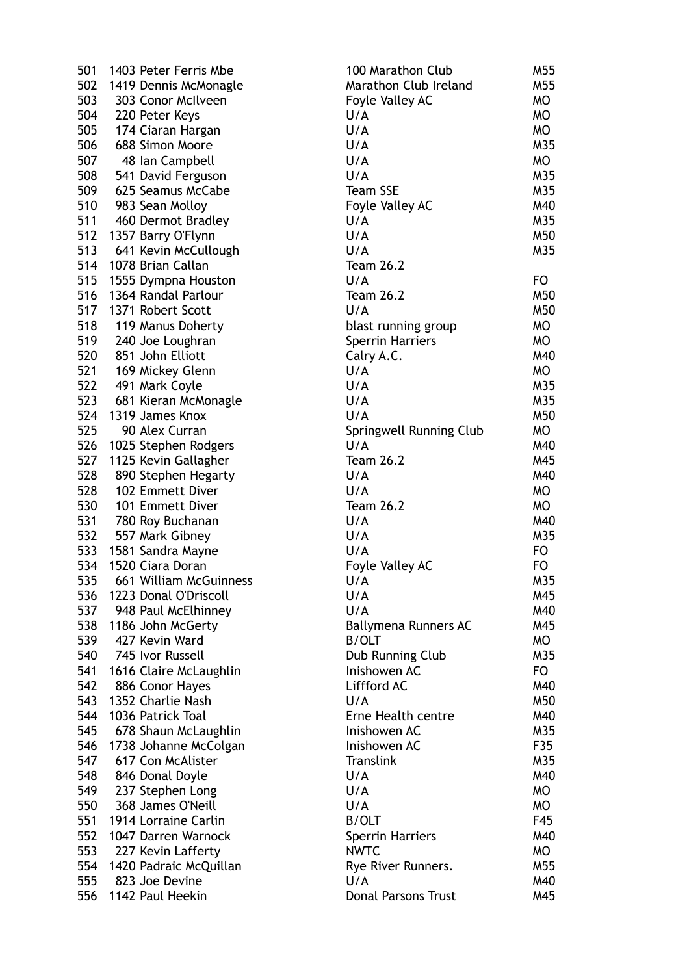| 501 | 1403 Peter Ferris Mbe                      | 100 Maratl         |
|-----|--------------------------------------------|--------------------|
| 502 | 1419 Dennis McMonagle                      | Marathon           |
| 503 | 303 Conor McIlveen                         | <b>Foyle Valle</b> |
| 504 | 220 Peter Keys                             | U/A                |
| 505 | 174 Ciaran Hargan                          | U/A                |
| 506 | 688 Simon Moore                            | U/A                |
| 507 | 48 Ian Campbell                            | U/A                |
| 508 | 541 David Ferguson                         | U/A                |
| 509 | 625 Seamus McCabe                          | Team SSE           |
| 510 | 983 Sean Molloy                            | <b>Foyle Valle</b> |
| 511 | 460 Dermot Bradley                         | U/A                |
| 512 | 1357 Barry O'Flynn                         | U/A                |
| 513 | 641 Kevin McCullough                       | U/A                |
| 514 | 1078 Brian Callan                          | <b>Team 26.2</b>   |
| 515 | 1555 Dympna Houston                        | U/A                |
| 516 | 1364 Randal Parlour                        | <b>Team 26.2</b>   |
| 517 | 1371 Robert Scott                          | U/A                |
| 518 | 119 Manus Doherty                          | blast runn         |
| 519 | 240 Joe Loughran                           | Sperrin Ha         |
|     | 520 851 John Elliott                       | Calry A.C.         |
|     | 521 169 Mickey Glenn                       | U/A                |
|     | 522 491 Mark Coyle                         | U/A                |
| 523 | 681 Kieran McMonagle                       | U/A                |
| 524 | 1319 James Knox                            | U/A                |
| 525 | 90 Alex Curran                             | Springwell         |
| 526 | 1025 Stephen Rodgers                       | U/A                |
| 527 | 1125 Kevin Gallagher                       | <b>Team 26.2</b>   |
| 528 | 890 Stephen Hegarty                        | U/A                |
| 528 | 102 Emmett Diver                           | U/A                |
| 530 | 101 Emmett Diver                           | <b>Team 26.2</b>   |
| 531 | 780 Roy Buchanan                           | U/A                |
| 532 | 557 Mark Gibney                            | U/A                |
|     | 533 1581 Sandra Mayne                      | U/A                |
| 534 | 1520 Ciara Doran                           | Foyle Valle        |
| 535 | 661 William McGuinness                     | U/A                |
| 536 | 1223 Donal O'Driscoll                      | U/A                |
| 537 | 948 Paul McElhinney                        | U/A                |
| 538 | 1186 John McGerty                          | Ballymena          |
| 539 | 427 Kevin Ward                             | <b>B/OLT</b>       |
| 540 | 745 Ivor Russell                           | Dub Runni          |
| 541 | 1616 Claire McLaughlin                     | Inishowen          |
| 542 | 886 Conor Hayes                            | Liffford AC        |
| 543 | 1352 Charlie Nash                          | U/A                |
| 544 | 1036 Patrick Toal                          | <b>Erne Healt</b>  |
| 545 |                                            | Inishowen          |
| 546 | 678 Shaun McLaughlin                       | Inishowen          |
| 547 | 1738 Johanne McColgan<br>617 Con McAlister | Translink          |
| 548 |                                            | U/A                |
| 549 | 846 Donal Doyle                            | U/A                |
|     | 237 Stephen Long                           |                    |
| 550 | 368 James O'Neill                          | U/A                |
| 551 | 1914 Lorraine Carlin                       | <b>B/OLT</b>       |
| 552 | 1047 Darren Warnock                        | Sperrin Ha         |
| 553 | 227 Kevin Lafferty                         | <b>NWTC</b>        |
| 554 | 1420 Padraic McQuillan                     | Rye River          |
| 555 | 823 Joe Devine                             | U/A                |
| 556 | 1142 Paul Heekin                           | Donal Pars         |

| 501 | 1403 Peter Ferris Mbe  | 100 Marathon Club          | M55 |
|-----|------------------------|----------------------------|-----|
| 502 | 1419 Dennis McMonagle  | Marathon Club Ireland      | M55 |
| 503 | 303 Conor McIlveen     | Foyle Valley AC            | MO  |
| 504 | 220 Peter Keys         | U/A                        | MO  |
| 505 | 174 Ciaran Hargan      | U/A                        | MO  |
| 506 | 688 Simon Moore        | U/A                        | M35 |
| 507 | 48 Ian Campbell        | U/A                        | MO  |
| 508 | 541 David Ferguson     | U/A                        | M35 |
| 509 | 625 Seamus McCabe      | <b>Team SSE</b>            | M35 |
| 510 | 983 Sean Molloy        | Foyle Valley AC            | M40 |
| 511 | 460 Dermot Bradley     | U/A                        | M35 |
| 512 | 1357 Barry O'Flynn     | U/A                        | M50 |
| 513 | 641 Kevin McCullough   | U/A                        | M35 |
| 514 | 1078 Brian Callan      | <b>Team 26.2</b>           |     |
| 515 |                        | U/A                        |     |
|     | 1555 Dympna Houston    |                            | FO  |
| 516 | 1364 Randal Parlour    | <b>Team 26.2</b>           | M50 |
| 517 | 1371 Robert Scott      | U/A                        | M50 |
| 518 | 119 Manus Doherty      | blast running group        | MO  |
| 519 | 240 Joe Loughran       | <b>Sperrin Harriers</b>    | MO  |
| 520 | 851 John Elliott       | Calry A.C.                 | M40 |
| 521 | 169 Mickey Glenn       | U/A                        | MO  |
| 522 | 491 Mark Coyle         | U/A                        | M35 |
| 523 | 681 Kieran McMonagle   | U/A                        | M35 |
| 524 | 1319 James Knox        | U/A                        | M50 |
| 525 | 90 Alex Curran         | Springwell Running Club    | MO  |
| 526 | 1025 Stephen Rodgers   | U/A                        | M40 |
| 527 | 1125 Kevin Gallagher   | <b>Team 26.2</b>           | M45 |
| 528 | 890 Stephen Hegarty    | U/A                        | M40 |
| 528 | 102 Emmett Diver       | U/A                        | MO  |
| 530 | 101 Emmett Diver       | <b>Team 26.2</b>           | MO  |
| 531 | 780 Roy Buchanan       | U/A                        | M40 |
| 532 | 557 Mark Gibney        | U/A                        | M35 |
| 533 | 1581 Sandra Mayne      | U/A                        | FO. |
| 534 | 1520 Ciara Doran       | Foyle Valley AC            | FO  |
| 535 | 661 William McGuinness | U/A                        | M35 |
| 536 | 1223 Donal O'Driscoll  | U/A                        | M45 |
| 537 | 948 Paul McElhinney    | U/A                        | M40 |
| 538 | 1186 John McGerty      | Ballymena Runners AC       | M45 |
| 539 | 427 Kevin Ward         | <b>B/OLT</b>               | MO  |
| 540 | 745 Ivor Russell       | Dub Running Club           | M35 |
| 541 | 1616 Claire McLaughlin | Inishowen AC               | FO  |
| 542 | 886 Conor Hayes        | Liffford AC                | M40 |
| 543 | 1352 Charlie Nash      | U/A                        | M50 |
| 544 | 1036 Patrick Toal      | Erne Health centre         | M40 |
| 545 | 678 Shaun McLaughlin   | Inishowen AC               | M35 |
| 546 | 1738 Johanne McColgan  | Inishowen AC               | F35 |
| 547 | 617 Con McAlister      | Translink                  | M35 |
| 548 | 846 Donal Doyle        | U/A                        | M40 |
| 549 | 237 Stephen Long       | U/A                        | MO  |
| 550 | 368 James O'Neill      | U/A                        | MO  |
| 551 | 1914 Lorraine Carlin   | <b>B/OLT</b>               | F45 |
| 552 | 1047 Darren Warnock    | <b>Sperrin Harriers</b>    | M40 |
| 553 | 227 Kevin Lafferty     | <b>NWTC</b>                | MO  |
| 554 | 1420 Padraic McQuillan | Rye River Runners.         | M55 |
| 555 | 823 Joe Devine         | U/A                        | M40 |
| 556 | 1142 Paul Heekin       | <b>Donal Parsons Trust</b> | M45 |
|     |                        |                            |     |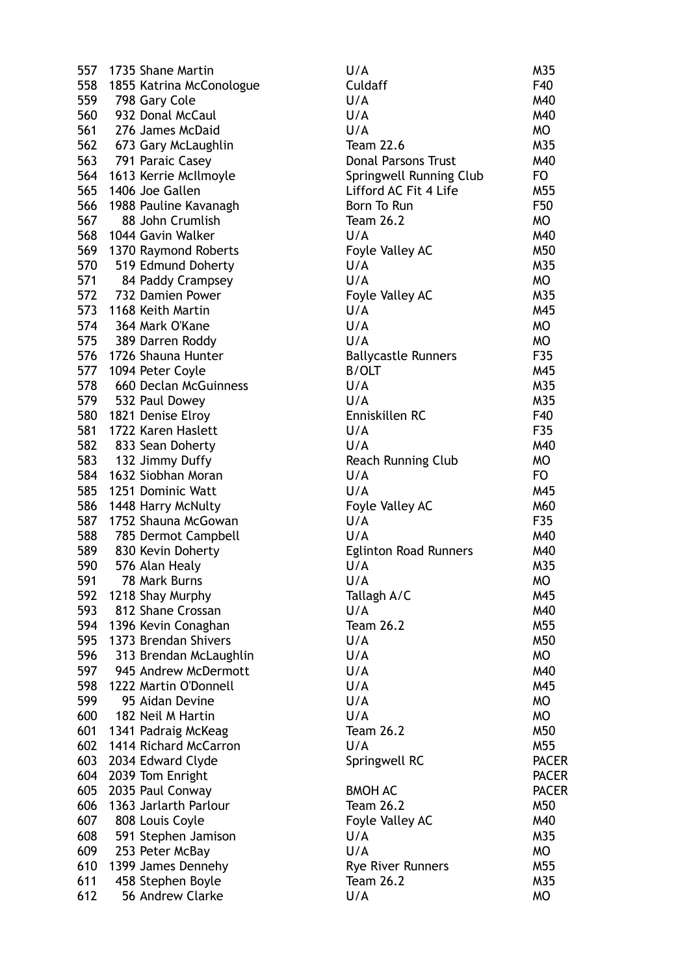| 557 | 1735 Shane Martin            | U/A                          | M35          |
|-----|------------------------------|------------------------------|--------------|
|     | 558 1855 Katrina McConologue | Culdaff                      | F40          |
| 559 | 798 Gary Cole                | U/A                          | M40          |
| 560 | 932 Donal McCaul             | U/A                          | M40          |
| 561 | 276 James McDaid             | U/A                          | <b>MO</b>    |
|     | 562 673 Gary McLaughlin      | <b>Team 22.6</b>             | M35          |
|     | 563 791 Paraic Casey         | <b>Donal Parsons Trust</b>   | M40          |
|     | 564 1613 Kerrie McIlmoyle    | Springwell Running Club      | FO.          |
| 565 | 1406 Joe Gallen              | Lifford AC Fit 4 Life        | M55          |
| 566 | 1988 Pauline Kavanagh        | Born To Run                  | F50          |
| 567 | 88 John Crumlish             | <b>Team 26.2</b>             | <b>MO</b>    |
| 568 | 1044 Gavin Walker            | U/A                          | M40          |
|     | 569 1370 Raymond Roberts     | Foyle Valley AC              | M50          |
| 570 | 519 Edmund Doherty           | U/A                          | M35          |
| 571 | 84 Paddy Crampsey            | U/A                          | <b>MO</b>    |
| 572 | 732 Damien Power             | Foyle Valley AC              | M35          |
| 573 | 1168 Keith Martin            | U/A                          | M45          |
|     | 574 364 Mark O'Kane          | U/A                          | <b>MO</b>    |
|     | 575 389 Darren Roddy         | U/A                          | MO           |
|     | 576 1726 Shauna Hunter       | <b>Ballycastle Runners</b>   | F35          |
|     | 577 1094 Peter Coyle         | <b>B/OLT</b>                 | M45          |
| 578 | 660 Declan McGuinness        | U/A                          | M35          |
| 579 | 532 Paul Dowey               | U/A                          | M35          |
| 580 | 1821 Denise Elroy            | Enniskillen RC               | F40          |
| 581 | 1722 Karen Haslett           | U/A                          | F35          |
| 582 | 833 Sean Doherty             | U/A                          | M40          |
|     | 583 132 Jimmy Duffy          | <b>Reach Running Club</b>    | <b>MO</b>    |
| 584 | 1632 Siobhan Moran           | U/A                          | FO.          |
| 585 | 1251 Dominic Watt            | U/A                          | M45          |
| 586 | 1448 Harry McNulty           | Foyle Valley AC              | M60          |
| 587 | 1752 Shauna McGowan          | U/A                          | F35          |
| 588 | 785 Dermot Campbell          | U/A                          | M40          |
| 589 | 830 Kevin Doherty            | <b>Eglinton Road Runners</b> | M40          |
| 590 | 576 Alan Healy               | U/A                          | M35          |
| 591 | 78 Mark Burns                | U/A                          | МO           |
| 592 | 1218 Shay Murphy             | Tallagh A/C                  | M45          |
| 593 | 812 Shane Crossan            | U/A                          | M40          |
| 594 | 1396 Kevin Conaghan          | <b>Team 26.2</b>             | M55          |
| 595 | 1373 Brendan Shivers         | U/A                          | M50          |
| 596 | 313 Brendan McLaughlin       | U/A                          | MO           |
| 597 | 945 Andrew McDermott         | U/A                          | M40          |
| 598 | 1222 Martin O'Donnell        | U/A                          | M45          |
| 599 | 95 Aidan Devine              | U/A                          | <b>MO</b>    |
| 600 | 182 Neil M Hartin            | U/A                          | MO           |
| 601 | 1341 Padraig McKeag          | <b>Team 26.2</b>             | M50          |
| 602 | 1414 Richard McCarron        | U/A                          | M55          |
| 603 | 2034 Edward Clyde            | Springwell RC                | <b>PACER</b> |
| 604 | 2039 Tom Enright             |                              | <b>PACER</b> |
| 605 | 2035 Paul Conway             | <b>BMOH AC</b>               | <b>PACER</b> |
| 606 | 1363 Jarlarth Parlour        | <b>Team 26.2</b>             | M50          |
| 607 | 808 Louis Coyle              | Foyle Valley AC              | M40          |
| 608 | 591 Stephen Jamison          | U/A                          | M35          |
| 609 | 253 Peter McBay              | U/A                          | <b>MO</b>    |
| 610 | 1399 James Dennehy           | <b>Rye River Runners</b>     | M55          |
| 611 | 458 Stephen Boyle            | <b>Team 26.2</b>             | M35          |
| 612 | 56 Andrew Clarke             | U/A                          | <b>MO</b>    |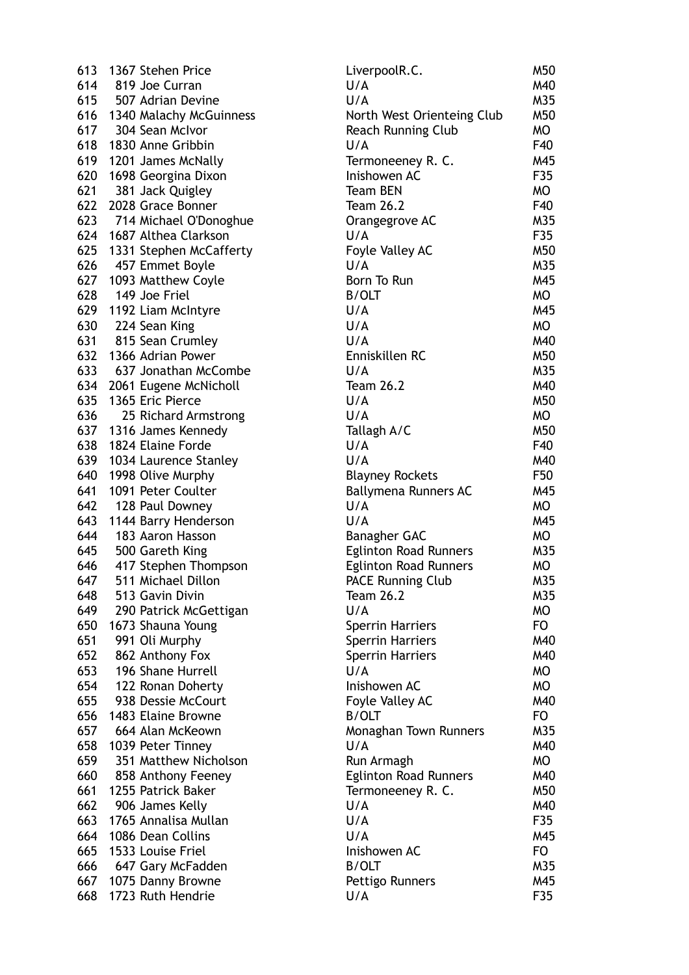| 613 | 1367 Stehen Price       |
|-----|-------------------------|
| 614 | 819 Joe Curran          |
| 615 | 507 Adrian Devine       |
| 616 | 1340 Malachy McGuinness |
| 617 | 304 Sean McIvor         |
| 618 | 1830 Anne Gribbin       |
| 619 | 1201 James McNally      |
| 620 | 1698 Georgina Dixon     |
| 621 | 381 Jack Quigley        |
| 622 | 2028 Grace Bonner       |
| 623 | 714 Michael O'Donoghue  |
| 624 | 1687 Althea Clarkson    |
| 625 | 1331 Stephen McCafferty |
| 626 | 457 Emmet Boyle         |
| 627 |                         |
|     | 1093 Matthew Coyle      |
| 628 | 149 Joe Friel           |
| 629 | 1192 Liam McIntyre      |
| 630 | 224 Sean King           |
| 631 | 815 Sean Crumley        |
| 632 | 1366 Adrian Power       |
| 633 | 637 Jonathan McCombe    |
| 634 | 2061 Eugene McNicholl   |
| 635 | 1365 Eric Pierce        |
| 636 | 25 Richard Armstrong    |
| 637 | 1316 James Kennedy      |
| 638 | 1824 Elaine Forde       |
| 639 | 1034 Laurence Stanley   |
| 640 | 1998 Olive Murphy       |
| 641 | 1091 Peter Coulter      |
| 642 | 128 Paul Downey         |
| 643 | 1144 Barry Henderson    |
| 644 | 183 Aaron Hasson        |
| 645 | 500 Gareth King         |
| 646 | 417 Stephen Thompson    |
| 647 | 511 Michael Dillon      |
| 648 | 513 Gavin Divin         |
| 649 | 290 Patrick McGettigan  |
| 650 | 1673 Shauna Young       |
| 651 | 991 Oli Murphy          |
| 652 | 862 Anthony Fox         |
| 653 | 196 Shane Hurrell       |
| 654 | 122 Ronan Doherty       |
| 655 | 938 Dessie McCourt      |
| 656 | 1483 Elaine Browne      |
| 657 | 664 Alan McKeown        |
| 658 | 1039 Peter Tinney       |
| 659 | 351 Matthew Nicholson   |
| 660 | 858 Anthony Feeney      |
| 661 | 1255 Patrick Baker      |
| 662 | 906 James Kelly         |
| 663 | 1765 Annalisa Mullan    |
| 664 | 1086 Dean Collins       |
| 665 | 1533 Louise Friel       |
| 666 | 647 Gary McFadden       |
| 667 | 1075 Danny Browne       |
| 668 | 1723 Ruth Hendrie       |
|     |                         |

| 613 | 1367 Stehen Price                    | LiverpoolR.C.                | M50       |
|-----|--------------------------------------|------------------------------|-----------|
| 614 | 819 Joe Curran                       | U/A                          | M40       |
| 615 | 507 Adrian Devine                    | U/A                          | M35       |
| 616 | 1340 Malachy McGuinness              | North West Orienteing Club   | M50       |
| 617 | 304 Sean McIvor                      | Reach Running Club           | MO        |
| 618 | 1830 Anne Gribbin                    | U/A                          | F40       |
| 619 | 1201 James McNally                   | Termoneeney R. C.            | M45       |
| 620 | 1698 Georgina Dixon                  | Inishowen AC                 | F35       |
| 621 | 381 Jack Quigley                     | <b>Team BEN</b>              | MO        |
| 622 | 2028 Grace Bonner                    | <b>Team 26.2</b>             | F40       |
| 623 | 714 Michael O'Donoghue               | Orangegrove AC               | M35       |
| 624 | 1687 Althea Clarkson                 | U/A                          | F35       |
| 625 |                                      |                              | M50       |
|     | 1331 Stephen McCafferty              | Foyle Valley AC<br>U/A       | M35       |
| 626 | 457 Emmet Boyle                      |                              |           |
| 627 | 1093 Matthew Coyle                   | Born To Run                  | M45       |
| 628 | 149 Joe Friel                        | <b>B/OLT</b>                 | MO        |
| 629 | 1192 Liam McIntyre                   | U/A                          | M45       |
| 630 | 224 Sean King                        | U/A                          | MO        |
| 631 | 815 Sean Crumley                     | U/A                          | M40       |
| 632 | 1366 Adrian Power                    | Enniskillen RC               | M50       |
| 633 | 637 Jonathan McCombe                 | U/A                          | M35       |
| 634 | 2061 Eugene McNicholl                | <b>Team 26.2</b>             | M40       |
| 635 | 1365 Eric Pierce                     | U/A                          | M50       |
| 636 | 25 Richard Armstrong                 | U/A                          | MO        |
| 637 | 1316 James Kennedy                   | Tallagh A/C                  | M50       |
| 638 | 1824 Elaine Forde                    | U/A                          | F40       |
| 639 | 1034 Laurence Stanley                | U/A                          | M40       |
| 640 | 1998 Olive Murphy                    | <b>Blayney Rockets</b>       | F50       |
| 641 | 1091 Peter Coulter                   | Ballymena Runners AC         | M45       |
| 642 | 128 Paul Downey                      | U/A                          | <b>MO</b> |
| 643 | 1144 Barry Henderson                 | U/A                          | M45       |
| 644 | 183 Aaron Hasson                     | <b>Banagher GAC</b>          | MO        |
| 645 | 500 Gareth King                      | <b>Eglinton Road Runners</b> | M35       |
| 646 | 417 Stephen Thompson                 | <b>Eglinton Road Runners</b> | MO        |
| 647 | 511 Michael Dillon                   | <b>PACE Running Club</b>     | M35       |
| 648 | 513 Gavin Divin                      | <b>Team 26.2</b>             | M35       |
| 649 | 290 Patrick McGettigan               | U/A                          | MO        |
| 650 | 1673 Shauna Young                    | <b>Sperrin Harriers</b>      | FO        |
| 651 | 991 Oli Murphy                       | <b>Sperrin Harriers</b>      | M40       |
| 652 |                                      | <b>Sperrin Harriers</b>      | M40       |
| 653 | 862 Anthony Fox<br>196 Shane Hurrell | U/A                          | MO        |
| 654 |                                      | Inishowen AC                 | MO        |
|     | 122 Ronan Doherty                    |                              |           |
| 655 | 938 Dessie McCourt                   | Foyle Valley AC              | M40       |
| 656 | 1483 Elaine Browne                   | <b>B/OLT</b>                 | <b>FO</b> |
| 657 | 664 Alan McKeown                     | Monaghan Town Runners        | M35       |
| 658 | 1039 Peter Tinney                    | U/A                          | M40       |
| 659 | 351 Matthew Nicholson                | Run Armagh                   | MO        |
| 660 | 858 Anthony Feeney                   | <b>Eglinton Road Runners</b> | M40       |
| 661 | 1255 Patrick Baker                   | Termoneeney R. C.            | M50       |
| 662 | 906 James Kelly                      | U/A                          | M40       |
| 663 | 1765 Annalisa Mullan                 | U/A                          | F35       |
| 664 | 1086 Dean Collins                    | U/A                          | M45       |
| 665 | 1533 Louise Friel                    | Inishowen AC                 | FO        |
| 666 | 647 Gary McFadden                    | <b>B/OLT</b>                 | M35       |
| 667 | 1075 Danny Browne                    | Pettigo Runners              | M45       |
| 668 | 1723 Ruth Hendrie                    | U/A                          | F35       |
|     |                                      |                              |           |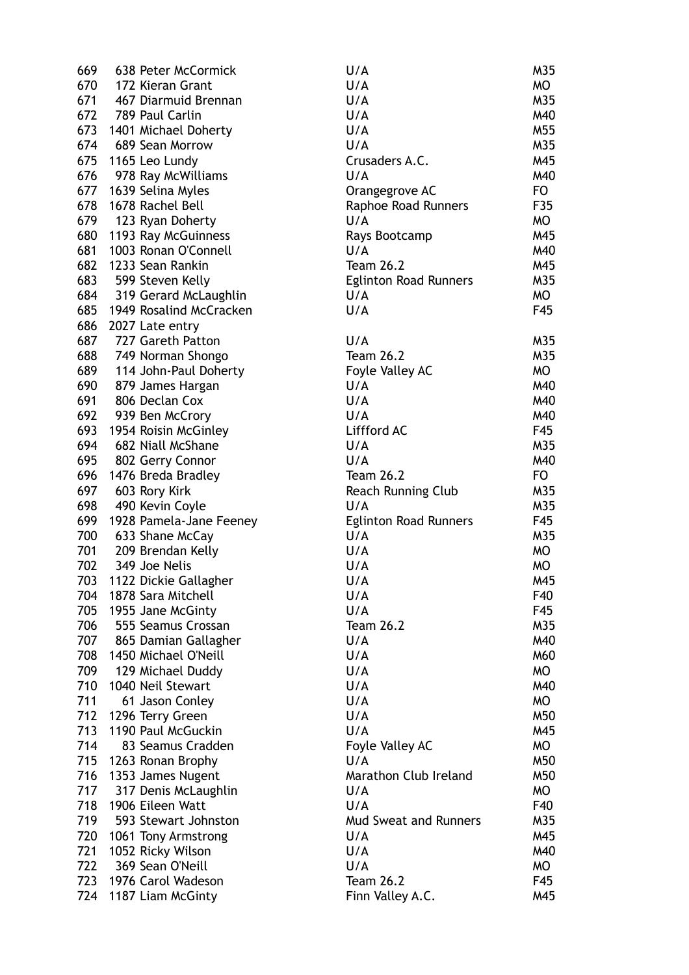| 669 | 638 Peter McCormick     | U/A                          | M35       |
|-----|-------------------------|------------------------------|-----------|
| 670 | 172 Kieran Grant        | U/A                          | MO        |
| 671 | 467 Diarmuid Brennan    | U/A                          | M35       |
| 672 | 789 Paul Carlin         | U/A                          | M40       |
| 673 | 1401 Michael Doherty    | U/A                          | M55       |
| 674 | 689 Sean Morrow         | U/A                          | M35       |
| 675 | 1165 Leo Lundy          | Crusaders A.C.               | M45       |
| 676 | 978 Ray McWilliams      | U/A                          | M40       |
| 677 | 1639 Selina Myles       | Orangegrove AC               | FO        |
| 678 | 1678 Rachel Bell        | Raphoe Road Runners          | F35       |
| 679 | 123 Ryan Doherty        | U/A                          | MO        |
| 680 | 1193 Ray McGuinness     | Rays Bootcamp                | M45       |
| 681 | 1003 Ronan O'Connell    | U/A                          | M40       |
| 682 | 1233 Sean Rankin        | <b>Team 26.2</b>             | M45       |
| 683 | 599 Steven Kelly        | <b>Eglinton Road Runners</b> | M35       |
| 684 | 319 Gerard McLaughlin   | U/A                          | <b>MO</b> |
| 685 | 1949 Rosalind McCracken | U/A                          | F45       |
| 686 | 2027 Late entry         |                              |           |
| 687 | 727 Gareth Patton       | U/A                          | M35       |
| 688 | 749 Norman Shongo       | <b>Team 26.2</b>             | M35       |
| 689 | 114 John-Paul Doherty   | Foyle Valley AC              | MO        |
| 690 | 879 James Hargan        | U/A                          | M40       |
| 691 | 806 Declan Cox          | U/A                          | M40       |
| 692 | 939 Ben McCrory         | U/A                          | M40       |
| 693 | 1954 Roisin McGinley    | Liffford AC                  | F45       |
| 694 | 682 Niall McShane       | U/A                          | M35       |
| 695 | 802 Gerry Connor        | U/A                          | M40       |
| 696 | 1476 Breda Bradley      | <b>Team 26.2</b>             | FO        |
| 697 | 603 Rory Kirk           | Reach Running Club           | M35       |
| 698 | 490 Kevin Coyle         | U/A                          | M35       |
| 699 | 1928 Pamela-Jane Feeney | <b>Eglinton Road Runners</b> | F45       |
| 700 | 633 Shane McCay         | U/A                          | M35       |
| 701 | 209 Brendan Kelly       | U/A                          | MO        |
| 702 | 349 Joe Nelis           | U/A                          | MO        |
| 703 | 1122 Dickie Gallagher   | U/A                          | M45       |
| 704 | 1878 Sara Mitchell      | U/A                          | F40       |
| 705 | 1955 Jane McGinty       | U/A                          | F45       |
| 706 | 555 Seamus Crossan      | <b>Team 26.2</b>             | M35       |
| 707 | 865 Damian Gallagher    | U/A                          | M40       |
| 708 | 1450 Michael O'Neill    | U/A                          | M60       |
| 709 | 129 Michael Duddy       | U/A                          | <b>MO</b> |
| 710 | 1040 Neil Stewart       | U/A                          | M40       |
| 711 | 61 Jason Conley         | U/A                          | MO        |
| 712 | 1296 Terry Green        | U/A                          | M50       |
| 713 | 1190 Paul McGuckin      | U/A                          | M45       |
| 714 | 83 Seamus Cradden       | Foyle Valley AC              | MO        |
| 715 | 1263 Ronan Brophy       | U/A                          | M50       |
| 716 | 1353 James Nugent       | Marathon Club Ireland        | M50       |
| 717 | 317 Denis McLaughlin    | U/A                          | MO        |
| 718 | 1906 Eileen Watt        | U/A                          | F40       |
| 719 | 593 Stewart Johnston    | <b>Mud Sweat and Runners</b> | M35       |
| 720 | 1061 Tony Armstrong     | U/A                          | M45       |
| 721 | 1052 Ricky Wilson       | U/A                          | M40       |
| 722 | 369 Sean O'Neill        | U/A                          | MO        |
| 723 | 1976 Carol Wadeson      | <b>Team 26.2</b>             | F45       |
| 724 | 1187 Liam McGinty       | Finn Valley A.C.             | M45       |
|     |                         |                              |           |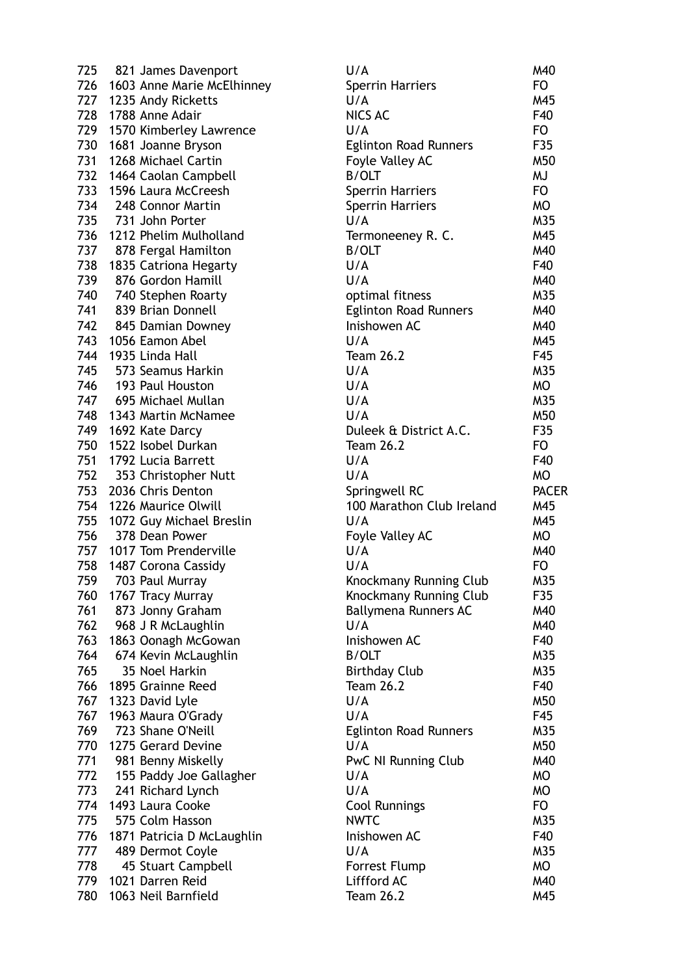| 725        | 821 James Davenport                    | U/A                          | M40            |
|------------|----------------------------------------|------------------------------|----------------|
|            | 726 1603 Anne Marie McElhinney         | Sperrin Harriers             | FO             |
|            | 727 1235 Andy Ricketts                 | U/A                          | M45            |
| 728        | 1788 Anne Adair                        | <b>NICS AC</b>               | F40            |
| 729        | 1570 Kimberley Lawrence                | U/A                          | FO             |
| 730        | 1681 Joanne Bryson                     | <b>Eglinton Road Runners</b> | F35            |
| 731        | 1268 Michael Cartin                    | Foyle Valley AC              | M50            |
| 732        | 1464 Caolan Campbell                   | B/OLT                        | <b>MJ</b>      |
| 733        | 1596 Laura McCreesh                    | <b>Sperrin Harriers</b>      | FO             |
| 734        | 248 Connor Martin                      | <b>Sperrin Harriers</b>      | <b>MO</b>      |
| 735        | 731 John Porter                        | U/A                          | M35            |
| 736        | 1212 Phelim Mulholland                 | Termoneeney R. C.            | M45            |
| 737        | 878 Fergal Hamilton                    | <b>B/OLT</b>                 | M40            |
| 738        | 1835 Catriona Hegarty                  | U/A                          | F40            |
| 739        | 876 Gordon Hamill                      | U/A                          | M40            |
| 740        | 740 Stephen Roarty                     | optimal fitness              | M35            |
| 741        | 839 Brian Donnell                      | <b>Eglinton Road Runners</b> | M40            |
| 742        | 845 Damian Downey                      | Inishowen AC                 | M40            |
| 743        | 1056 Eamon Abel                        | U/A                          | M45            |
| 744        | 1935 Linda Hall                        | <b>Team 26.2</b>             | F45            |
| 745        | 573 Seamus Harkin                      | U/A                          | M35            |
| 746        | 193 Paul Houston                       | U/A                          | <b>MO</b>      |
| 747        | 695 Michael Mullan                     | U/A                          | M35            |
| 748        | 1343 Martin McNamee                    | U/A                          | M50            |
| 749        | 1692 Kate Darcy                        | Duleek & District A.C.       | F35            |
| 750        | 1522 Isobel Durkan                     | <b>Team 26.2</b>             | FO             |
| 751        | 1792 Lucia Barrett                     | U/A                          | F40            |
| 752        | 353 Christopher Nutt                   | U/A                          | <b>MO</b>      |
| 753        | 2036 Chris Denton                      | Springwell RC                | <b>PACER</b>   |
| 754        | 1226 Maurice Olwill                    | 100 Marathon Club Ireland    | M45            |
| 755        | 1072 Guy Michael Breslin               | U/A                          | M45            |
| 756        | 378 Dean Power                         | Foyle Valley AC              | MO             |
|            | 757 1017 Tom Prenderville              | U/A                          | M40            |
| 758        | 1487 Corona Cassidy                    | U/A                          | F <sub>O</sub> |
| 759        | 703 Paul Murray                        | Knockmany Running Club       | M35            |
| 760        | 1767 Tracy Murray                      | Knockmany Running Club       | F35            |
| 761        | 873 Jonny Graham                       | Ballymena Runners AC         | M40            |
| 762        | 968 J R McLaughlin                     | U/A                          | M40            |
| 763        | 1863 Oonagh McGowan                    | Inishowen AC                 | F40            |
| 764        | 674 Kevin McLaughlin                   | <b>B/OLT</b>                 | M35            |
| 765        | 35 Noel Harkin                         | <b>Birthday Club</b>         | M35            |
| 766        | 1895 Grainne Reed                      | <b>Team 26.2</b>             | F40            |
| 767        | 1323 David Lyle                        | U/A                          | M50            |
| 767        | 1963 Maura O'Grady                     | U/A                          | F45            |
| 769        | 723 Shane O'Neill                      | <b>Eglinton Road Runners</b> | M35            |
| 770        | 1275 Gerard Devine                     | U/A                          | M50            |
| 771        | 981 Benny Miskelly                     | PwC NI Running Club          | M40            |
| 772        |                                        | U/A                          | <b>MO</b>      |
| 773        | 155 Paddy Joe Gallagher                | U/A                          | <b>MO</b>      |
|            | 241 Richard Lynch                      |                              |                |
| 774<br>775 | 1493 Laura Cooke                       | Cool Runnings                | FO             |
| 776        | 575 Colm Hasson                        | <b>NWTC</b><br>Inishowen AC  | M35<br>F40     |
| 777        | 1871 Patricia D McLaughlin             | U/A                          | M35            |
| 778        | 489 Dermot Coyle<br>45 Stuart Campbell | Forrest Flump                | <b>MO</b>      |
| 779        | 1021 Darren Reid                       | Liffford AC                  | M40            |
| 780        | 1063 Neil Barnfield                    | <b>Team 26.2</b>             | M45            |
|            |                                        |                              |                |

| U/A                           | M40          |
|-------------------------------|--------------|
| <b>Sperrin Harriers</b>       | FO           |
| U/A                           | M45          |
|                               |              |
| <b>NICS AC</b>                | F40          |
| U/A                           | FO           |
| <b>Eglinton Road Runners</b>  | F35          |
| Foyle Valley AC               | M50          |
| <b>B/OLT</b>                  | MJ           |
| Sperrin Harriers              | FO           |
| <b>Sperrin Harriers</b>       | МO           |
| U/A                           | M35          |
| Termoneeney R. C.             | M45          |
| <b>B/OLT</b>                  | M40          |
| U/A                           | F40          |
| U/A                           | M40          |
|                               |              |
| optimal fitness               | M35          |
| <b>Eglinton Road Runners</b>  | M40          |
| Inishowen AC                  | M40          |
| U/A                           | M45          |
| <b>Team 26.2</b>              | F45          |
| U/A                           | M35          |
| U/A                           | МO           |
| U/A                           | M35          |
| U/A                           | M50          |
| Duleek & District A.C.        | F35          |
| <b>Team 26.2</b>              | FO           |
| U/A                           | F40          |
| U/A                           | МO           |
| Springwell RC                 | <b>PACEI</b> |
| 100 Marathon Club Ireland     | M45          |
| U/A                           | M45          |
|                               | МO           |
| Foyle Valley AC<br>U/A        | M40          |
|                               |              |
| U/A                           | FO           |
| Knockmany Running Club        | M35          |
| <b>Knockmany Running Club</b> | F35          |
| <b>Ballymena Runners AC</b>   | M40          |
| U/A                           | M40          |
| Inishowen AC                  | F40          |
| <b>B/OLT</b>                  | M35          |
| <b>Birthday Club</b>          | M35          |
| <b>Team 26.2</b>              | F40          |
| U/A                           | M50          |
| U/A                           | F45          |
| <b>Eglinton Road Runners</b>  | M35          |
| U/A                           | M50          |
| PwC NI Running Club           | M40          |
| U/A                           | <b>MO</b>    |
| U/A                           | МO           |
|                               |              |
| <b>Cool Runnings</b>          | FO.          |
| <b>NWTC</b>                   | M35          |
| Inishowen AC                  | F40          |
| U/A                           | M35          |
| <b>Forrest Flump</b>          | МO           |
| Liffford AC                   | M40          |
| <b>Team 26.2</b>              | M45          |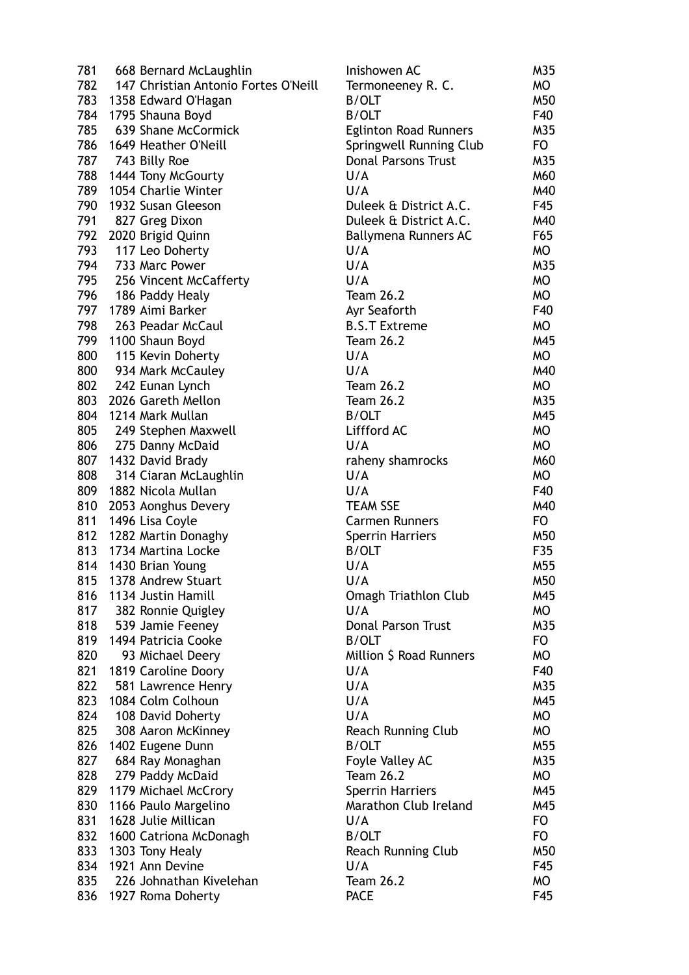| 781 | 668 Bernard McLaughlin               | Inishowen AC                 | M35       |
|-----|--------------------------------------|------------------------------|-----------|
| 782 | 147 Christian Antonio Fortes O'Neill | Termoneeney R. C.            | MO        |
|     | 783 1358 Edward O'Hagan              | B/OLT                        | M50       |
| 784 | 1795 Shauna Boyd                     | <b>B/OLT</b>                 | F40       |
| 785 | 639 Shane McCormick                  | <b>Eglinton Road Runners</b> | M35       |
|     | 786 1649 Heather O'Neill             | Springwell Running Club      | FO.       |
|     | 787 743 Billy Roe                    | <b>Donal Parsons Trust</b>   | M35       |
| 788 | 1444 Tony McGourty                   | U/A                          | M60       |
| 789 | 1054 Charlie Winter                  | U/A                          | M40       |
| 790 | 1932 Susan Gleeson                   | Duleek & District A.C.       | F45       |
| 791 |                                      | Duleek & District A.C.       | M40       |
| 792 | 827 Greg Dixon                       |                              | F65       |
|     | 2020 Brigid Quinn                    | Ballymena Runners AC         |           |
| 793 | 117 Leo Doherty                      | U/A                          | MO        |
| 794 | 733 Marc Power                       | U/A                          | M35       |
| 795 | 256 Vincent McCafferty               | U/A                          | MO        |
| 796 | 186 Paddy Healy                      | <b>Team 26.2</b>             | <b>MO</b> |
| 797 | 1789 Aimi Barker                     | Ayr Seaforth                 | F40       |
| 798 | 263 Peadar McCaul                    | <b>B.S.T Extreme</b>         | <b>MO</b> |
|     | 799 1100 Shaun Boyd                  | <b>Team 26.2</b>             | M45       |
| 800 | 115 Kevin Doherty                    | U/A                          | MO        |
| 800 | 934 Mark McCauley                    | U/A                          | M40       |
| 802 | 242 Eunan Lynch                      | <b>Team 26.2</b>             | MO        |
| 803 | 2026 Gareth Mellon                   | <b>Team 26.2</b>             | M35       |
| 804 | 1214 Mark Mullan                     | <b>B/OLT</b>                 | M45       |
| 805 | 249 Stephen Maxwell                  | Liffford AC                  | MO        |
| 806 | 275 Danny McDaid                     | U/A                          | <b>MO</b> |
| 807 | 1432 David Brady                     | raheny shamrocks             | M60       |
| 808 | 314 Ciaran McLaughlin                | U/A                          | MO        |
| 809 | 1882 Nicola Mullan                   | U/A                          | F40       |
| 810 |                                      | <b>TEAM SSE</b>              | M40       |
| 811 | 2053 Aonghus Devery                  | <b>Carmen Runners</b>        |           |
|     | 1496 Lisa Coyle                      |                              | FO.       |
| 812 | 1282 Martin Donaghy                  | <b>Sperrin Harriers</b>      | M50       |
| 813 | 1734 Martina Locke                   | <b>B/OLT</b>                 | F35       |
|     | 814 1430 Brian Young                 | U/A                          | M55       |
| 815 | 1378 Andrew Stuart                   | U/A                          | M50       |
| 816 | 1134 Justin Hamill                   | <b>Omagh Triathlon Club</b>  | M45       |
| 817 | 382 Ronnie Quigley                   | U/A                          | МO        |
| 818 | 539 Jamie Feeney                     | <b>Donal Parson Trust</b>    | M35       |
| 819 | 1494 Patricia Cooke                  | <b>B/OLT</b>                 | <b>FO</b> |
| 820 | 93 Michael Deery                     | Million \$ Road Runners      | MO        |
| 821 | 1819 Caroline Doory                  | U/A                          | F40       |
| 822 | 581 Lawrence Henry                   | U/A                          | M35       |
| 823 | 1084 Colm Colhoun                    | U/A                          | M45       |
| 824 | 108 David Doherty                    | U/A                          | MO        |
| 825 | 308 Aaron McKinney                   | Reach Running Club           | MO        |
| 826 | 1402 Eugene Dunn                     | <b>B/OLT</b>                 | M55       |
| 827 | 684 Ray Monaghan                     | Foyle Valley AC              | M35       |
| 828 | 279 Paddy McDaid                     | <b>Team 26.2</b>             | MO        |
| 829 | 1179 Michael McCrory                 | <b>Sperrin Harriers</b>      | M45       |
| 830 | 1166 Paulo Margelino                 | Marathon Club Ireland        | M45       |
| 831 | 1628 Julie Millican                  | U/A                          | FO.       |
|     |                                      |                              | FO.       |
| 832 | 1600 Catriona McDonagh               | <b>B/OLT</b>                 |           |
| 833 | 1303 Tony Healy                      | <b>Reach Running Club</b>    | M50       |
| 834 | 1921 Ann Devine                      | U/A                          | F45       |
| 835 | 226 Johnathan Kivelehan              | <b>Team 26.2</b>             | MO        |
| 836 | 1927 Roma Doherty                    | <b>PACE</b>                  | F45       |

| Inishowen AC                 | M35       |
|------------------------------|-----------|
| Termoneeney R. C.            | МO        |
| <b>B/OLT</b>                 | M50       |
| <b>B/OLT</b>                 | F40       |
| <b>Eglinton Road Runners</b> | M35       |
| Springwell Running Club      | FO.       |
| <b>Donal Parsons Trust</b>   | M35       |
| U/A                          | M60       |
| U/A                          |           |
|                              | M40       |
| Duleek & District A.C.       | F45       |
| Duleek & District A.C.       | M40       |
| <b>Ballymena Runners AC</b>  | F65       |
| U/A                          | МO        |
| U/A                          | M35       |
| U/A                          | МO        |
| <b>Team 26.2</b>             | MO        |
| Ayr Seaforth                 | F40       |
| <b>B.S.T Extreme</b>         | МO        |
| <b>Team 26.2</b>             | M45       |
| U/A                          | МO        |
| U/A                          | M40       |
| <b>Team 26.2</b>             | МO        |
| <b>Team 26.2</b>             | M35       |
| B/OLT                        | M45       |
| Liffford AC                  | МO        |
| U/A                          | МO        |
| raheny shamrocks             | M60       |
| U/A                          | МO        |
| U/A                          | F40       |
| <b>TEAM SSE</b>              | M40       |
| <b>Carmen Runners</b>        | FO        |
|                              |           |
| <b>Sperrin Harriers</b>      | M50       |
| <b>B/OLT</b>                 | F35       |
| U/A                          | M55       |
| 11/A                         | M50       |
| <b>Omagh Triathlon Club</b>  | M45       |
| U/A                          | <b>MO</b> |
| <b>Donal Parson Trust</b>    | M35       |
| <b>B/OLT</b>                 | FO.       |
| Million \$ Road Runners      | МO        |
| U/A                          | F40       |
| U/A                          | M35       |
| U/A                          | M45       |
| U/A                          | <b>MO</b> |
| <b>Reach Running Club</b>    | МO        |
| <b>B/OLT</b>                 | M55       |
| Foyle Valley AC              | M35       |
| <b>Team 26.2</b>             | МO        |
| <b>Sperrin Harriers</b>      | M45       |
| Marathon Club Ireland        | M45       |
| U/A                          | FO        |
| <b>B/OLT</b>                 | FO.       |
|                              | M50       |
| Reach Running Club           |           |
| U/A                          | F45       |
| <b>Team 26.2</b>             | МO        |
| <b>PACE</b>                  | F45       |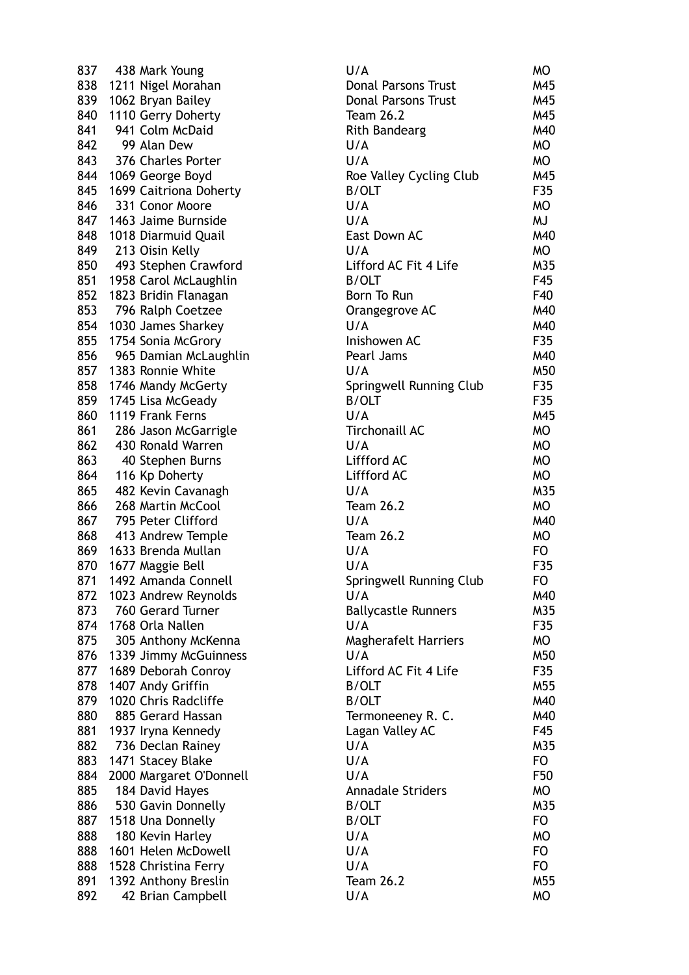837 438 Mark Young 838 1211 Nigel Morahan 839 1062 Bryan Bailey 840 1110 Gerry Doherty 841 941 Colm McDaid 842 99 Alan Dew 843 376 Charles Porter 844 1069 George Boyd 845 1699 Caitriona Doherty 846 331 Conor Moore 847 1463 Jaime Burnside 848 1018 Diarmuid Quail 849 213 Oisin Kelly 850 493 Stephen Crawford 851 1958 Carol McLaughlin 852 1823 Bridin Flanagan 853 796 Ralph Coetzee 854 1030 James Sharkey 855 1754 Sonia McGrory 856 965 Damian McLaughlin 857 1383 Ronnie White 858 1746 Mandy McGerty 859 1745 Lisa McGeady 860 1119 Frank Ferns 861 286 Jason McGarrigle 862 430 Ronald Warren 863 40 Stephen Burns 864 116 Kp Doherty 865 482 Kevin Cavanagh 866 268 Martin McCool 867 795 Peter Clifford 868 413 Andrew Temple 869 1633 Brenda Mullan 870 1677 Maggie Bell 871 1492 Amanda Connell 872 1023 Andrew Reynolds 873 760 Gerard Turner 874 1768 Orla Nallen 875 305 Anthony McKenna 876 1339 Jimmy McGuinness 877 1689 Deborah Conroy 878 1407 Andy Griffin 879 1020 Chris Radcliffe 880 885 Gerard Hassan 881 1937 Iryna Kennedy 882 736 Declan Rainey 883 1471 Stacey Blake 884 2000 Margaret O'Donnell 885 184 David Hayes 886 530 Gavin Donnelly 887 1518 Una Donnelly 888 180 Kevin Harley 888 1601 Helen McDowell 888 1528 Christina Ferry 891 1392 Anthony Breslin 892 42 Brian Campbell

| U/A                         | МO              |
|-----------------------------|-----------------|
| <b>Donal Parsons Trust</b>  | M45             |
| <b>Donal Parsons Trust</b>  | M45             |
| <b>Team 26.2</b>            | M45             |
| <b>Rith Bandearg</b>        | M40             |
| U/A                         | МO              |
| U/A                         | МO              |
| Roe Valley Cycling Club     | M45             |
| <b>B/OLT</b>                | F35             |
| U/A                         | МO              |
| U/A                         | MJ              |
| East Down AC                | M40             |
| U/A                         | МO              |
| Lifford AC Fit 4 Life       | M35             |
| <b>B/OLT</b>                | F45             |
| Born To Run                 | F40             |
| Orangegrove AC              | M40             |
| U/A                         | M40             |
| Inishowen AC                | F35             |
|                             | M40             |
| Pearl Jams<br>U/A           | M <sub>50</sub> |
|                             |                 |
| Springwell Running Club     | F35             |
| <b>B/OLT</b>                | F35             |
| U/A                         | M45             |
| <b>Tirchonaill AC</b>       | MO              |
| U/A                         | <b>MO</b>       |
| Liffford AC                 | <b>MO</b>       |
| Liffford AC                 | МO              |
| U/A                         | M35             |
| <b>Team 26.2</b>            | МO              |
| U/A                         | M40             |
| <b>Team 26.2</b>            | МO              |
| U/A                         | FO              |
| U/A                         | F35             |
| Springwell Running Club     | FO              |
| U/A                         | M40             |
| <b>Ballycastle Runners</b>  | M35             |
| U/A                         | F35             |
| <b>Magherafelt Harriers</b> | МO              |
| U/A                         | M50             |
| Lifford AC Fit 4 Life       | F35             |
| <b>B/OLT</b>                | M55             |
| <b>B/OLT</b>                | M40             |
| Termoneeney R. C.           | M40             |
| Lagan Valley AC             | F45             |
| U/A                         | M35             |
| U/A                         | FO.             |
| U/A                         | F50             |
| <b>Annadale Striders</b>    | МO              |
| <b>B/OLT</b>                | M35             |
| <b>B/OLT</b>                | FO.             |
| U/A                         | МO              |
| U/A                         | FO              |
| U/A                         | FO.             |
| <b>Team 26.2</b>            | M55             |
| U/A                         | МO              |
|                             |                 |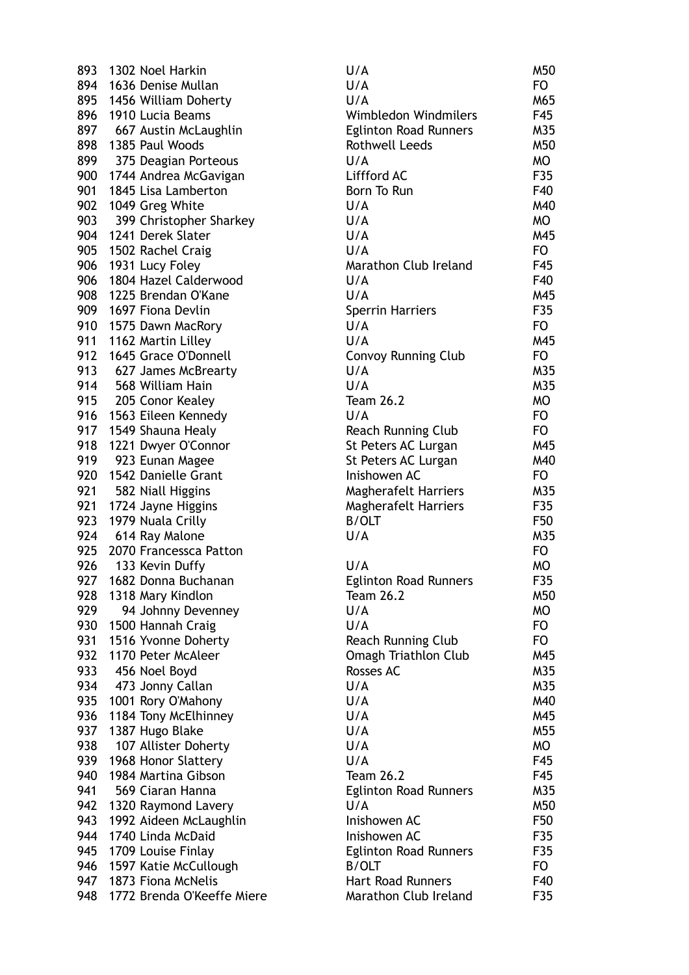893 1302 Noel Harkin 894 1636 Denise Mullan 895 1456 William Doherty 896 1910 Lucia Beams 897 667 Austin McLaughlin 898 1385 Paul Woods 899 375 Deagian Porteous 900 1744 Andrea McGavigan 901 1845 Lisa Lamberton 902 1049 Greg White 903 399 Christopher Sharkey 904 1241 Derek Slater 905 1502 Rachel Craig 906 1931 Lucy Foley 906 1804 Hazel Calderwood 908 1225 Brendan O'Kane 909 1697 Fiona Devlin 910 1575 Dawn MacRory 911 1162 Martin Lilley 912 1645 Grace O'Donnell 913 627 James McBrearty 914 568 William Hain 915 205 Conor Kealey 916 1563 Eileen Kennedy 917 1549 Shauna Healy 918 1221 Dwyer O'Connor 919 923 Eunan Magee 920 1542 Danielle Grant 921 582 Niall Higgins 921 1724 Jayne Higgins 923 1979 Nuala Crilly 924 614 Ray Malone 925 2070 Francessca Patton 926 133 Kevin Duffy 927 1682 Donna Buchanan 928 1318 Mary Kindlon 929 94 Johnny Devenney 930 1500 Hannah Craig 931 1516 Yvonne Doherty 932 1170 Peter McAleer 933 456 Noel Boyd 934 473 Jonny Callan 935 1001 Rory O'Mahony 936 1184 Tony McElhinney 937 1387 Hugo Blake 938 107 Allister Doherty 939 1968 Honor Slattery 940 1984 Martina Gibson 941 569 Ciaran Hanna 942 1320 Raymond Lavery 943 1992 Aideen McLaughlin 944 1740 Linda McDaid 945 1709 Louise Finlay 946 1597 Katie McCullough 947 1873 Fiona McNelis 948 1772 Brenda O'Keeffe Miere

| U/A                                             | M50       |
|-------------------------------------------------|-----------|
| U/A                                             | FO        |
| U/A                                             | M65       |
| Wimbledon Windmilers                            | F45       |
| <b>Eglinton Road Runners</b>                    | M35       |
| <b>Rothwell Leeds</b>                           | M50       |
| U/A                                             | МO        |
| Liffford AC                                     | F35       |
| Born To Run                                     | F40       |
| U/A                                             | M40       |
| U/A                                             | MO        |
| U/A                                             | M45       |
| U/A                                             | FO        |
| Marathon Club Ireland                           | F45       |
| U/A                                             | F40       |
| U/A                                             | M45       |
| <b>Sperrin Harriers</b>                         | F35       |
| U/A                                             | FO        |
| U/A                                             | M45       |
| <b>Convoy Running Club</b>                      | FO        |
| U/A                                             | M35       |
| U/A                                             | M35       |
| <b>Team 26.2</b>                                | <b>MO</b> |
| U/A                                             | FO.       |
| <b>Reach Running Club</b>                       | FO        |
| St Peters AC Lurgan                             | M45       |
| St Peters AC Lurgan                             | M40       |
| Inishowen AC                                    | FO        |
| <b>Magherafelt Harriers</b>                     | M35       |
| <b>Magherafelt Harriers</b>                     | F35       |
| <b>B/OLT</b>                                    | F50       |
| U/A                                             | M35       |
|                                                 | FO.       |
| U/A                                             | МO        |
| <b>Eglinton Road Runners</b>                    | F35       |
| Team 26.2                                       | M50       |
| U/A                                             | МO        |
| U/A                                             | FO.       |
|                                                 | FO.       |
| <b>Reach Running Club</b>                       | M45       |
| <b>Omagh Triathlon Club</b><br><b>Rosses AC</b> |           |
|                                                 | M35       |
| U/A                                             | M35       |
| U/A                                             | M40       |
| U/A                                             | M45       |
| U/A                                             | M55       |
| U/A                                             | МO        |
| U/A                                             | F45       |
| Team 26.2                                       | F45       |
| <b>Eglinton Road Runners</b>                    | M35       |
| U/A                                             | M50       |
| Inishowen AC                                    | F50       |
| Inishowen AC                                    | F35       |
| <b>Eglinton Road Runners</b>                    | F35       |
| <b>B/OLT</b>                                    | FO        |
| <b>Hart Road Runners</b>                        | F40       |
| Marathon Club Ireland                           | F35       |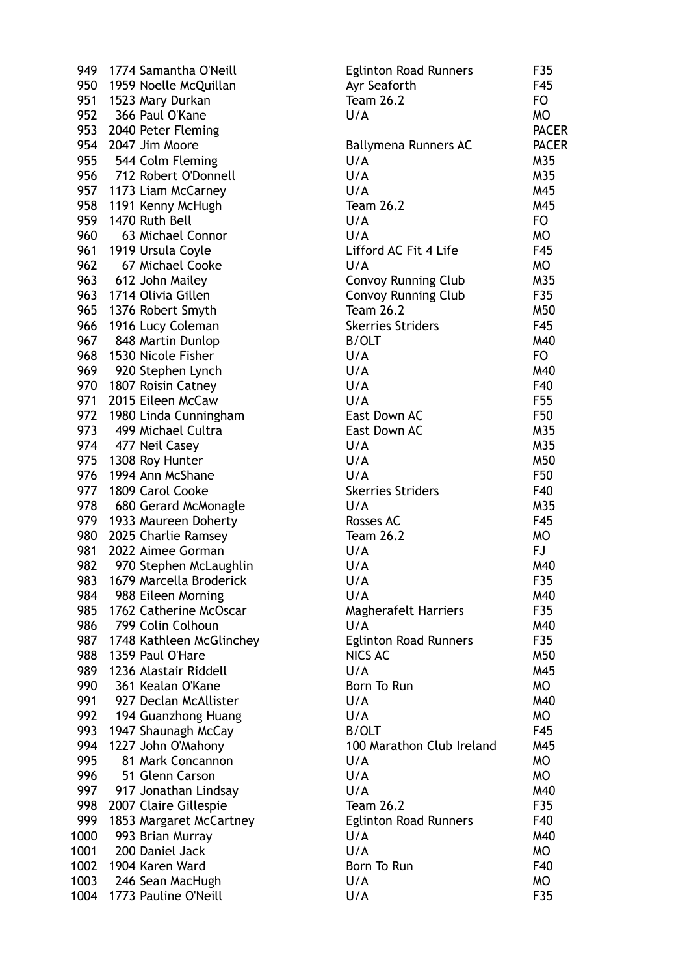| 949  | 1774 Samantha O'Neill    | <b>Eglinton Road Runners</b> | F35             |
|------|--------------------------|------------------------------|-----------------|
| 950  | 1959 Noelle McQuillan    | Ayr Seaforth                 | F45             |
| 951  | 1523 Mary Durkan         | <b>Team 26.2</b>             | <b>FO</b>       |
| 952  | 366 Paul O'Kane          | U/A                          | <b>MO</b>       |
|      | 953 2040 Peter Fleming   |                              | <b>PACER</b>    |
| 954  | 2047 Jim Moore           | Ballymena Runners AC         | <b>PACER</b>    |
| 955  | 544 Colm Fleming         | U/A                          | M35             |
|      | 956 712 Robert O'Donnell | U/A                          | M35             |
| 957  | 1173 Liam McCarney       | U/A                          | M45             |
| 958  | 1191 Kenny McHugh        | <b>Team 26.2</b>             | M45             |
| 959  | 1470 Ruth Bell           | U/A                          | FO              |
| 960  | 63 Michael Connor        | U/A                          | <b>MO</b>       |
| 961  | 1919 Ursula Coyle        | Lifford AC Fit 4 Life        | F45             |
| 962  | 67 Michael Cooke         | U/A                          | <b>MO</b>       |
|      | 963 612 John Mailey      | <b>Convoy Running Club</b>   | M35             |
| 963  | 1714 Olivia Gillen       | <b>Convoy Running Club</b>   | F35             |
|      | 965 1376 Robert Smyth    | <b>Team 26.2</b>             | M50             |
| 966  | 1916 Lucy Coleman        | <b>Skerries Striders</b>     | F45             |
| 967  | 848 Martin Dunlop        | <b>B/OLT</b>                 | M40             |
| 968  | 1530 Nicole Fisher       | U/A                          | <b>FO</b>       |
|      | 969 920 Stephen Lynch    | U/A                          | M40             |
| 970  | 1807 Roisin Catney       | U/A                          | F40             |
|      | 971 2015 Eileen McCaw    | U/A                          | F <sub>55</sub> |
| 972  | 1980 Linda Cunningham    | East Down AC                 | F50             |
| 973  | 499 Michael Cultra       | East Down AC                 | M35             |
|      | 974 477 Neil Casey       | U/A                          | M35             |
| 975  | 1308 Roy Hunter          | U/A                          | M50             |
| 976  | 1994 Ann McShane         | U/A                          | F50             |
| 977  | 1809 Carol Cooke         | <b>Skerries Striders</b>     | F40             |
|      | 978 680 Gerard McMonagle | U/A                          | M35             |
| 979  | 1933 Maureen Doherty     | <b>Rosses AC</b>             | F45             |
| 980  | 2025 Charlie Ramsey      | <b>Team 26.2</b>             | <b>MO</b>       |
| 981  | 2022 Aimee Gorman        | U/A                          | FJ              |
| 982  | 970 Stephen McLaughlin   | U/A                          | M40             |
| 983  | 1679 Marcella Broderick  | U/A                          | F35             |
| 984  | 988 Eileen Morning       | U/A                          | M40             |
| 985  | 1762 Catherine McOscar   | <b>Magherafelt Harriers</b>  | F35             |
| 986  | 799 Colin Colhoun        | U/A                          | M40             |
| 987  | 1748 Kathleen McGlinchey | <b>Eglinton Road Runners</b> | F35             |
| 988  | 1359 Paul O'Hare         | NICS AC                      | M50             |
| 989  | 1236 Alastair Riddell    | U/A                          | M45             |
| 990  | 361 Kealan O'Kane        | Born To Run                  | MO              |
| 991  | 927 Declan McAllister    | U/A                          | M40             |
| 992  | 194 Guanzhong Huang      | U/A                          | <b>MO</b>       |
| 993  | 1947 Shaunagh McCay      | <b>B/OLT</b>                 | F45             |
| 994  | 1227 John O'Mahony       | 100 Marathon Club Ireland    | M45             |
| 995  | 81 Mark Concannon        | U/A                          | <b>MO</b>       |
| 996  | 51 Glenn Carson          | U/A                          | MO              |
| 997  | 917 Jonathan Lindsay     | U/A                          | M40             |
| 998  | 2007 Claire Gillespie    | <b>Team 26.2</b>             | F35             |
| 999  | 1853 Margaret McCartney  | <b>Eglinton Road Runners</b> | F40             |
| 1000 | 993 Brian Murray         | U/A                          | M40             |
| 1001 | 200 Daniel Jack          | U/A                          | MO              |
| 1002 | 1904 Karen Ward          | Born To Run                  | F40             |
| 1003 | 246 Sean MacHugh         | U/A                          | MO              |
| 1004 | 1773 Pauline O'Neill     | U/A                          | F35             |
|      |                          |                              |                 |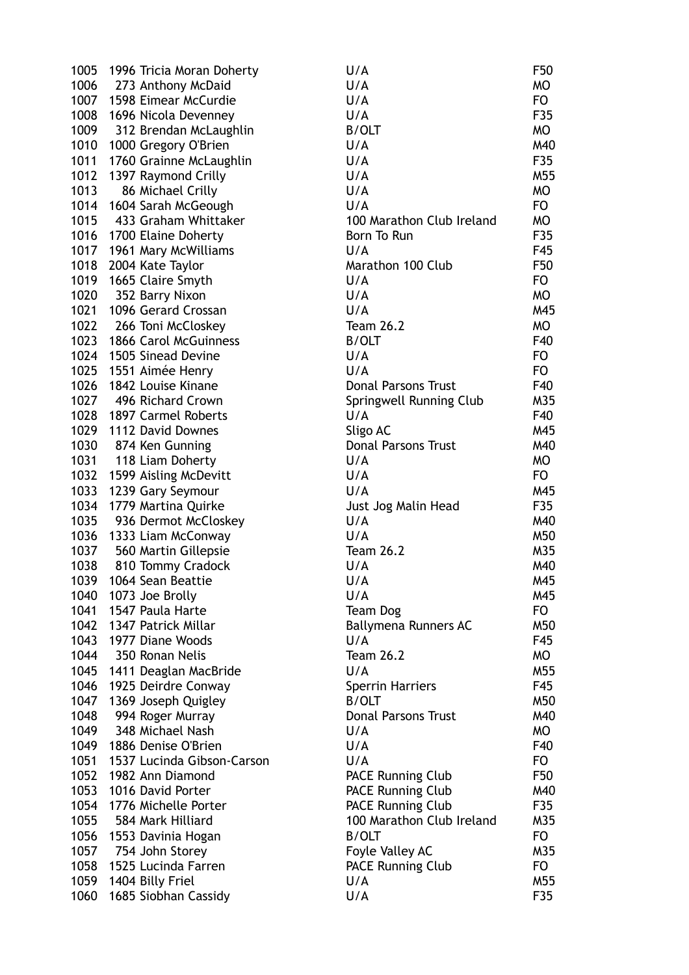| 1005 | 1996 Tricia Moran Doherty  | U/A                                       | F50             |
|------|----------------------------|-------------------------------------------|-----------------|
| 1006 | 273 Anthony McDaid         | U/A                                       | MO              |
| 1007 | 1598 Eimear McCurdie       | U/A                                       | FO              |
| 1008 | 1696 Nicola Devenney       | U/A                                       | F35             |
| 1009 | 312 Brendan McLaughlin     | <b>B/OLT</b>                              | MO              |
| 1010 | 1000 Gregory O'Brien       | U/A                                       | M40             |
| 1011 | 1760 Grainne McLaughlin    | U/A                                       | F35             |
| 1012 | 1397 Raymond Crilly        | U/A                                       | M <sub>55</sub> |
| 1013 | 86 Michael Crilly          | U/A                                       | MO              |
| 1014 | 1604 Sarah McGeough        | U/A                                       | FO              |
| 1015 | 433 Graham Whittaker       | 100 Marathon Club Ireland                 | <b>MO</b>       |
| 1016 | 1700 Elaine Doherty        | Born To Run                               | F35             |
| 1017 | 1961 Mary McWilliams       | U/A                                       | F45             |
| 1018 | 2004 Kate Taylor           | Marathon 100 Club                         | F50             |
| 1019 | 1665 Claire Smyth          | U/A                                       | FO              |
| 1020 | 352 Barry Nixon            | U/A                                       | <b>MO</b>       |
| 1021 | 1096 Gerard Crossan        | U/A                                       | M45             |
| 1022 | 266 Toni McCloskey         | <b>Team 26.2</b>                          | MO              |
| 1023 | 1866 Carol McGuinness      | B/OLT                                     | F40             |
|      | 1024 1505 Sinead Devine    | U/A                                       | FO              |
| 1025 | 1551 Aimée Henry           | U/A                                       | <b>FO</b>       |
| 1026 | 1842 Louise Kinane         | <b>Donal Parsons Trust</b>                | F40             |
| 1027 | 496 Richard Crown          | Springwell Running Club                   | M35             |
| 1028 | 1897 Carmel Roberts        | U/A                                       | F40             |
| 1029 | 1112 David Downes          | Sligo AC                                  | M45             |
| 1030 | 874 Ken Gunning            | <b>Donal Parsons Trust</b>                | M40             |
| 1031 | 118 Liam Doherty           | U/A                                       | <b>MO</b>       |
| 1032 | 1599 Aisling McDevitt      | U/A                                       | FO              |
| 1033 | 1239 Gary Seymour          | U/A                                       | M45             |
| 1034 | 1779 Martina Quirke        | Just Jog Malin Head                       | F35             |
| 1035 | 936 Dermot McCloskey       | U/A                                       | M40             |
| 1036 | 1333 Liam McConway         | U/A                                       | M50             |
| 1037 | 560 Martin Gillepsie       | <b>Team 26.2</b>                          | M35             |
| 1038 | 810 Tommy Cradock          | U/A                                       | M40             |
| 1039 | 1064 Sean Beattie          | U/A                                       | M45             |
| 1040 | 1073 Joe Brolly            | U/A                                       | M45             |
| 1041 | 1547 Paula Harte           | Team Dog                                  | FO              |
| 1042 | 1347 Patrick Millar        | Ballymena Runners AC                      | M50             |
| 1043 | 1977 Diane Woods           | U/A                                       | F45             |
| 1044 | 350 Ronan Nelis            | <b>Team 26.2</b>                          | MO              |
| 1045 | 1411 Deaglan MacBride      | U/A                                       | M55             |
| 1046 | 1925 Deirdre Conway        | <b>Sperrin Harriers</b>                   | F45             |
| 1047 | 1369 Joseph Quigley        | <b>B/OLT</b>                              | M50             |
| 1048 | 994 Roger Murray           | <b>Donal Parsons Trust</b>                | M40             |
| 1049 | 348 Michael Nash           | U/A                                       | MO              |
| 1049 | 1886 Denise O'Brien        | U/A                                       | F40             |
| 1051 | 1537 Lucinda Gibson-Carson | U/A                                       | FO              |
| 1052 | 1982 Ann Diamond           | <b>PACE Running Club</b>                  | F50             |
| 1053 | 1016 David Porter          | <b>PACE Running Club</b>                  | M40             |
| 1054 | 1776 Michelle Porter       |                                           | F35             |
| 1055 | 584 Mark Hilliard          | <b>PACE Running Club</b>                  |                 |
|      |                            | 100 Marathon Club Ireland<br><b>B/OLT</b> | M35<br>FO       |
| 1056 | 1553 Davinia Hogan         |                                           |                 |
| 1057 | 754 John Storey            | Foyle Valley AC                           | M35             |
| 1058 | 1525 Lucinda Farren        | <b>PACE Running Club</b>                  | FO              |
| 1059 | 1404 Billy Friel           | U/A                                       | M55             |
| 1060 | 1685 Siobhan Cassidy       | U/A                                       | F35             |

| J/A                       | F50       |
|---------------------------|-----------|
| J/A                       | <b>MO</b> |
| J/A                       | FO        |
| J/A                       | F35       |
| 3/OLT                     | МO        |
| J/A                       | M40       |
| J/A                       | F35       |
| J/A                       | M55       |
| J/A                       | МO        |
| J/A                       | FO.       |
| 00 Marathon Club Ireland  | МO        |
| orn To Run                | F35       |
| J/A                       | F45       |
| Aarathon 100 Club         | F50       |
| J/A                       | FO.       |
| J/A                       | <b>MO</b> |
| J/A                       | M45       |
| eam 26.2                  | МO        |
| 3/OLT                     | F40       |
| J/A                       | FO.       |
| J/A                       | FO.       |
| <b>Onal Parsons Trust</b> | F40       |
| pringwell Running Club    | M35       |
| J/A                       | F40       |
| ligo AC                   | M45       |
| <b>Onal Parsons Trust</b> | M40       |
| J/A                       | МO        |
| J/A                       | FO.       |
| J/A                       | M45       |
| ust Jog Malin Head        | F35       |
| J/A                       | M40       |
| J/A                       | M50       |
| $e$ am 26.2               | M35       |
| J/A                       | M40       |
| J/A                       | M45       |
| J/A                       | M45       |
| eam Dog                   | FO        |
| iallymena Runners AC      | M50       |
| J/A                       | F45       |
| eam 26.2                  | <b>MO</b> |
| J/A                       | M55       |
| perrin Harriers           | F45       |
| <b>S/OLT</b>              | M50       |
| <b>Onal Parsons Trust</b> | M40       |
| J/A                       | МO        |
| J/A                       | F40       |
| J/A                       | FO.       |
| ACE Running Club          | F50       |
| ACE Running Club          | M40       |
| ACE Running Club          | F35       |
|                           |           |
| 00 Marathon Club Ireland  | M35       |
| 3/OLT                     | FO        |
| oyle Valley AC            | M35       |
| <b>ACE Running Club</b>   | FO.       |
| J/A                       | M55       |
| J/A                       | F35       |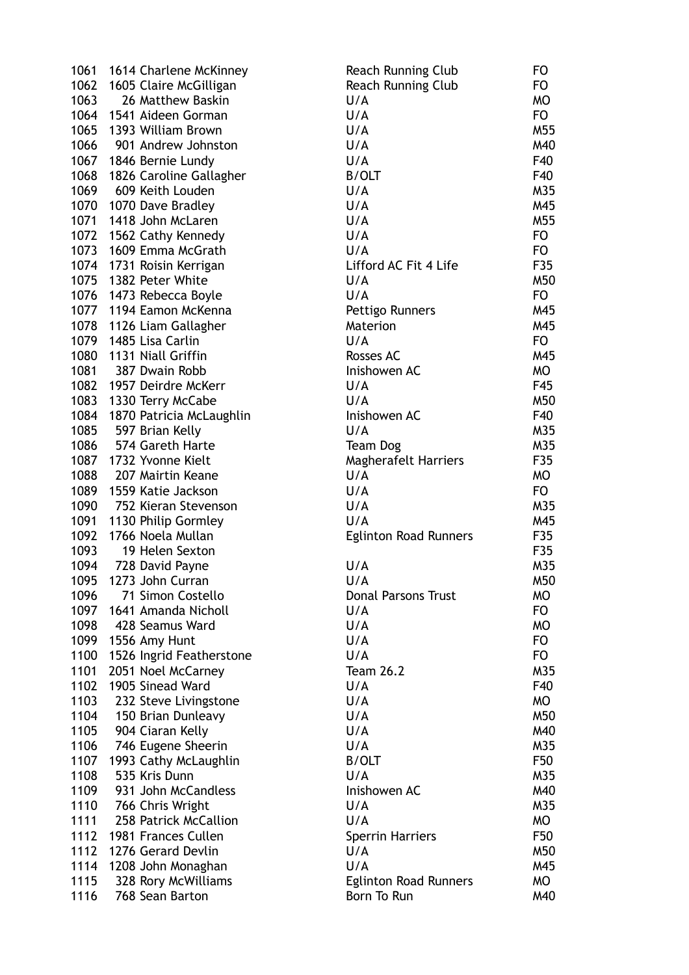| 1061         | 1614 Charlene McKinney                      | Reach Running Club               | <b>FO</b> |
|--------------|---------------------------------------------|----------------------------------|-----------|
| 1062         | 1605 Claire McGilligan                      | Reach Running Club               | FO        |
| 1063         | 26 Matthew Baskin                           | U/A                              | MO        |
| 1064         | 1541 Aideen Gorman                          | U/A                              | FO        |
| 1065         | 1393 William Brown                          | U/A                              | M55       |
| 1066         | 901 Andrew Johnston                         | U/A                              | M40       |
| 1067         | 1846 Bernie Lundy                           | U/A                              | F40       |
| 1068         | 1826 Caroline Gallagher                     | <b>B/OLT</b>                     | F40       |
| 1069         | 609 Keith Louden                            | U/A                              | M35       |
| 1070         | 1070 Dave Bradley                           | U/A                              | M45       |
| 1071         | 1418 John McLaren                           | U/A                              | M55       |
| 1072         | 1562 Cathy Kennedy                          | U/A                              | FO        |
| 1073         | 1609 Emma McGrath                           | U/A                              | FO        |
| 1074         | 1731 Roisin Kerrigan                        | Lifford AC Fit 4 Life            | F35       |
| 1075         | 1382 Peter White                            | U/A                              | M50       |
| 1076         | 1473 Rebecca Boyle                          | U/A                              | FO        |
| 1077         | 1194 Eamon McKenna                          | Pettigo Runners                  | M45       |
| 1078         | 1126 Liam Gallagher                         | Materion                         | M45       |
| 1079         | 1485 Lisa Carlin                            | U/A                              | FO        |
| 1080         | 1131 Niall Griffin                          | Rosses AC                        | M45       |
| 1081         | 387 Dwain Robb                              | Inishowen AC                     | MO        |
| 1082         | 1957 Deirdre McKerr                         | U/A                              | F45       |
| 1083         |                                             | U/A                              | M50       |
| 1084         | 1330 Terry McCabe                           | Inishowen AC                     | F40       |
| 1085         | 1870 Patricia McLaughlin<br>597 Brian Kelly | U/A                              | M35       |
| 1086         | 574 Gareth Harte                            |                                  | M35       |
| 1087         | 1732 Yvonne Kielt                           | Team Dog<br>Magherafelt Harriers | F35       |
| 1088         | 207 Mairtin Keane                           | U/A                              | MO        |
| 1089         | 1559 Katie Jackson                          | U/A                              | FO        |
| 1090         | 752 Kieran Stevenson                        | U/A                              | M35       |
| 1091         | 1130 Philip Gormley                         | U/A                              | M45       |
| 1092         | 1766 Noela Mullan                           | <b>Eglinton Road Runners</b>     | F35       |
| 1093         | 19 Helen Sexton                             |                                  | F35       |
| 1094         | 728 David Payne                             | U/A                              | M35       |
| 1095         | 1273 John Curran                            | U/A                              | M50       |
| 1096         | 71 Simon Costello                           | <b>Donal Parsons Trust</b>       | МO        |
| 1097         | 1641 Amanda Nicholl                         | U/A                              | FO        |
| 1098         | 428 Seamus Ward                             | U/A                              | МO        |
| 1099         |                                             | U/A                              |           |
|              | 1556 Amy Hunt                               | U/A                              | FO        |
| 1100         | 1526 Ingrid Featherstone                    |                                  | FO        |
| 1101<br>1102 | 2051 Noel McCarney                          | <b>Team 26.2</b>                 | M35       |
|              | 1905 Sinead Ward                            | U/A                              | F40       |
| 1103         | 232 Steve Livingstone                       | U/A                              | MO        |
| 1104         | 150 Brian Dunleavy                          | U/A                              | M50       |
| 1105         | 904 Ciaran Kelly                            | U/A                              | M40       |
| 1106         | 746 Eugene Sheerin                          | U/A                              | M35       |
| 1107         | 1993 Cathy McLaughlin                       | <b>B/OLT</b>                     | F50       |
| 1108         | 535 Kris Dunn                               | U/A                              | M35       |
| 1109         | 931 John McCandless                         | Inishowen AC                     | M40       |
| 1110         | 766 Chris Wright                            | U/A                              | M35       |
| 1111         | 258 Patrick McCallion                       | U/A                              | MO        |
| 1112         | 1981 Frances Cullen                         | <b>Sperrin Harriers</b>          | F50       |
| 1112         | 1276 Gerard Devlin                          | U/A                              | M50       |
| 1114         | 1208 John Monaghan                          | U/A                              | M45       |
| 1115         | 328 Rory McWilliams                         | <b>Eglinton Road Runners</b>     | MO        |
| 1116         | 768 Sean Barton                             | Born To Run                      | M40       |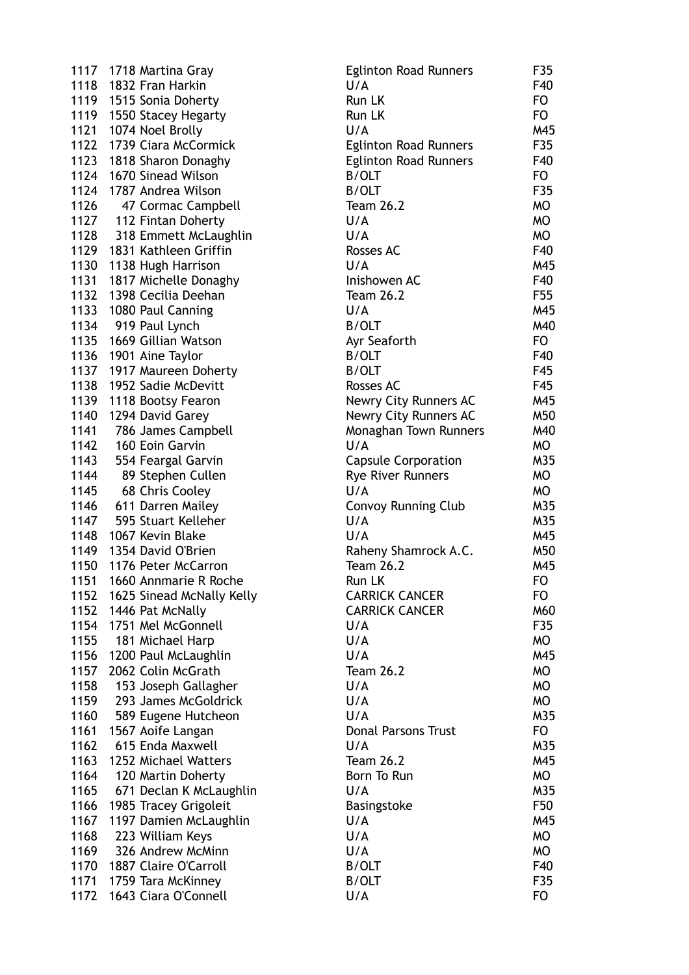1117 1718 Martina Gray 1118 1832 Fran Harkin 1119 1515 Sonia Doherty 1119 1550 Stacey Hegarty 1121 1074 Noel Brolly 1122 1739 Ciara McCormick 1123 1818 Sharon Donaghy 1124 1670 Sinead Wilson 1124 1787 Andrea Wilson 1126 47 Cormac Campbell 1127 112 Fintan Doherty 1128 318 Emmett McLaughlin 1129 1831 Kathleen Griffin 1130 1138 Hugh Harrison 1131 1817 Michelle Donaghy 1132 1398 Cecilia Deehan 1133 1080 Paul Canning 1134 919 Paul Lynch 1135 1669 Gillian Watson 1136 1901 Aine Taylor 1137 1917 Maureen Doherty 1138 1952 Sadie McDevitt 1139 1118 Bootsy Fearon 1140 1294 David Garey 1141 786 James Campbell 1142 160 Eoin Garvin 1143 554 Feargal Garvin 1144 89 Stephen Cullen 1145 68 Chris Cooley 1146 611 Darren Mailev 1147 595 Stuart Kelleher 1148 1067 Kevin Blake 1149 1354 David O'Brien 1150 1176 Peter McCarron 1151 1660 Annmarie R Roche 1152 1625 Sinead McNally Kelly 1152 1446 Pat McNally 1154 1751 Mel McGonnell 1155 181 Michael Harp 1156 1200 Paul McLaughlin 1157 2062 Colin McGrath 1158 153 Joseph Gallagher 1159 293 James McGoldrick 1160 589 Eugene Hutcheon 1161 1567 Aoife Langan  $1162$  615 Enda Maxwell 1163 1252 Michael Watters 1164 120 Martin Doherty 1165 671 Declan K McLaughlin 1166 1985 Tracey Grigoleit 1167 1197 Damien McLaughlin 1168 223 William Keys 1169 326 Andrew McMinn 1170 1887 Claire O'Carroll 1171 1759 Tara McKinney 1172 1643 Ciara O'Connell

| <b>Eglinton Road Runners</b> | F35       |
|------------------------------|-----------|
| U/A                          | F40       |
| Run LK                       | FO        |
| Run LK                       | FO        |
|                              | M45       |
| U/A                          |           |
| <b>Eglinton Road Runners</b> | F35       |
| <b>Eglinton Road Runners</b> | F40       |
| <b>B/OLT</b>                 | FO.       |
| <b>B/OLT</b>                 | F35       |
| <b>Team 26.2</b>             | <b>MO</b> |
|                              | <b>MO</b> |
| U/A                          |           |
| U/A                          | <b>MO</b> |
| <b>Rosses AC</b>             | F40       |
| U/A                          | M45       |
| Inishowen AC                 | F40       |
| <b>Team 26.2</b>             | F55       |
| U/A                          | M45       |
|                              |           |
| <b>B/OLT</b>                 | M40       |
| Ayr Seaforth                 | FO.       |
| <b>B/OLT</b>                 | F40       |
| <b>B/OLT</b>                 | F45       |
| <b>Rosses AC</b>             | F45       |
| Newry City Runners AC        | M45       |
| Newry City Runners AC        | M50       |
|                              |           |
| Monaghan Town Runners        | M40       |
| U/A                          | МO        |
| <b>Capsule Corporation</b>   | M35       |
| <b>Rye River Runners</b>     | МO        |
| U/A                          | МO        |
| <b>Convoy Running Club</b>   | M35       |
| U/A                          | M35       |
| U/A                          | M45       |
|                              |           |
| Raheny Shamrock A.C.         | M50       |
| <b>Team 26.2</b>             | M45       |
| Run LK                       | FO        |
| <b>CARRICK CANCER</b>        | FO        |
| <b>CARRICK CANCER</b>        | M60       |
| U/A                          | F35       |
| U/A                          | МO        |
| U/A                          | M45       |
|                              |           |
| <b>Team 26.2</b>             | МO        |
| U/A                          | <b>MO</b> |
| U/A                          | <b>MO</b> |
| U/A                          | M35       |
| <b>Donal Parsons Trust</b>   | FO        |
| U/A                          | M35       |
| <b>Team 26.2</b>             | M45       |
|                              | <b>MO</b> |
| Born To Run                  |           |
| U/A                          | M35       |
| Basingstoke                  | F50       |
| U/A                          | M45       |
| U/A                          | МO        |
| U/A                          | МO        |
| <b>B/OLT</b>                 | F40       |
| <b>B/OLT</b>                 | F35       |
|                              |           |
| U/A                          | FO        |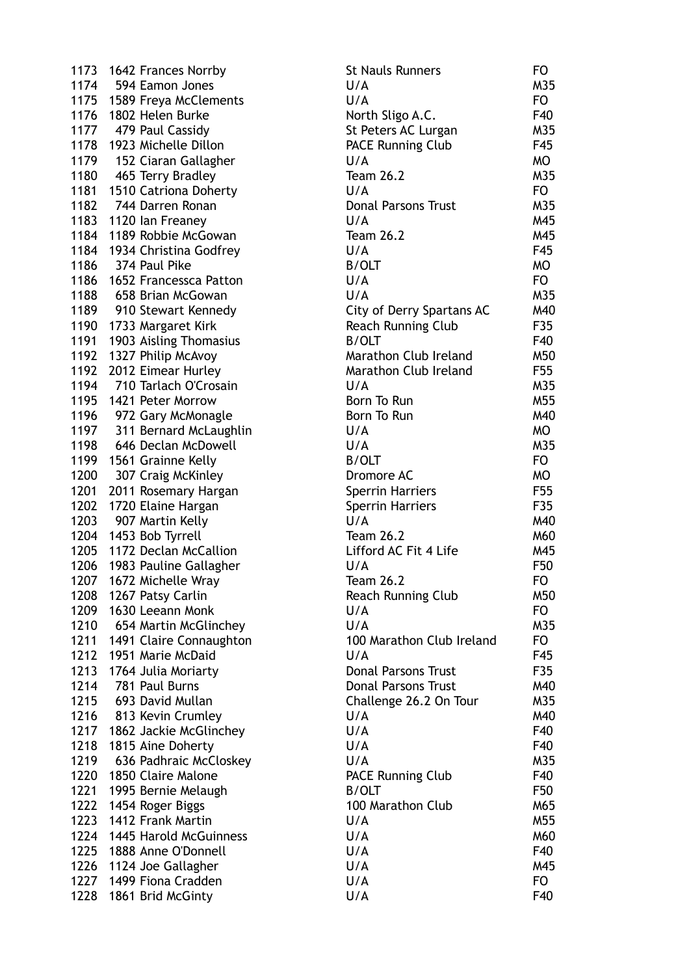1173 1642 Frances Norrby 1174 594 Eamon Jones 1175 1589 Freya McClements 1176 1802 Helen Burke 1177 479 Paul Cassidy 1178 1923 Michelle Dillon 1179 152 Ciaran Gallagher 1180 465 Terry Bradley 1181 1510 Catriona Doherty 1182 744 Darren Ronan 1183 1120 Ian Freaney 1184 1189 Robbie McGowan 1184 1934 Christina Godfrey 1186 374 Paul Pike 1186 1652 Francessca Patton 1188 658 Brian McGowan 1189 910 Stewart Kennedy 1190 1733 Margaret Kirk 1191 1903 Aisling Thomasius 1192 1327 Philip McAvov 1192 2012 Eimear Hurley 1194 710 Tarlach O'Crosain 1195 1421 Peter Morrow 1196 972 Gary McMonagle 1197 311 Bernard McLaughlin 1198 646 Declan McDowell 1199 1561 Grainne Kelly 1200 307 Craig McKinley 1201 2011 Rosemary Hargan 1202 1720 Elaine Hargan 1203 907 Martin Kelly 1204 1453 Bob Tyrrell 1205 1172 Declan McCallion 1206 1983 Pauline Gallagher 1207 1672 Michelle Wray 1208 1267 Patsy Carlin 1209 1630 Leeann Monk 1210 654 Martin McGlinchey 1211 1491 Claire Connaughton 1212 1951 Marie McDaid 1213 1764 Julia Moriarty 1214 781 Paul Burns 1215 693 David Mullan 1216 813 Kevin Crumley 1217 1862 Jackie McGlinchey 1218 1815 Aine Doherty 1219 636 Padhraic McCloskey 1220 1850 Claire Malone 1221 1995 Bernie Melaugh  $1222$  1454 Roger Biggs 1223 1412 Frank Martin 1224 1445 Harold McGuinness 1225 1888 Anne O'Donnell 1226 1124 Joe Gallagher 1227 1499 Fiona Cradden 1228 1861 Brid McGinty

| <b>St Nauls Runners</b>          | FO  |
|----------------------------------|-----|
| U/A                              | M35 |
| U/A                              | FO  |
| North Sligo A.C.                 | F40 |
| St Peters AC Lurgan              | M35 |
| <b>PACE Running Club</b>         | F45 |
| U/A                              | МO  |
| <b>Team 26.2</b>                 | M35 |
| U/A                              | FO. |
|                                  | M35 |
| <b>Donal Parsons Trust</b>       |     |
| U/A                              | M45 |
| <b>Team 26.2</b>                 | M45 |
| U/A                              | F45 |
| <b>B/OLT</b>                     | МO  |
| U/A                              | FO. |
| U/A                              | M35 |
| <b>City of Derry Spartans AC</b> | M40 |
| <b>Reach Running Club</b>        | F35 |
| <b>B/OLT</b>                     | F40 |
| Marathon Club Ireland            | M50 |
| <b>Marathon Club Ireland</b>     | F55 |
| U/A                              | M35 |
| Born To Run                      | M55 |
| Born To Run                      | M40 |
| U/A                              | МO  |
| U/A                              | M35 |
| <b>B/OLT</b>                     | FO. |
|                                  |     |
| Dromore AC                       | МO  |
| Sperrin Harriers                 | F55 |
| <b>Sperrin Harriers</b>          | F35 |
| U/A                              | M40 |
| <b>Team 26.2</b>                 | M60 |
| Lifford AC Fit 4 Life            | M45 |
| U/A                              | F50 |
| <b>Team 26.2</b>                 | FO  |
| <b>Reach Running Club</b>        | M50 |
| U/A                              | FO  |
| U/A                              | M35 |
| 100 Marathon Club Ireland        | FO  |
| U/A                              | F45 |
| <b>Donal Parsons Trust</b>       | F35 |
| <b>Donal Parsons Trust</b>       | M40 |
| Challenge 26.2 On Tour           | M35 |
| U/A                              | M40 |
| U/A                              | F40 |
| U/A                              | F40 |
|                                  |     |
| U/A                              | M35 |
| <b>PACE Running Club</b>         | F40 |
| <b>B/OLT</b>                     | F50 |
| 100 Marathon Club                | M65 |
| U/A                              | M55 |
| U/A                              | M60 |
| U/A                              | F40 |
| U/A                              | M45 |
| U/A                              | FO  |
| U/A                              | F40 |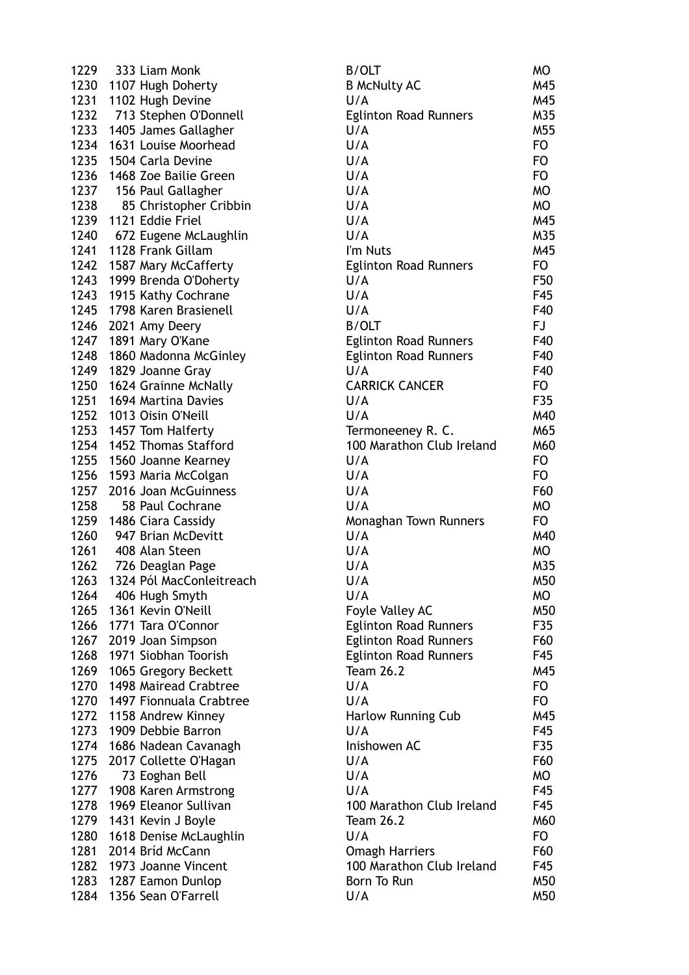1229 333 Liam Monk 1230 1107 Hugh Doherty 1231 1102 Hugh Devine 1232 713 Stephen O'Donnell 1233 1405 James Gallagher 1234 1631 Louise Moorhead 1235 1504 Carla Devine 1236 1468 Zoe Bailie Green 1237 156 Paul Gallagher 1238 85 Christopher Cribbin 1239 1121 Eddie Friel 1240 672 Eugene McLaughlin 1241 1128 Frank Gillam 1242 1587 Mary McCafferty 1243 1999 Brenda O'Doherty 1243 1915 Kathy Cochrane 1245 1798 Karen Brasienell 1246 2021 Amy Deery 1247 1891 Mary O'Kane 1248 1860 Madonna McGinley 1249 1829 Joanne Gray 1250 1624 Grainne McNally 1251 1694 Martina Davies 1252 1013 Oisin O'Neill 1253 1457 Tom Halferty 1254 1452 Thomas Stafford 1255 1560 Joanne Kearney 1256 1593 Maria McColgan 1257 2016 Joan McGuinness 1258 58 Paul Cochrane 1259 1486 Ciara Cassidy 1260 947 Brian McDevitt 1261 408 Alan Steen 1262 726 Deaglan Page 1263 1324 Pól MacConleitreach 1264  $-406$  Hugh Smyth 1265 1361 Kevin O'Neill 1266 1771 Tara O'Connor 1267 2019 Joan Simpson 1268 1971 Siobhan Toorish 1269 1065 Gregory Beckett 1270 1498 Mairead Crabtree 1270 1497 Fionnuala Crabtree 1272 1158 Andrew Kinney 1273 1909 Debbie Barron 1274 1686 Nadean Cavanagh 1275 2017 Collette O'Hagan 1276 73 Eoghan Bell 1277 1908 Karen Armstrong 1278 1969 Eleanor Sullivan 1279 1431 Kevin J Boyle 1280 1618 Denise McLaughlin 1281 2014 Bríd McCann 1282 1973 Joanne Vincent 1283 1287 Eamon Dunlop 1284 1356 Sean O'Farrell

| <b>B/OLT</b>                 | MО        |
|------------------------------|-----------|
| <b>B McNulty AC</b>          | M45       |
| U/A                          | M45       |
| <b>Eglinton Road Runners</b> | M35       |
| U/A                          | M55       |
|                              |           |
| U/A                          | FO        |
| U/A                          | FO        |
| U/A                          | FO        |
| U/A                          | <b>MO</b> |
| U/A                          | <b>MO</b> |
| U/A                          | M45       |
| U/A                          | M35       |
| I'm Nuts                     | M45       |
|                              | FO        |
| <b>Eglinton Road Runners</b> |           |
| U/A                          | F50       |
| U/A                          | F45       |
| U/A                          | F40       |
| <b>B/OLT</b>                 | FJ        |
| <b>Eglinton Road Runners</b> | F40       |
| <b>Eglinton Road Runners</b> | F40       |
| U/A                          | F40       |
|                              |           |
| <b>CARRICK CANCER</b>        | FO        |
| U/A                          | F35       |
| U/A                          | M40       |
| Termoneeney R. C.            | M65       |
| 100 Marathon Club Ireland    | M60       |
| U/A                          | FO        |
| U/A                          | FO        |
|                              | F60       |
| U/A                          |           |
| U/A                          | МO        |
| Monaghan Town Runners        | FO.       |
| U/A                          | M40       |
| U/A                          | MO        |
| U/A                          | M35       |
| U/A                          | M50       |
| U/A                          | МO        |
|                              | M50       |
| Foyle Valley AC              |           |
| <b>Eglinton Road Runners</b> | F35       |
| <b>Eglinton Road Runners</b> | F60       |
| <b>Eglinton Road Runners</b> | F45       |
| <b>Team 26.2</b>             | M45       |
| U/A                          | FO        |
| U/A                          | FO        |
| <b>Harlow Running Cub</b>    | M45       |
| U/A                          | F45       |
|                              |           |
| Inishowen AC                 | F35       |
| U/A                          | F60       |
| U/A                          | МO        |
| U/A                          | F45       |
| 100 Marathon Club Ireland    | F45       |
| <b>Team 26.2</b>             | M60       |
| U/A                          | FO        |
| <b>Omagh Harriers</b>        | F60       |
|                              |           |
| 100 Marathon Club Ireland    | F45       |
| <b>Born To Run</b>           | M50       |
| U/A                          | M50       |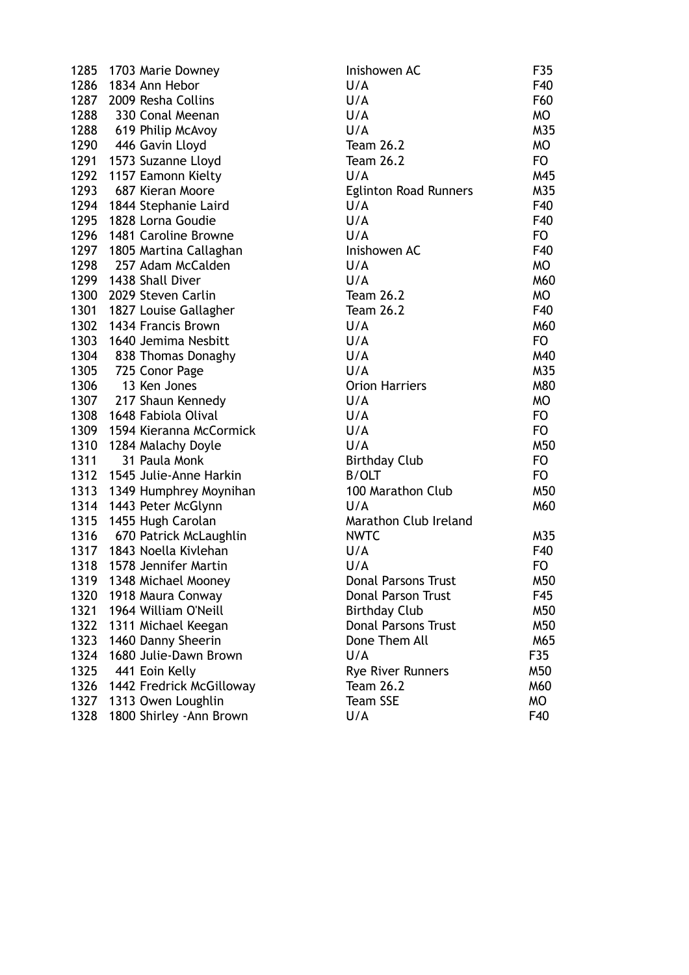| 1285 | 1703 Marie Downey           | Inishowen AC                 | F35       |
|------|-----------------------------|------------------------------|-----------|
| 1286 | 1834 Ann Hebor              | U/A                          | F40       |
| 1287 | 2009 Resha Collins          | U/A                          | F60       |
| 1288 | 330 Conal Meenan            | U/A                          | MO        |
|      | 1288 619 Philip McAvoy      | U/A                          | M35       |
|      | 1290 446 Gavin Lloyd        | <b>Team 26.2</b>             | <b>MO</b> |
|      | 1291 1573 Suzanne Lloyd     | <b>Team 26.2</b>             | FO        |
| 1292 | 1157 Eamonn Kielty          | U/A                          | M45       |
| 1293 | 687 Kieran Moore            | <b>Eglinton Road Runners</b> | M35       |
| 1294 | 1844 Stephanie Laird        | U/A                          | F40       |
| 1295 | 1828 Lorna Goudie           | U/A                          | F40       |
| 1296 | 1481 Caroline Browne        | U/A                          | FO        |
| 1297 | 1805 Martina Callaghan      | Inishowen AC                 | F40       |
| 1298 | 257 Adam McCalden           | U/A                          | MO        |
| 1299 | 1438 Shall Diver            | U/A                          | M60       |
| 1300 | 2029 Steven Carlin          | <b>Team 26.2</b>             | MO        |
| 1301 | 1827 Louise Gallagher       | <b>Team 26.2</b>             | F40       |
| 1302 | 1434 Francis Brown          | U/A                          | M60       |
|      | 1303 1640 Jemima Nesbitt    | U/A                          | FO        |
|      | 1304 838 Thomas Donaghy     | U/A                          | M40       |
| 1305 | 725 Conor Page              | U/A                          | M35       |
| 1306 | 13 Ken Jones                | <b>Orion Harriers</b>        | M80       |
|      | 1307 217 Shaun Kennedy      | U/A                          | MO        |
| 1308 | 1648 Fabiola Olival         | U/A                          | FO        |
| 1309 | 1594 Kieranna McCormick     | U/A                          | <b>FO</b> |
| 1310 | 1284 Malachy Doyle          | U/A                          | M50       |
| 1311 | 31 Paula Monk               | <b>Birthday Club</b>         | FO        |
|      | 1312 1545 Julie-Anne Harkin | <b>B/OLT</b>                 | FO        |
| 1313 | 1349 Humphrey Moynihan      | 100 Marathon Club            | M50       |
| 1314 | 1443 Peter McGlynn          | U/A                          | M60       |
| 1315 | 1455 Hugh Carolan           | Marathon Club Ireland        |           |
|      | 1316 670 Patrick McLaughlin | <b>NWTC</b>                  | M35       |
|      | 1317 1843 Noella Kivlehan   | U/A                          | F40       |
| 1318 | 1578 Jennifer Martin        | U/A                          | FO        |
|      | 1319 1348 Michael Mooney    | Donal Parsons Trust          | M50       |
| 1320 | 1918 Maura Conway           | Donal Parson Trust           | F45       |
| 1321 | 1964 William O'Neill        | <b>Birthday Club</b>         | M50       |
| 1322 | 1311 Michael Keegan         | <b>Donal Parsons Trust</b>   | M50       |
| 1323 | 1460 Danny Sheerin          | Done Them All                | M65       |
| 1324 | 1680 Julie-Dawn Brown       | U/A                          | F35       |
| 1325 | 441 Eoin Kelly              | <b>Rye River Runners</b>     | M50       |
| 1326 | 1442 Fredrick McGilloway    | <b>Team 26.2</b>             | M60       |
| 1327 | 1313 Owen Loughlin          | <b>Team SSE</b>              | MO        |
| 1328 | 1800 Shirley - Ann Brown    | U/A                          | F40       |

| Inishowen AC                 | F35            |
|------------------------------|----------------|
| U/A                          | F40            |
| U/A                          | F60            |
| U/A                          | МO             |
| U/A                          | M35            |
| <b>Team 26.2</b>             | МO             |
| <b>Team 26.2</b>             | FO.            |
| U/A                          | M45            |
| <b>Eglinton Road Runners</b> | M35            |
| U/A                          | F40            |
| U/A                          | F40            |
| U/A                          | FO.            |
| Inishowen AC                 | F40            |
| U/A                          | МO             |
| U/A                          | M60            |
| <b>Team 26.2</b>             | МO             |
| <b>Team 26.2</b>             | F40            |
| U/A                          | M60            |
| U/A                          | F <sub>O</sub> |
| U/A                          | M40            |
| U/A                          | M35            |
| <b>Orion Harriers</b>        | M80            |
| U/A                          | МO             |
| U/A                          | FO             |
| U/A                          | FO             |
| U/A                          | M50            |
| <b>Birthday Club</b>         | FO             |
| <b>B/OLT</b>                 | FO.            |
| 100 Marathon Club            | M50            |
| U/A                          | M60            |
| Marathon Club Ireland        |                |
| <b>NWTC</b>                  | M35            |
| U/A                          | F40            |
| U/A                          | FO             |
| <b>Donal Parsons Trust</b>   | M50            |
| <b>Donal Parson Trust</b>    | F45            |
| <b>Birthday Club</b>         | M50            |
| <b>Donal Parsons Trust</b>   | M50            |
| Done Them All                | M65            |
| U/A                          | F35            |
| <b>Rye River Runners</b>     | M50            |
| <b>Team 26.2</b>             | M60            |
| <b>Team SSE</b>              | МO             |
| U/A                          | F40            |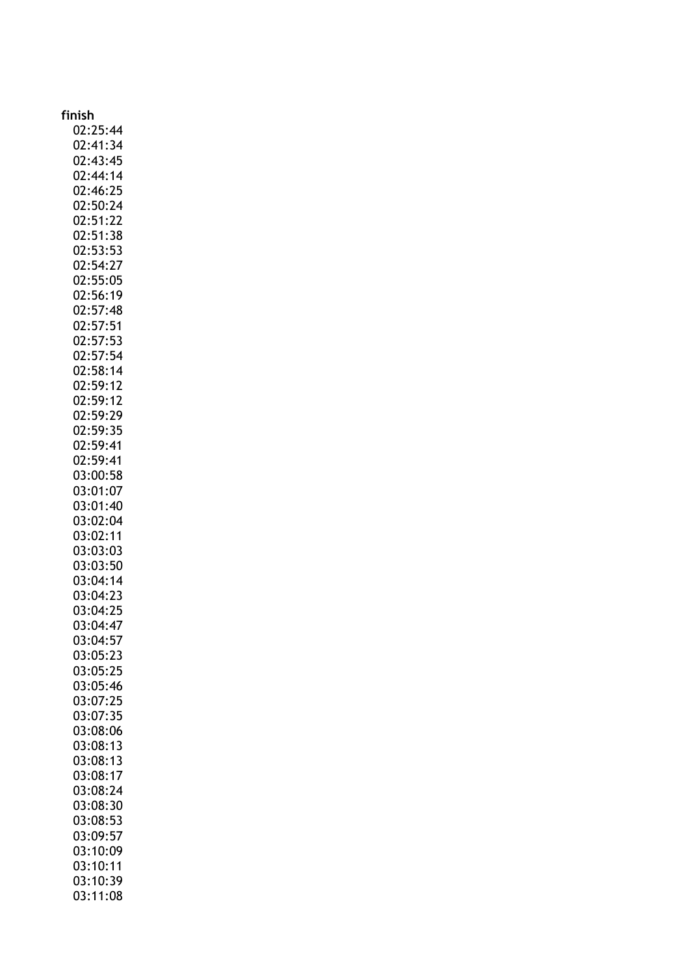| finish               |
|----------------------|
| 02:25:44             |
| 02:41:34             |
| 02:43:45             |
| 02:44:14             |
| 02:46:25             |
| 02:50:24             |
| 02:51:22             |
| 02:51:38             |
| 02:53:53<br>02:54:27 |
| 02:55:05             |
| 02:56:19             |
| 02:57:48             |
| 02:57:51             |
| 02:57:53             |
| 02:57:54             |
| 02:58:14             |
| 02:59:12             |
| 02:59:12             |
| 02:59:29<br>02:59:35 |
| 02:59:41             |
| 02:59:41             |
| 03:00:58             |
| 03:01:07             |
| 03:01:40             |
| 03:02:04             |
| 03:02:11             |
| 03:03:03             |
| 03:03:50<br>03:04:14 |
| 03:04:23             |
| 03:04:25             |
| 03:04:47             |
| 03:04:57             |
| 03:05:23             |
| 03:05:25             |
| 03:05:46             |
| 03:07:25             |
| 03:07:35             |
| 03:08:06<br>03:08:13 |
| 03:08:13             |
| 03:08:17             |
| 03:08:24             |
| 03:08:30             |
| 03:08:53             |
| 03:09:57             |
| 03:10:09             |
| 03:10:11             |
| 03:10:39<br>03:11:08 |
|                      |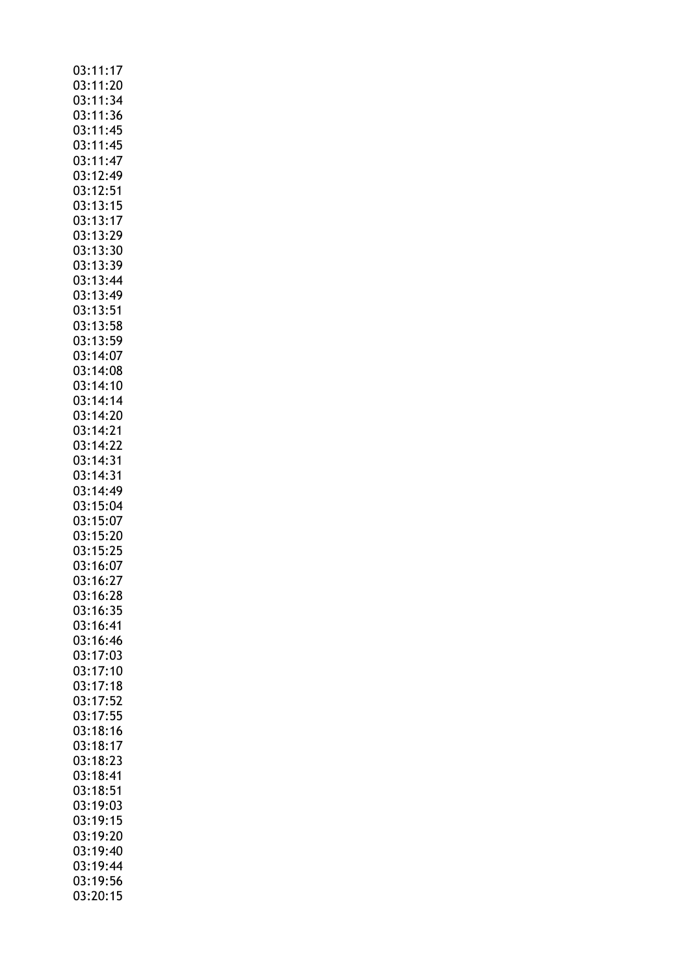| 03:11:17             |
|----------------------|
| 03:11:20             |
|                      |
| 03:11:34             |
|                      |
| 03:11:36             |
| 03:11:45             |
|                      |
| 03:11:45             |
| 03:11:47             |
|                      |
| 03:12:49             |
| 03:12:51             |
|                      |
| 03:13:15             |
|                      |
| 03:13:17             |
| 03:13:29             |
|                      |
| 03:13:30             |
| 03:13:39             |
|                      |
| 03:13:44             |
| 03:13:49             |
|                      |
| 03:13:51             |
|                      |
| 03:13:58             |
| 03:13:59             |
|                      |
| 03:14:07             |
| 03:14:08             |
|                      |
| 03:14:10             |
| 03:14:14             |
|                      |
| 03:14:20             |
|                      |
| 03:14:21             |
| 03:14:22             |
|                      |
| 03:14:31             |
| 03:14:31             |
|                      |
| 03:14:49             |
|                      |
|                      |
| 03:15:04             |
|                      |
| 03:15:07             |
| 03:15:20             |
|                      |
| 03:15:25             |
| 03:16:07             |
|                      |
| 03:16:27             |
| 03:16:28             |
|                      |
| 03:16:35             |
|                      |
| 03:16:41             |
| 03:16:46             |
|                      |
| 03:17:03             |
|                      |
| 03:17:10             |
| 03:17:18             |
| 03:17:52             |
|                      |
| 03:17:55             |
| 03:18:16             |
|                      |
| 03:18:17             |
|                      |
| 03:18:23             |
| 03:18:41             |
|                      |
| 03:18:51             |
| 03:19:03             |
|                      |
| 03:19:15             |
| 03:19:20             |
|                      |
| 03:19:40             |
| 03:19:44             |
|                      |
| 03:19:56<br>03:20:15 |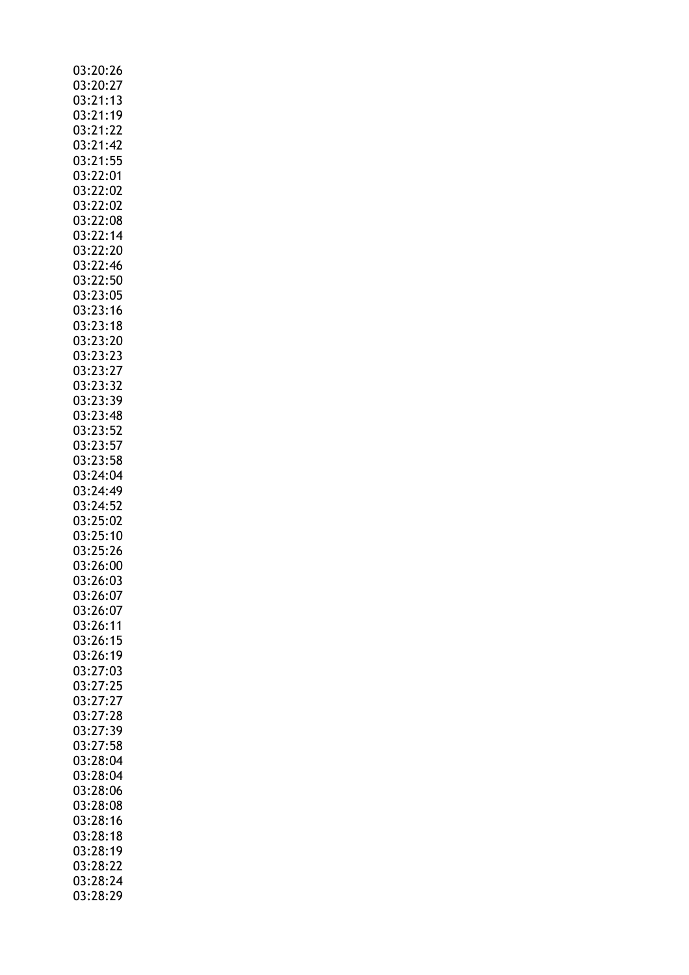| 03:20:26                          |
|-----------------------------------|
| 03:20:27                          |
| 03:21:13                          |
| 03:21:19                          |
| 03:21:22                          |
| 03:21:42                          |
| 03:21:55                          |
| 03:22:01                          |
| 03:22:02                          |
|                                   |
| 03:22:02                          |
| 03:22:08                          |
| 03:22:14                          |
| 03:22:20                          |
| 03:22:46                          |
| 03:22:50                          |
| 03:23:05<br>03:23:05<br>03:23:16  |
|                                   |
| 03:23:18                          |
| 03:23:20                          |
| 03:23:23                          |
| 03:23:27                          |
| ---------<br>03:23:32<br>03:23:39 |
|                                   |
| 03:23:48                          |
| 03:23:52                          |
| 03:23:57                          |
| 03:23:58                          |
| 03:24:04                          |
| 03:24:49                          |
| 03:24:52                          |
| 03:25:02                          |
| 03:25:10                          |
| 03:25:26                          |
| 03:26:00                          |
| 03:26:03                          |
| 03:26:07                          |
| 03:26:07                          |
| 03:26:11                          |
| 03:26:15                          |
| 03:26:19                          |
| 03:27:03                          |
| 03:27:25                          |
|                                   |
| 03:27:27<br>03:27:28              |
|                                   |
| 03:27:39<br>03:27:58              |
|                                   |
| 03:28:04                          |
| 03:28:04                          |
| 03:28:06                          |
| 03:28:08                          |
| 03:28:16                          |
| 03:28:18                          |
| 03:28:19                          |
| 03:28:22                          |
| 03:28:24                          |
| 03:28:29                          |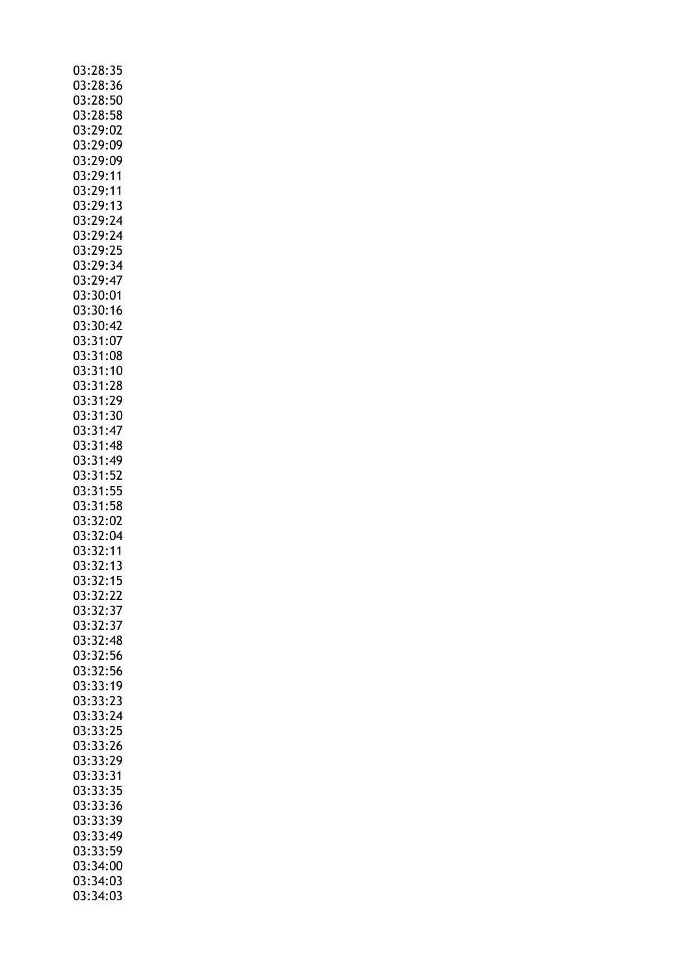| 03:28:35             |  |
|----------------------|--|
|                      |  |
| 03:28:36             |  |
| 03:28:50             |  |
| 03:28:58             |  |
| 03:29:02             |  |
| 03:29:09             |  |
|                      |  |
| 03:29:09             |  |
| 03:29:11             |  |
| 03:29:11             |  |
| 03:29:13             |  |
| 03:29:24             |  |
| 03:29:24             |  |
|                      |  |
| 03:29:25             |  |
| 03:29:34             |  |
| 03:29:47             |  |
| 03:30:01             |  |
| 03:30:16             |  |
| 03:30:42             |  |
|                      |  |
| 03:31:07             |  |
| 03:31:08             |  |
| 03:31:10             |  |
| 03:31:28             |  |
| 03:31:29             |  |
| 03:31:30             |  |
|                      |  |
| 03:31:47             |  |
| 03:31:48             |  |
| 03:31:49             |  |
| 03:31:52             |  |
| 03:31:55             |  |
|                      |  |
| 03:31:58             |  |
| 03:32:02             |  |
| 03:32:04             |  |
|                      |  |
|                      |  |
| 03:32:11             |  |
| 03:32:13             |  |
| 03:32:15             |  |
| 03:32:22             |  |
| 03:32:37             |  |
| 03:32:37             |  |
| 03:32:48             |  |
|                      |  |
| 03:32:56             |  |
| 03:32:56             |  |
| 03:33:19             |  |
| 03:33:23             |  |
| 03:33:24             |  |
| 03:33:25             |  |
|                      |  |
| 03:33:26             |  |
| 03:33:29             |  |
| 03:33:31             |  |
| 03:33:35             |  |
| 03:33:36             |  |
| 03:33:39             |  |
|                      |  |
| 03:33:49             |  |
| 03:33:59             |  |
| 03:34:00             |  |
| 03:34:03<br>03:34:03 |  |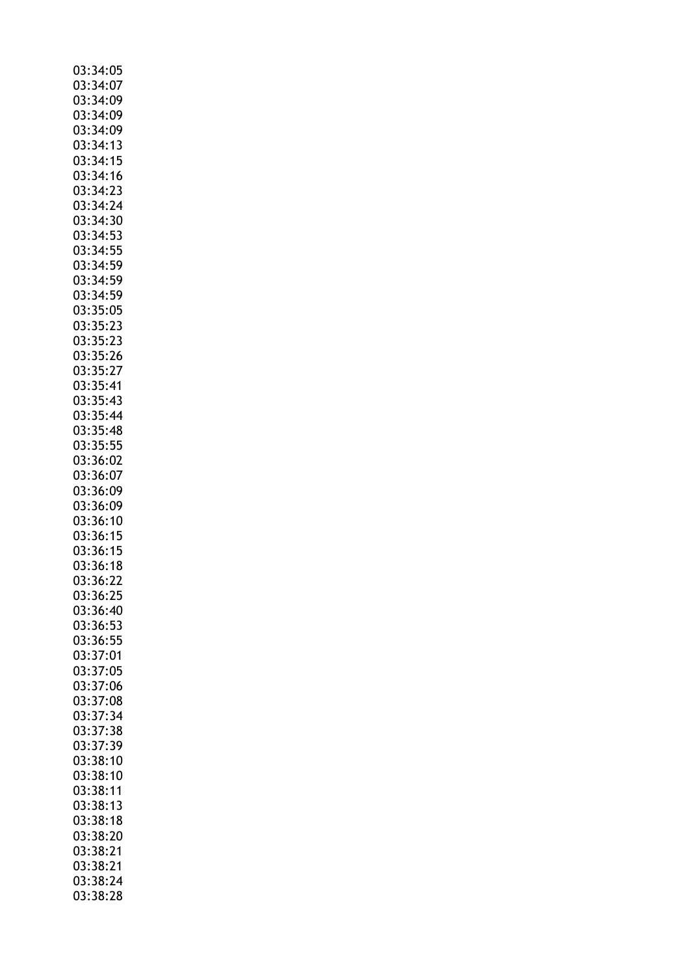| 03:34:05             |
|----------------------|
|                      |
| 03:34:07             |
|                      |
| 03:34:09             |
| 03:34:09             |
| 03:34:09             |
|                      |
| 03:34:13             |
| 03:34:15             |
|                      |
| 03:34:16             |
| 03:34:23             |
|                      |
| 03:34:24             |
| 03:34:30             |
|                      |
| 03:34:53             |
| 03:34:55             |
| 03:34:59             |
|                      |
| 03:34:59             |
| 03:34:59             |
|                      |
| 03:35:05             |
| 03:35:23             |
|                      |
| 03:35:23             |
| 03:35:26             |
| 03:35:27             |
|                      |
| 03:35:41             |
| 03:35:43             |
|                      |
| 03:35:44             |
| 03:35:48             |
|                      |
| 03:35:55             |
| 03:36:02             |
|                      |
| 03:36:07             |
| 03:36:09             |
| 03:36:09             |
|                      |
|                      |
|                      |
| 03:36:10             |
| 03:36:15             |
|                      |
| 03:36:15             |
| 03:36:18             |
|                      |
| 03:36:22             |
| 03:36:25             |
| 03:36:40             |
|                      |
| 03:36:53             |
| 03:36:55             |
| 03:37:01             |
|                      |
| 03:37:05             |
| 03:37:06             |
|                      |
| 03:37:08             |
| 03:37:34             |
|                      |
| 03:37:38             |
| 03:37:39             |
| 03:38:10             |
|                      |
| 03:38:10             |
| 03:38:11             |
|                      |
| 03:38:13             |
| 03:38:18             |
| 03:38:20             |
|                      |
| 03:38:21             |
| 03:38:21             |
|                      |
| 03:38:24<br>03:38:28 |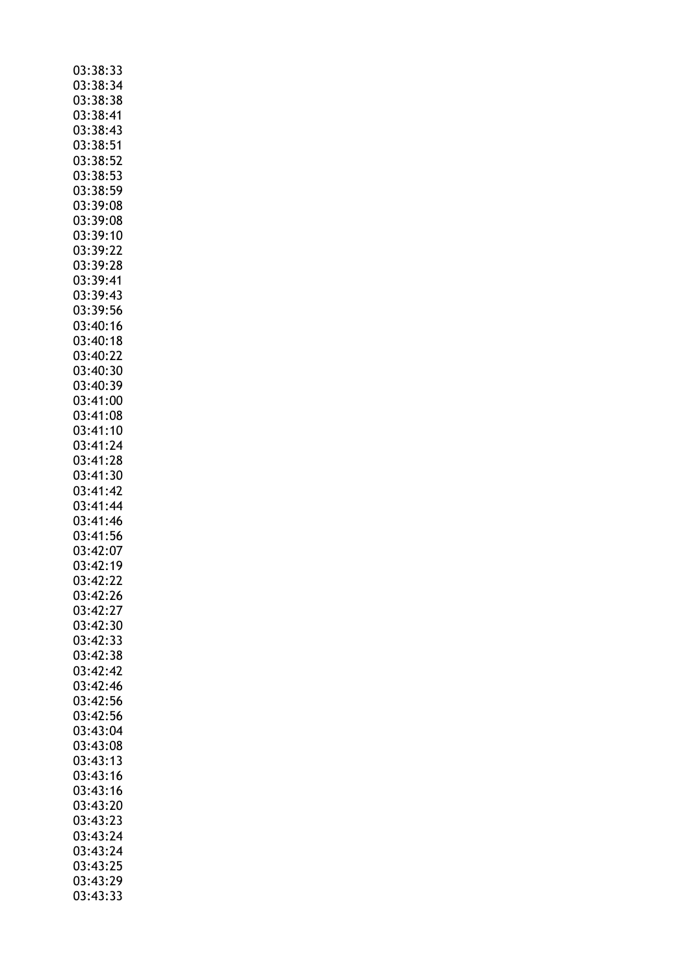| 03:38:33             |
|----------------------|
| 03:38:34             |
| 03:38:38             |
|                      |
| 03:38:41             |
| 03:38:43             |
|                      |
| 03:38:51             |
| 03:38:52             |
| 03:38:53             |
|                      |
| 03:38:59             |
| 03:39:08             |
|                      |
| 03:39:08             |
| 03:39:10             |
| 03:39:22             |
|                      |
| 03:39:28             |
| 03:39:41             |
| 03:39:43             |
|                      |
| 03:39:56             |
| 03:40:16             |
| 03:40:18             |
|                      |
| 03:40:22             |
| 03:40:30             |
|                      |
| 03:40:39             |
| 03:41:00             |
|                      |
| 03:41:08             |
| 03:41:10             |
| 03:41:24             |
|                      |
| 03:41:28             |
| 03:41:30             |
| 03:41:42             |
|                      |
| 03:41:44             |
| 03:41:46             |
| 03:41:56             |
|                      |
| 03:42:07             |
| 03:42:19             |
|                      |
| 03:42:22             |
| 03:42:26             |
| 03:42:27             |
|                      |
| 03:42:30             |
| 03:42:33             |
| 03:42:38             |
|                      |
| 03:42:42             |
| 03:42:46             |
|                      |
| 03:42:56             |
| 03:42:56             |
| 03:43:04             |
|                      |
| 03:43:08             |
| 03:43:13             |
| 03:43:16             |
|                      |
| 03:43:16             |
| 03:43:20             |
|                      |
| 03:43:23             |
| 03:43:24             |
| 03:43:24             |
|                      |
|                      |
| 03:43:25             |
|                      |
| 03:43:29<br>03:43:33 |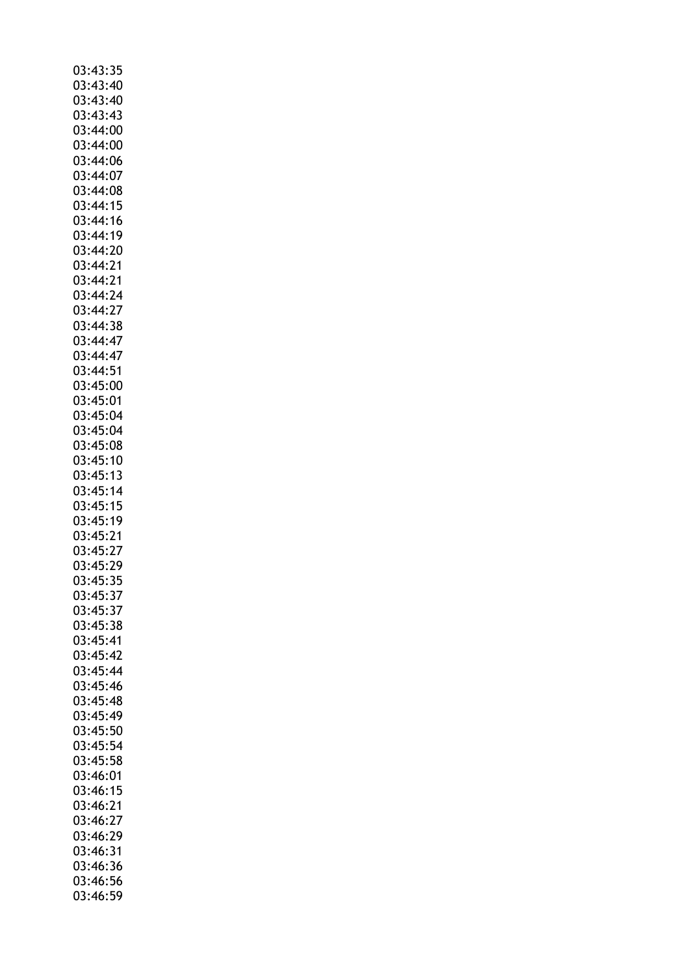| 03:43:35             |
|----------------------|
|                      |
| 03:43:40             |
| 03:43:40             |
| 03:43:43             |
| 03:44:00             |
| 03:44:00             |
|                      |
| 03:44:06             |
| 03:44:07             |
| 03:44:08             |
| 03:44:15             |
| 03:44:16             |
|                      |
| 03:44:19             |
| 03:44:20             |
| 03:44:21             |
| 03:44:21             |
|                      |
| 03:44:24             |
| 03:44:27             |
| 03:44:38             |
| 03:44:47             |
| 03:44:47             |
|                      |
| 03:44:51             |
| 03:45:00             |
| 03:45:01             |
| 03:45:04             |
| 03:45:04             |
|                      |
| 03:45:08             |
| 03:45:10             |
| 03:45:13             |
| 03:45:14             |
| 03:45:15             |
|                      |
|                      |
| 03:45:19             |
| 03:45:21             |
|                      |
| 03:45:27             |
| 03:45:<br>29         |
| 03:45:35             |
| 03:45:37             |
| 03:45:37             |
| 03:45:38             |
|                      |
| 03:45:41             |
| 03:45:42             |
| 03:45:44             |
| 03:45:46             |
|                      |
| 03:45:48             |
| 03:45:49             |
| 03:45:50             |
| 03:45:54             |
| 03:45:58             |
|                      |
| 03:46:01             |
| 03:46:15             |
| 03:46:21             |
| 03:46:27             |
| 03:46:29             |
|                      |
| 03:46:31             |
| 03:46:36             |
| 03:46:56<br>03:46:59 |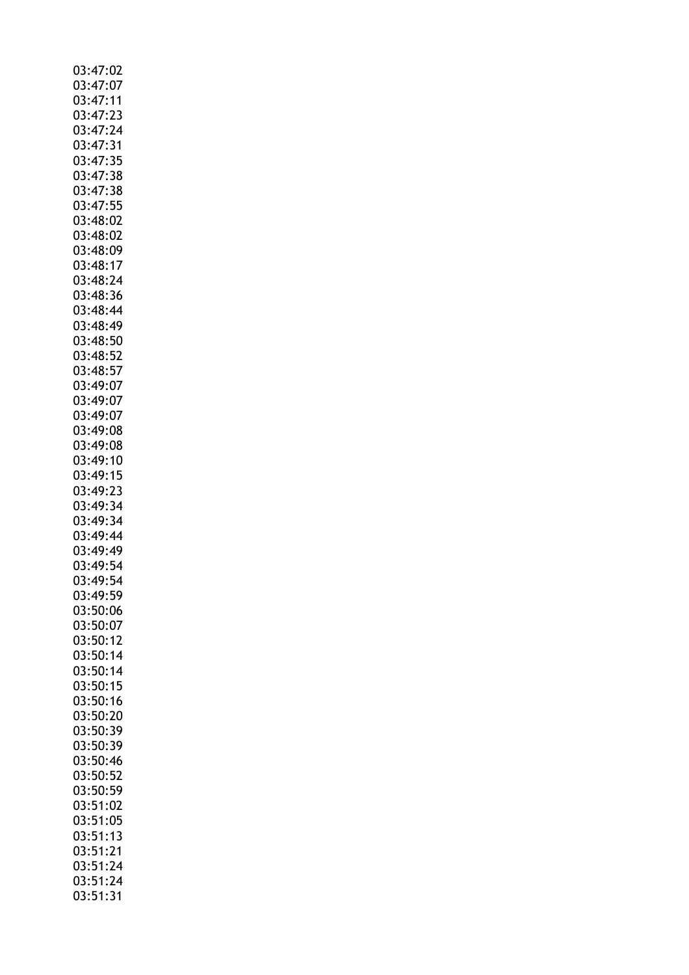| 03:47:02                         |
|----------------------------------|
|                                  |
| 03:47:07                         |
|                                  |
| 03:47:11<br>03:47:11<br>03:47:23 |
|                                  |
|                                  |
| 03:47:24                         |
| 03:47:31                         |
|                                  |
| 03:47:35                         |
| 03:47:38                         |
|                                  |
| 03:47:38                         |
| 03:47:55                         |
|                                  |
| 03:48:02                         |
| 03:48:02                         |
| 03:48:09                         |
|                                  |
| 03:48:17                         |
| 03:48:24                         |
|                                  |
| 03:48:36                         |
| 03:48:44                         |
|                                  |
| 03:48:49                         |
| 03:48:50                         |
|                                  |
| 03:48:52                         |
| 03:48:57                         |
|                                  |
| 03:49:07                         |
| 03:49:07                         |
|                                  |
| 03:49:07                         |
| 03:49:08                         |
|                                  |
| 03:49:08                         |
| 03:49:10                         |
|                                  |
| 03:49:15                         |
| 03:49:23                         |
| 03:49:34                         |
|                                  |
|                                  |
|                                  |
| 03:49:34                         |
| 03:49:44                         |
|                                  |
| 03:49:49                         |
| 03:49:54                         |
|                                  |
| 03:49:54                         |
| 03:49:59                         |
|                                  |
| 03:50:06                         |
| 03:50:07                         |
|                                  |
| 03:50:12                         |
| 03:50:14                         |
|                                  |
| 03:50:14                         |
| 03:50:15                         |
| 03:50:16                         |
|                                  |
| 03:50:20                         |
| 03:50:39                         |
|                                  |
| 03:50:39                         |
|                                  |
| 03:50:46                         |
| 03:50:52                         |
| 03:50:59                         |
|                                  |
| 03:51:02                         |
| 03:51:05                         |
|                                  |
| 03:51:13                         |
| 03:51:21                         |
|                                  |
| 03:51:24                         |
| 03:51:24<br>03:51:31             |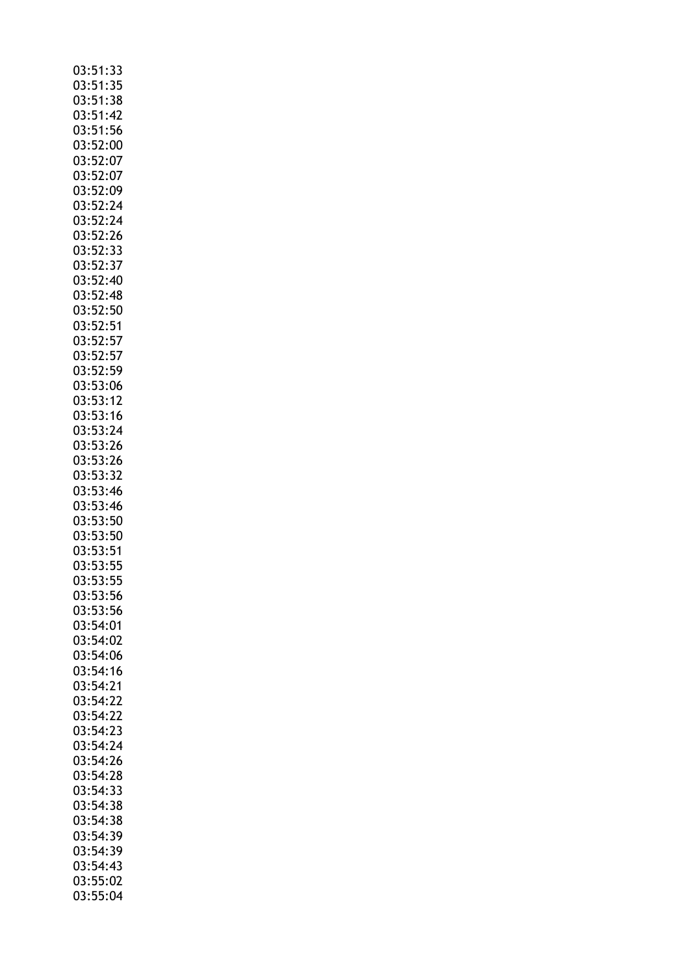| 03:51:33                           |
|------------------------------------|
| 03:51:35                           |
| 03:51:38                           |
| 03:51:42                           |
|                                    |
| 03:51:56                           |
| 03:52:00                           |
| 03:52:07                           |
| 03:52:07                           |
|                                    |
| 03:52:09                           |
| 03:52:24<br>03:52:24<br>03:52:24   |
|                                    |
| 03:52:26                           |
|                                    |
| 03:52:33                           |
| 03:52:37                           |
| 03:52:40                           |
|                                    |
| ----------<br>03:52:48<br>03:52:50 |
|                                    |
| 03:52:51                           |
| 03:52:57                           |
|                                    |
| 03:52:57                           |
| 03:52:59                           |
| 03:53:06                           |
| 03:53:00<br>03:53:12               |
|                                    |
| 03:53:16                           |
| 03:53:24                           |
| 03:53:26                           |
| 03:53:26                           |
|                                    |
| 03:53:32                           |
| 03:53:46                           |
| 03:53:46                           |
| 03:53:50                           |
|                                    |
| 03:53:50                           |
| 03:53:51                           |
| 03:53:55                           |
|                                    |
| ----<br>03:53:55<br>03:53:56       |
|                                    |
| 03:53:56                           |
| 03:54:01                           |
|                                    |
|                                    |
| 03:54:02                           |
| 03:54:06                           |
|                                    |
| 03:54:16                           |
| 03:54:21                           |
| 03:54:22                           |
| 03:54:22                           |
| 03:54:23                           |
|                                    |
| 03:54:24                           |
| 03:54:26                           |
| 03:54:28                           |
|                                    |
| 03:54:33                           |
| 03:54:38                           |
| 03:54:38                           |
| 03:54:39                           |
|                                    |
| 03:54:39                           |
| 03:54:43                           |
| 03:55:02<br>03:55:04               |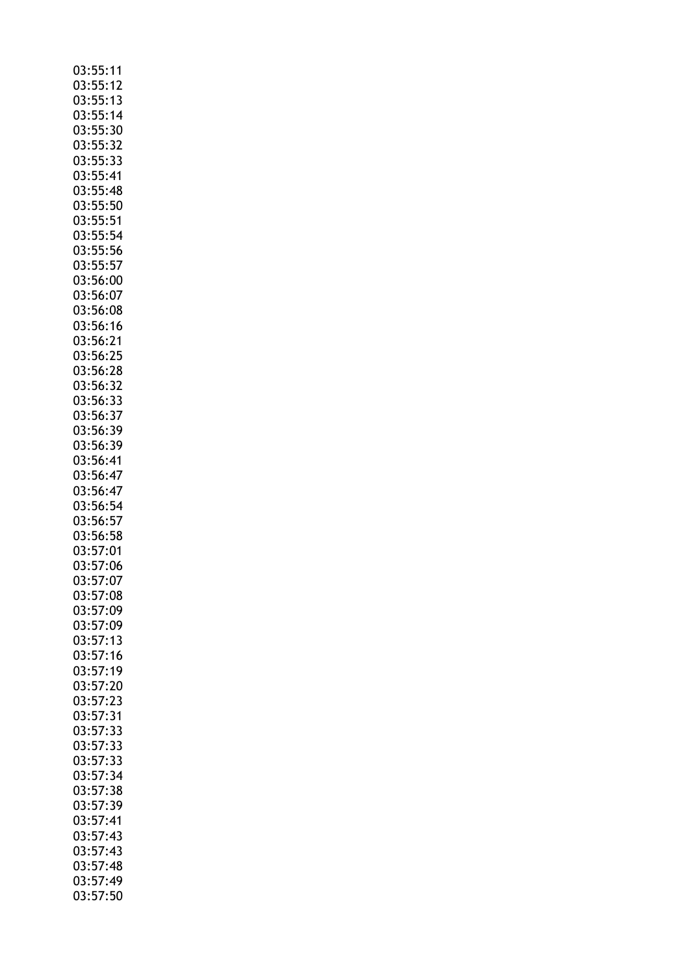| 03:55:11                 |
|--------------------------|
| 03:55:12                 |
|                          |
| 03:55:13                 |
| 03:55:14                 |
| 03:55:30                 |
|                          |
| 03:55:32                 |
| 03:55:33                 |
| 03:55:41                 |
|                          |
| 03:55:48                 |
| 03:55:50                 |
| 03:55:51                 |
|                          |
| 03:55:54                 |
| 03:55:56                 |
| 03:55:57                 |
|                          |
| 03:56:00                 |
| 03:56:07                 |
| 03:56:08                 |
|                          |
| 03:56:16                 |
| 03:56:21                 |
| 03:56:25                 |
|                          |
| 03:56:28                 |
| 03:56:32                 |
|                          |
| 03:56:33                 |
| 03:56:37                 |
| 03:56:39                 |
|                          |
| 03:56:39                 |
| 03:56:41                 |
| 03:56:47                 |
|                          |
| 03:56:47                 |
| 03:56:54                 |
| 03:56:57                 |
|                          |
| 03:56:58                 |
| 03:57:01                 |
| 03:57:06                 |
|                          |
| 03:57:07                 |
| 03:57:08                 |
| 03:57:09                 |
|                          |
| 03:57:09                 |
| 03:57:13                 |
|                          |
|                          |
| $03:57:16$<br>$03:57:19$ |
| 03:57:20                 |
|                          |
| 03:57:23                 |
| 03:57:31                 |
| 03:57:33                 |
|                          |
|                          |
| 03:57:33                 |
| 03:57:33                 |
|                          |
| 03:57:34                 |
| 03:57:38                 |
| 03:57:39                 |
|                          |
| 03:57:41                 |
| 03:57:43                 |
|                          |
| 03:57:43                 |
| 03:57:48                 |
| 03:57:49<br>03:57:50     |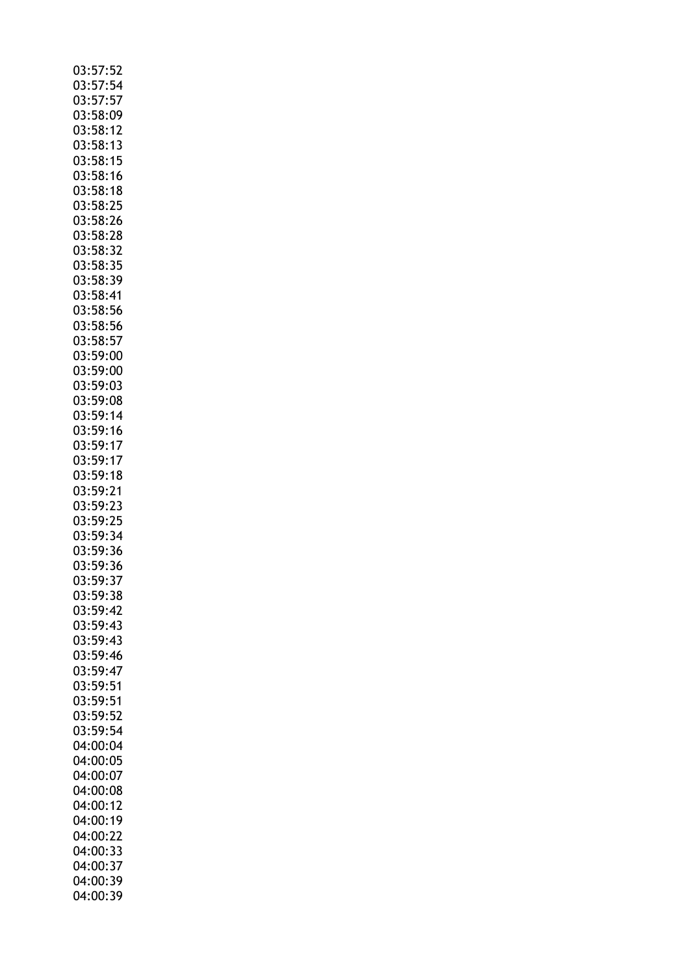| 03:57:52 |
|----------|
| 03:57:54 |
| 03:57:57 |
| 03:58:09 |
| 03:58:12 |
| 03:58:13 |
| 03:58:15 |
| 03:58:16 |
| 03:58:18 |
| 03:58:25 |
|          |
| 03:58:26 |
| 03:58:28 |
| 03:58:32 |
| 03:58:35 |
| 03:58:39 |
| 03:58:41 |
| 03:58:56 |
| 03:58:56 |
| 03:58:57 |
| 03:59:00 |
| 03:59:00 |
| 03:59:03 |
| 03:59:08 |
| 03:59:14 |
| 03:59:16 |
| 03:59:17 |
| 03:59:17 |
| 03:59:18 |
| 03:59:21 |
| 03:59:23 |
| 03:59:25 |
| 03:59:34 |
| 03:59:36 |
| 03:59:36 |
| 03:59:37 |
| 03:59:38 |
| 03:59:42 |
| 03:59:43 |
| 03:59:43 |
| 03:59:46 |
| 03:59:47 |
| 03:59:51 |
| 03:59:51 |
| 03:59:52 |
| 03:59:54 |
| 04:00:04 |
| 04:00:05 |
|          |
| 04:00:07 |
| 04:00:08 |
| 04:00:12 |
| 04:00:19 |
| 04:00:22 |
| 04:00:33 |
| 04:00:37 |
| 04:00:39 |
| 04:00:39 |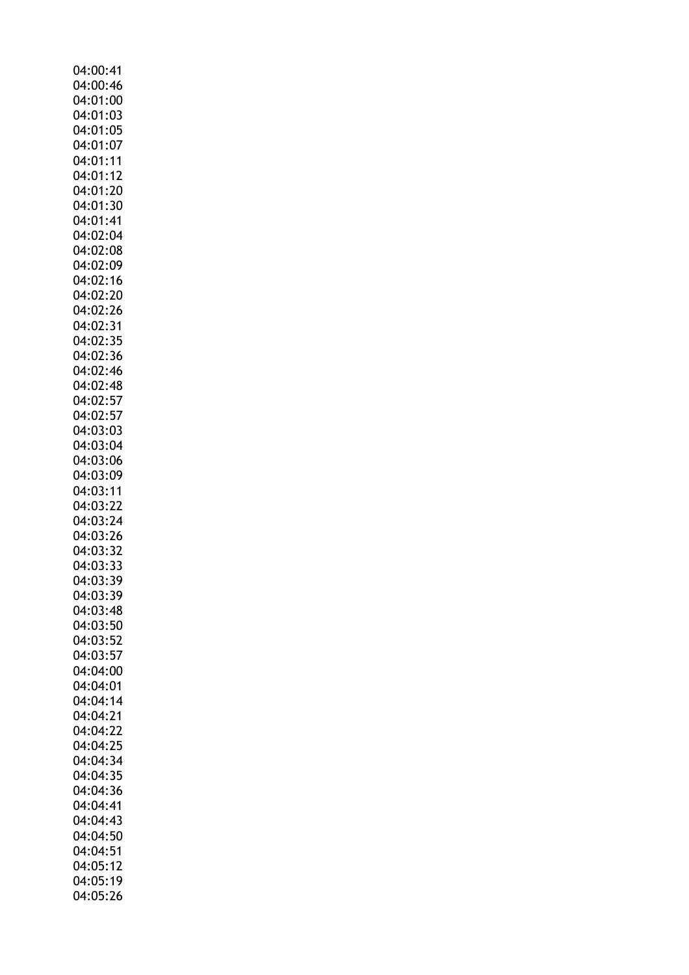| 04:00:41             |
|----------------------|
|                      |
| 04:00:46             |
| 04:01:00             |
| 04:01:03             |
| 04:01:05             |
| 04:01:07             |
| 04:01:11             |
|                      |
| 04:01:12             |
| 04:01:20             |
| 04:01:30             |
| 04:01:41             |
| 04:02:04             |
|                      |
| 04:02:08             |
| 04:02:09             |
| 04:02:16             |
| 04:02:20             |
| 04:02:26             |
|                      |
| 04:02:31             |
| 04:02:35             |
| 04:02:36             |
| 04:02:46             |
| 04:02:48             |
| 04:02:57             |
|                      |
| 04:02:57             |
| 04:03:03             |
| 04:03:04             |
| 04:03:06             |
| 04:03:09             |
|                      |
| 04:03:11             |
| 04:03:22             |
| 04:03:24             |
|                      |
|                      |
| 04:03:26             |
| 04:03:32             |
| 04:03:33             |
| 04:03:39             |
| 04:03:39             |
|                      |
| 04:03:48             |
| 04:03:50             |
| 04:03:52             |
| 04:03:57             |
| 04:04:00             |
| 04:04:01             |
|                      |
| 04:04:14             |
| 04:04:21             |
| 04:04:22             |
| 04:04:25             |
| 04:04:34             |
|                      |
| 04:04:35             |
| 04:04:36             |
| 04:04:41             |
| 04:04:43             |
| 04:04:50             |
| 04:04:51             |
|                      |
| 04:05:12             |
| 04:05:19<br>04:05:26 |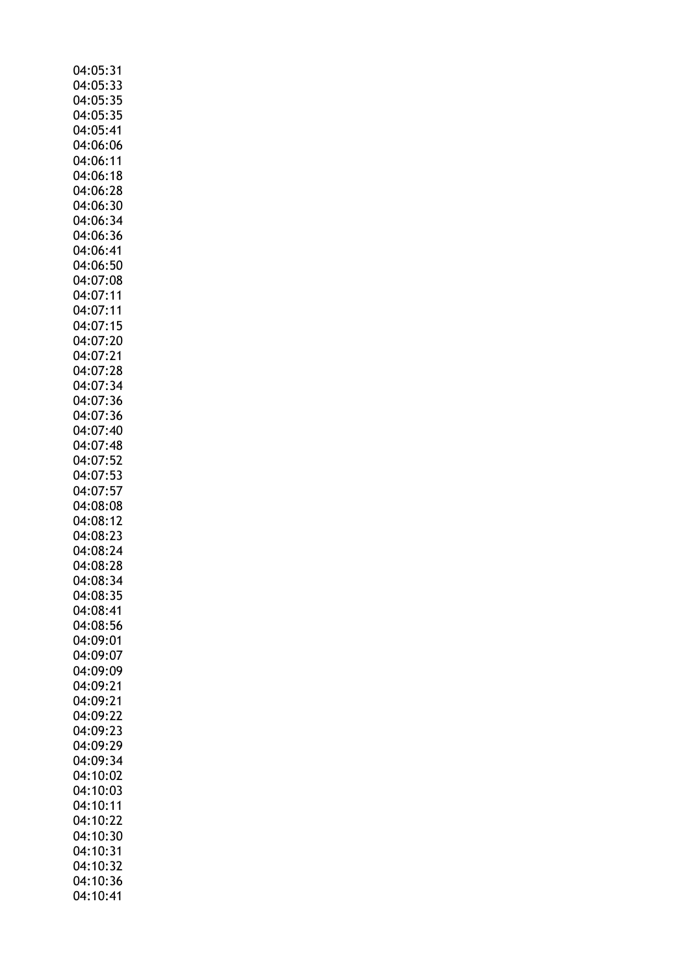| 04:05:31             |  |
|----------------------|--|
|                      |  |
| 04:05:33             |  |
| 04:05:35             |  |
| 04:05:35             |  |
|                      |  |
| 04:05:41             |  |
| 04:06:06             |  |
| 04:06:11             |  |
| 04:06:18             |  |
|                      |  |
| 04:06:28             |  |
| 04:06:30             |  |
| 04:06:34             |  |
|                      |  |
| 04:06:36             |  |
| 04:06:41             |  |
| 04:06:50             |  |
| 04:07:08             |  |
|                      |  |
| 04:07:11             |  |
| 04:07:11             |  |
| 04:07:15             |  |
| 04:07:20             |  |
|                      |  |
| 04:07:21             |  |
| 04:07:28             |  |
| 04:07:34             |  |
|                      |  |
| 04:07:36             |  |
| 04:07:36             |  |
| 04:07:40             |  |
| 04:07:48             |  |
|                      |  |
| 04:07:52             |  |
| 04:07:53             |  |
| 04:07:57             |  |
|                      |  |
| 04:08:08             |  |
| 04:08:12             |  |
| 04:08:23             |  |
| 04:08:24             |  |
|                      |  |
| 04:08:28             |  |
| 04:08:34             |  |
| 04:08:35             |  |
|                      |  |
| 04:08:41             |  |
| 04:08:56             |  |
| 04:09:01             |  |
| 04:09:07             |  |
|                      |  |
| 04:09:09             |  |
| 04:09:21             |  |
| 04:09:21             |  |
|                      |  |
| 04:09:22             |  |
| 04:09:23             |  |
| 04:09:29             |  |
| 04:09:34             |  |
|                      |  |
| 04:10:02             |  |
|                      |  |
| 04:10:03             |  |
|                      |  |
| 04:10:11             |  |
| 04:10:22             |  |
| 04:10:30             |  |
|                      |  |
| 04:10:31             |  |
| 04:10:32             |  |
| 04:10:36<br>04:10:41 |  |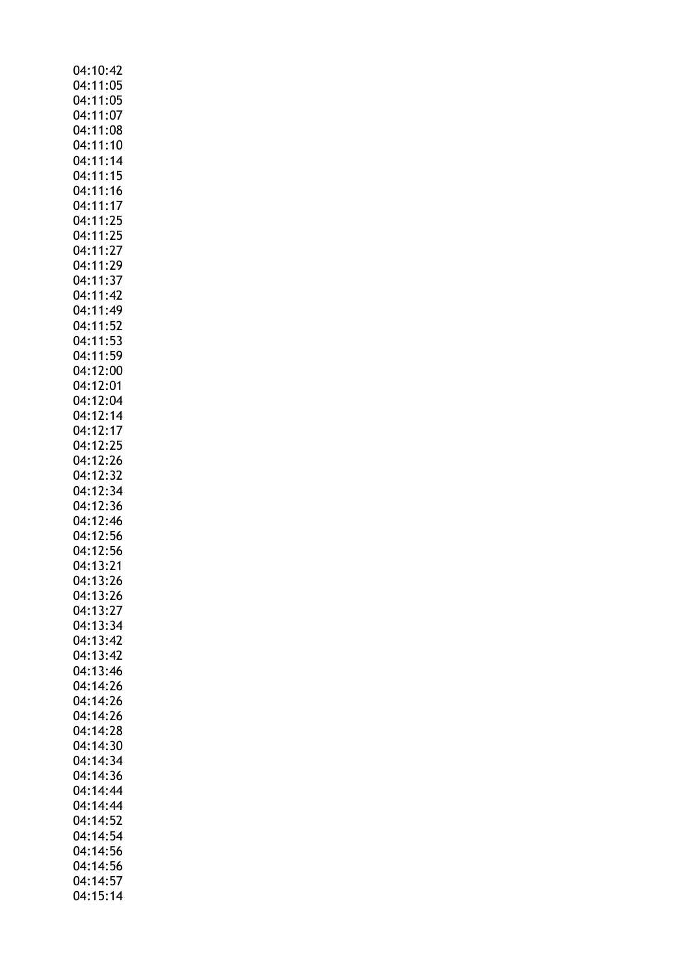| 04:10:42 |          |
|----------|----------|
|          | 04:11:05 |
|          |          |
|          | 04:11:05 |
|          | 04:11:07 |
|          | 04:11:08 |
|          | 04:11:10 |
|          | 04:11:14 |
|          |          |
|          | 04:11:15 |
|          | 04:11:16 |
| 04:11:17 |          |
|          | 04:11:25 |
|          | 04:11:25 |
|          |          |
|          | 04:11:27 |
| 04:11:29 |          |
|          | 04:11:37 |
| 04:11:42 |          |
|          | 04:11:49 |
|          |          |
| 04:11:52 |          |
|          | 04:11:53 |
|          | 04:11:59 |
|          | 04:12:00 |
| 04:12:01 |          |
|          |          |
|          | 04:12:04 |
|          | 04:12:14 |
|          | 04:12:17 |
|          | 04:12:25 |
|          | 04:12:26 |
|          |          |
| 04:12:32 |          |
|          | 04:12:34 |
|          | 04:12:36 |
|          | 04:12:46 |
|          | 04:12:56 |
|          | 04:12:56 |
|          |          |
| 04:13:21 |          |
|          | 04:13:26 |
| 04:13:26 |          |
|          | 04:13:27 |
|          | 04:13:34 |
|          |          |
| 04:13:42 |          |
| 04:13:42 |          |
| 04:13:46 |          |
| 04:14:26 |          |
| 04:14:26 |          |
| 04:14:26 |          |
|          |          |
| 04:14:28 |          |
|          | 04:14:30 |
|          | 04:14:34 |
| 04:14:36 |          |
|          | 04:14:44 |
|          |          |
|          | 04:14:44 |
| 04:14:52 |          |
|          | 04:14:54 |
| 04:14:56 |          |
| 04:14:56 |          |
|          |          |
| 04:14:57 |          |
|          | 04:15:14 |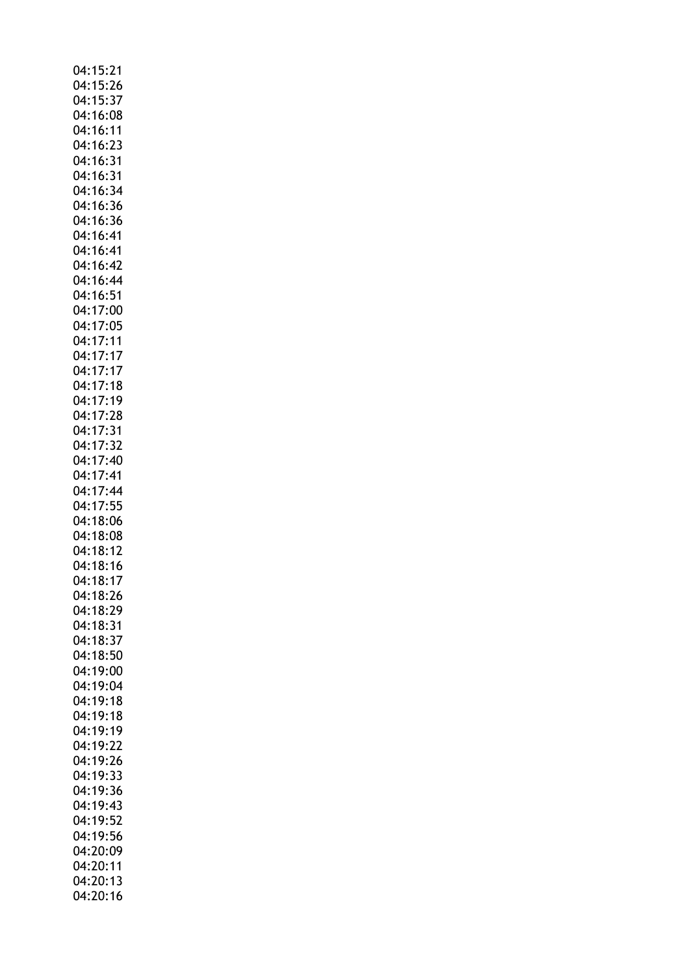| 04:15:21             |          |
|----------------------|----------|
| 04:15:26             |          |
| 04:15:37             |          |
|                      |          |
| 04:16:08             |          |
| 04:16:11             |          |
| 04:16:23             |          |
| 04:16:31             |          |
|                      |          |
| 04:16:31             |          |
| 04:16:34             |          |
| 04:16:36             |          |
| 04:16:36             |          |
|                      |          |
| 04:16:41             |          |
| 04:16:41             |          |
| 04:16:42             |          |
|                      |          |
| 04:16:44             |          |
| 04:16:51             |          |
| 04:17:00             |          |
| 04:17:05             |          |
|                      |          |
| 04:17:11             |          |
| 04:17:17             |          |
| 04:17:17             |          |
|                      |          |
|                      | 04:17:18 |
| 04:17:19             |          |
| 04:17:28             |          |
| 04:17:31             |          |
|                      |          |
| 04:17:32             |          |
|                      | 04:17:40 |
| 04:17:41             |          |
| 04:17:44             |          |
|                      |          |
| 04:17:55             |          |
| 04:18:06             |          |
| 04:18:08             |          |
|                      |          |
| 04:18:12             |          |
| 04:18:16             |          |
| 04:18:17             |          |
| 04:18:26             |          |
|                      |          |
| 04:18:29             |          |
| 04:18:31             |          |
| 04:18:37             |          |
| 04:18:50             |          |
|                      |          |
| 04:19:00             |          |
| 04:19:04             |          |
| 04:19:18             |          |
| 04:19:18             |          |
|                      |          |
| 04:19:19             |          |
| 04:19:22             |          |
| 04:19:26             |          |
| 04:19:33             |          |
|                      |          |
| 04:19:36             |          |
| 04:19:43             |          |
| 04:19:52             |          |
|                      |          |
|                      |          |
| 04:19:56<br>04:20:09 |          |
|                      |          |
|                      |          |
|                      | 04:20:11 |
| 04:20:13<br>04:20:16 |          |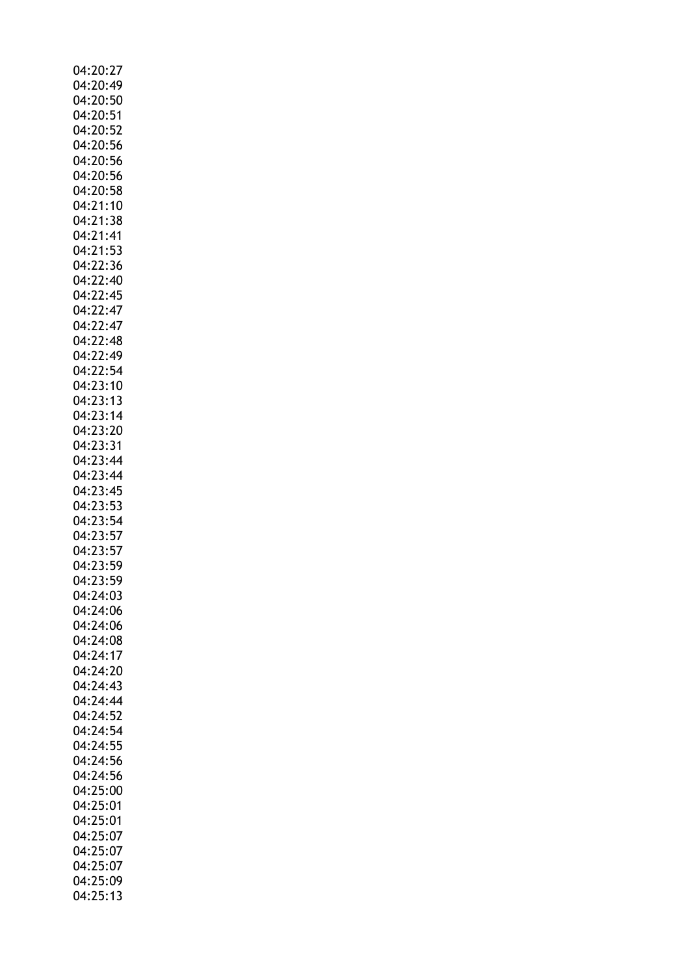| 04:20:27             |
|----------------------|
| 04:20:49             |
| 04:20:50             |
|                      |
| 04:20:51             |
| 04:20:52             |
| 04:20:56             |
| 04:20:56             |
| 04:20:56             |
| 04:20:58             |
| 04:21:10             |
| 04:21:38             |
| 04:21:41             |
| 04:21:53             |
|                      |
| 04:22:36             |
| 04:22:40             |
| 04:22:45             |
| 04:22:47             |
| 04:22:47             |
| 04:22:48             |
| 04:22:49             |
| 04:22:54             |
|                      |
| 04:23:10<br>04:23:13 |
|                      |
| 04:23:14             |
| 04:23:20             |
| 04:23:31             |
| 04:23:44             |
| 04:23:44             |
| 04:23:45             |
| 04:23:53             |
| 04:23:54             |
| 04:23:57             |
| 04:23:57             |
|                      |
| 04:23:59             |
| 04:23:59             |
| 04:24:03             |
| 04:24:06             |
| 04:24:06             |
| 04:24:08             |
| 04:24:17             |
| 04:24:20             |
| 04:24:43             |
| 04:24:44             |
| 04:24:52             |
|                      |
| 04:24:54             |
| 04:24:55             |
| 04:24:56             |
| 04:24:56             |
| 04:25:00             |
| 04:25:01             |
| 04:25:01             |
| 04:25:07             |
| 04:25:07             |
| 04:25:07             |
|                      |
| 04:25:09             |
| 04:25:13             |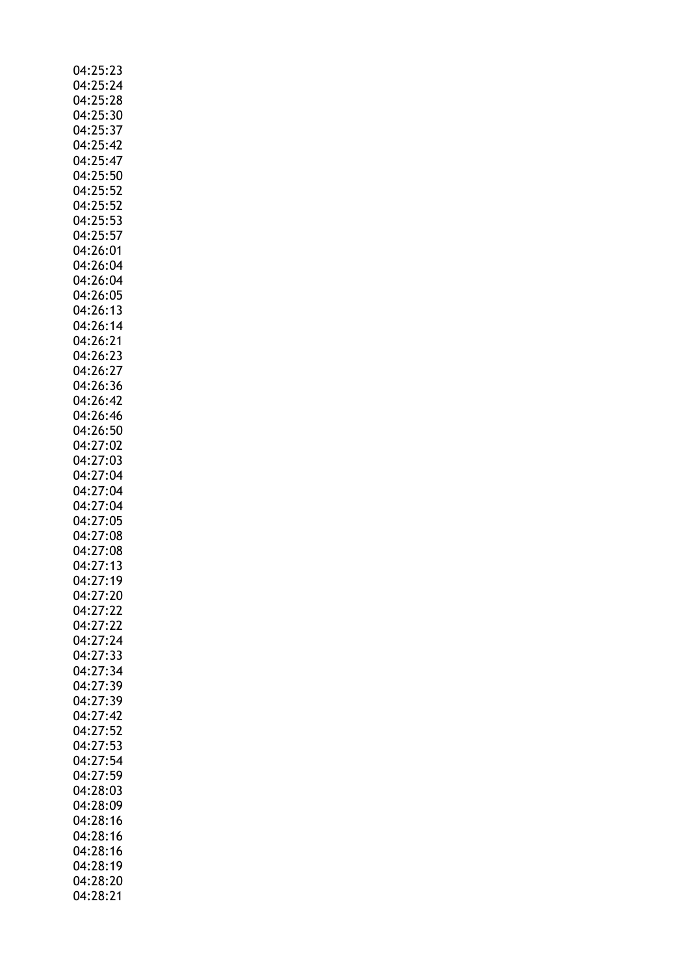| 04:25:23 |
|----------|
| 04:25:24 |
| 04:25:28 |
| 04:25:30 |
|          |
| 04:25:37 |
| 04:25:42 |
| 04:25:47 |
|          |
| 04:25:50 |
| 04:25:52 |
| 04:25:52 |
| 04:25:53 |
|          |
| 04:25:57 |
| 04:26:01 |
| 04:26:04 |
| 04:26:04 |
|          |
| 04:26:05 |
| 04:26:13 |
| 04:26:14 |
| 04:26:21 |
|          |
| 04:26:23 |
| 04:26:27 |
| 04:26:36 |
|          |
| 04:26:42 |
| 04:26:46 |
| 04:26:50 |
|          |
| 04:27:02 |
| 04:27:03 |
| 04:27:04 |
| 04:27:04 |
|          |
| 04:27:04 |
| 04:27:05 |
| 04:27:08 |
|          |
| 04:27:08 |
| 04:27:13 |
| 04:27:19 |
| 04:27:20 |
|          |
| 04:27:22 |
| 04:27:22 |
| 04:27:24 |
|          |
| 04:27:33 |
| 04:27:34 |
| 04:27:39 |
| 04:27:39 |
|          |
| 04:27:42 |
| 04:27:52 |
| 04:27:53 |
|          |
| 04:27:54 |
| 04:27:59 |
| 04:28:03 |
| 04:28:09 |
|          |
| 04:28:16 |
| 04:28:16 |
| 04:28:16 |
| 04:28:19 |
|          |
| 04:28:20 |
| 04:28:21 |
|          |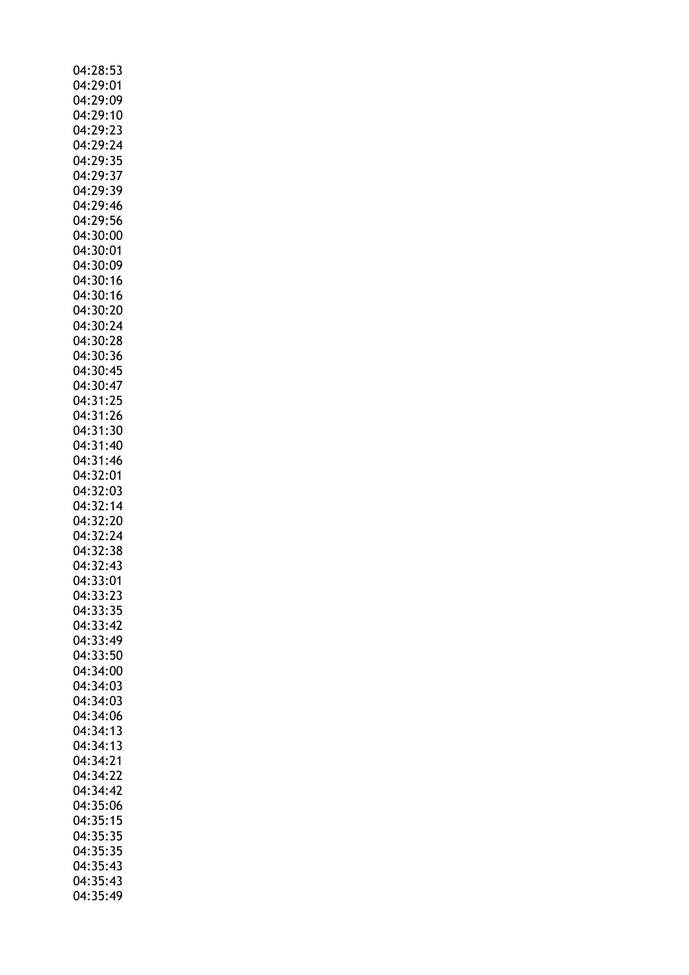| 04:28:53 |
|----------|
| 04:29:01 |
| 04:29:09 |
| 04:29:10 |
|          |
| 04:29:23 |
| 04:29:24 |
| 04:29:35 |
| 04:29:37 |
| 04:29:39 |
| 04:29:46 |
| 04:29:56 |
| 04:30:00 |
| 04:30:01 |
| 04:30:09 |
|          |
| 04:30:16 |
| 04:30:16 |
| 04:30:20 |
| 04:30:24 |
| 04:30:28 |
| 04:30:36 |
| 04:30:45 |
| 04:30:47 |
| 04:31:25 |
| 04:31:26 |
|          |
| 04:31:30 |
| 04:31:40 |
| 04:31:46 |
| 04:32:01 |
| 04:32:03 |
| 04:32:14 |
| 04:32:20 |
| 04:32:24 |
| 04:32:38 |
| 04:32:43 |
|          |
| 04:33:01 |
| 04:33:23 |
| 04:33:35 |
| 04:33:42 |
| 04:33:49 |
| 04:33:50 |
| 04:34:00 |
| 04:34:03 |
| 04:34:03 |
| 04:34:06 |
| 04:34:13 |
|          |
| 04:34:13 |
| 04:34:21 |
| 04:34:22 |
| 04:34:42 |
| 04:35:06 |
| 04:35:15 |
| 04:35:35 |
| 04:35:35 |
| 04:35:43 |
| 04:35:43 |
| 04:35:49 |
|          |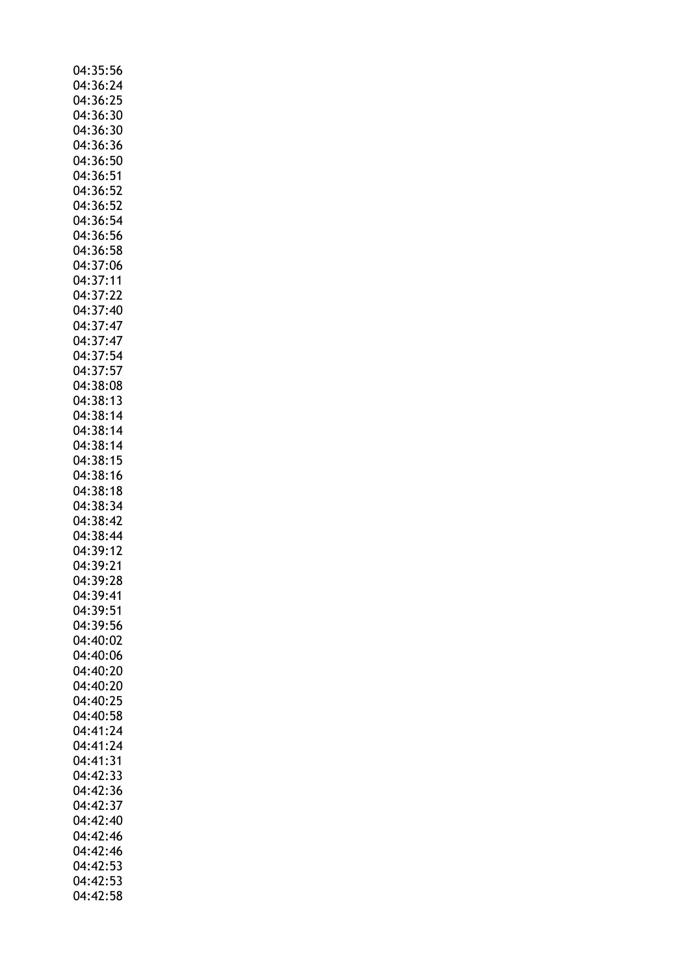| 04:35:56             |  |
|----------------------|--|
| 04:36:24             |  |
|                      |  |
| 04:36:25             |  |
| 04:36:30             |  |
|                      |  |
| 04:36:30             |  |
| 04:36:36             |  |
|                      |  |
| 04:36:50             |  |
| 04:36:51             |  |
| 04:36:52             |  |
|                      |  |
| 04:36:52             |  |
| 04:36:54             |  |
|                      |  |
| 04:36:56             |  |
| 04:36:58             |  |
|                      |  |
| 04:37:06             |  |
| 04:37:11             |  |
| 04:37:22             |  |
|                      |  |
| 04:37:40             |  |
| 04:37:47             |  |
|                      |  |
| 04:37:47             |  |
| 04:37:54             |  |
|                      |  |
| 04:37:57             |  |
| 04:38:08             |  |
|                      |  |
| 04:38:13             |  |
| 04:38:14             |  |
|                      |  |
| 04:38:14             |  |
| 04:38:14             |  |
| 04:38:15             |  |
|                      |  |
| 04:38:16             |  |
| 04:38:18             |  |
|                      |  |
|                      |  |
| 04:38:34             |  |
|                      |  |
| 04:38:42             |  |
| 04:38:44             |  |
|                      |  |
| 04:39:12             |  |
| 04:39:21             |  |
|                      |  |
| 04:39:28             |  |
| 04:39:41             |  |
| 04:39:51             |  |
|                      |  |
| 04:39:56             |  |
| 04:40:02             |  |
|                      |  |
| 04:40:06             |  |
| 04:40:20             |  |
|                      |  |
| 04:40:20             |  |
| 04:40:25             |  |
| 04:40:58             |  |
|                      |  |
| 04:41:24             |  |
| 04:41:24             |  |
|                      |  |
| 04:41:31             |  |
| 04:42:33             |  |
|                      |  |
| 04:42:36             |  |
| 04:42:37             |  |
| 04:42:40             |  |
|                      |  |
| 04:42:46             |  |
| 04:42:46             |  |
|                      |  |
| 04:42:53             |  |
| 04:42:53<br>04:42:58 |  |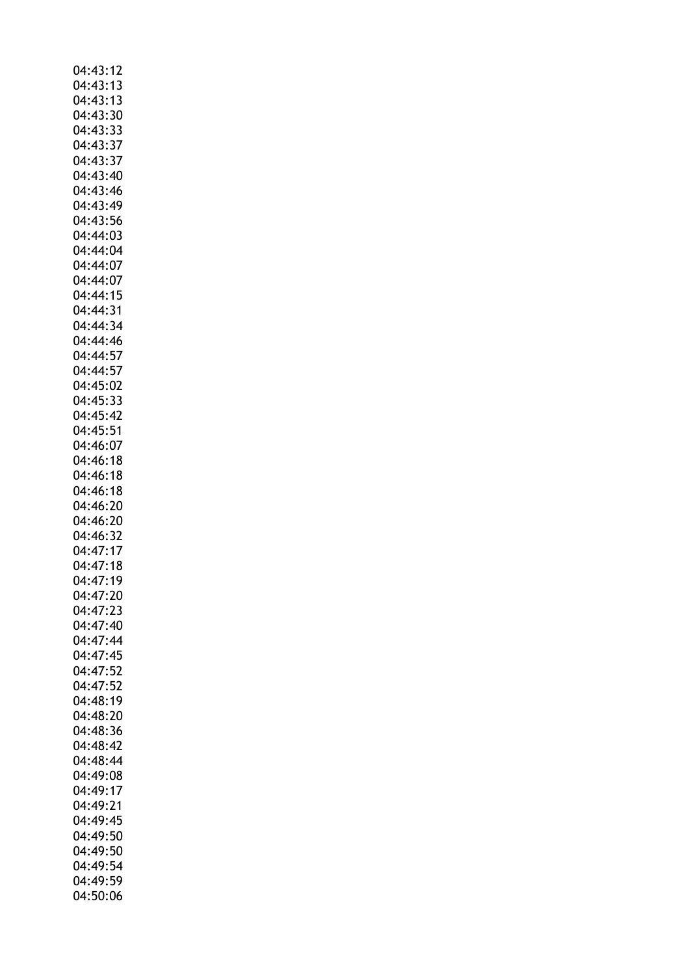| 04:43:12 |
|----------|
| 04:43:13 |
| 04:43:13 |
|          |
| 04:43:30 |
| 04:43:33 |
| 04:43:37 |
| 04:43:37 |
|          |
| 04:43:40 |
| 04:43:46 |
| 04:43:49 |
| 04:43:56 |
|          |
| 04:44:03 |
| 04:44:04 |
| 04:44:07 |
| 04:44:07 |
|          |
| 04:44:15 |
| 04:44:31 |
| 04:44:34 |
| 04:44:46 |
|          |
| 04:44:57 |
| 04:44:57 |
| 04:45:02 |
|          |
| 04:45:33 |
| 04:45:42 |
| 04:45:51 |
| 04:46:07 |
|          |
| 04:46:18 |
| 04:46:18 |
| 04:46:18 |
| 04:46:20 |
|          |
| 04:46:20 |
| 04:46:32 |
| 04:47:17 |
|          |
| 04:47:18 |
| 04:47:19 |
| 04:47:20 |
| 04:47:23 |
|          |
| 04:47:40 |
| 04:47:44 |
| 04:47:45 |
| 04:47:52 |
|          |
| 04:47:52 |
| 04:48:19 |
| 04:48:20 |
| 04:48:36 |
|          |
| 04:48:42 |
| 04:48:44 |
| 04:49:08 |
| 04:49:17 |
|          |
|          |
| 04:49:21 |
| 04:49:45 |
|          |
| 04:49:50 |
| 04:49:50 |
| 04:49:54 |
| 04:49:59 |
| 04:50:06 |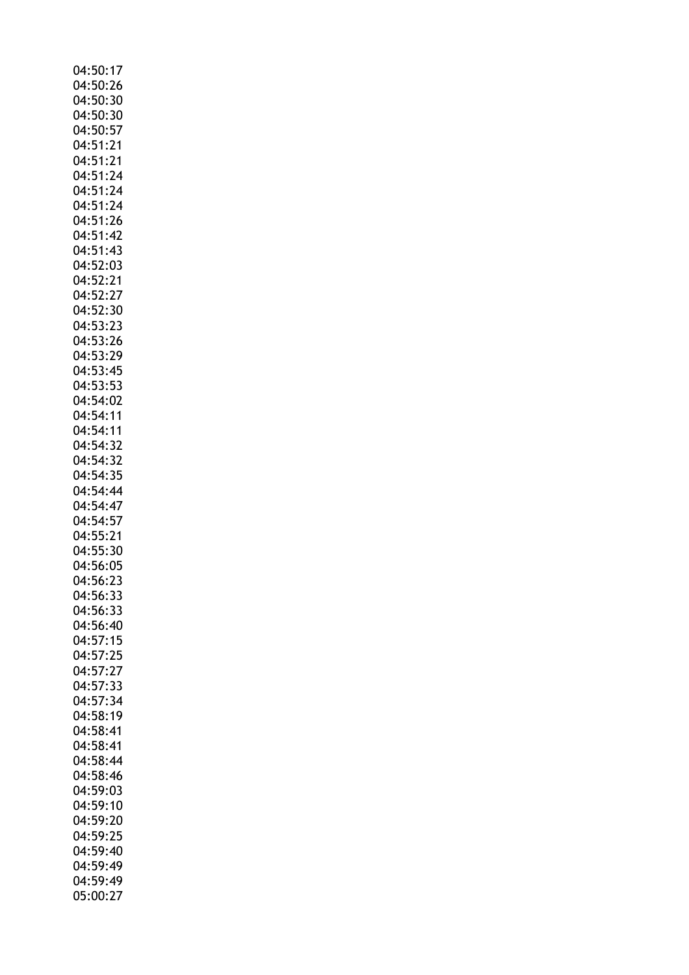| 04:50:17             |
|----------------------|
|                      |
| 04:50:26             |
| 04:50:30             |
| 04:50:30             |
| 04:50:57             |
|                      |
| 04:51:21             |
| 04:51:21             |
| 04:51:24             |
| 04:51:24             |
|                      |
| 04:51:24             |
| 04:51:26             |
| 04:51:42             |
| 04:51:43             |
|                      |
| 04:52:03             |
| 04:52:21             |
| 04:52:27             |
| 04:52:30             |
|                      |
| 04:53:23             |
| 04:53:26             |
| 04:53:29             |
| 04:53:45             |
|                      |
| 04:53:53             |
| 04:54:02             |
| 04:54:11             |
| 04:54:11             |
|                      |
| 04:54:32             |
| 04:54:32             |
| 04:54:35             |
| 04:54:44             |
|                      |
| 04:54:47             |
| 04:54:57             |
| 04:55:21             |
| 04:55:30             |
|                      |
| 04:56:05             |
|                      |
|                      |
| 04:56:23             |
| 04:56:33             |
| 04:56:33             |
| 04:56:40             |
| 04:57:15             |
|                      |
| 04:57:25             |
| 04:57:27             |
| 04:57:33             |
| 04:57:34             |
| 04:58:19             |
|                      |
| 04:58:41             |
| 04:58:41             |
| 04:58:44             |
| 04:58:46             |
| 04:59:03             |
|                      |
| 04:59:10             |
| 04:59:20             |
| 04:59:25             |
| 04:59:40             |
|                      |
| 04:59:49             |
| 04:59:49<br>05:00:27 |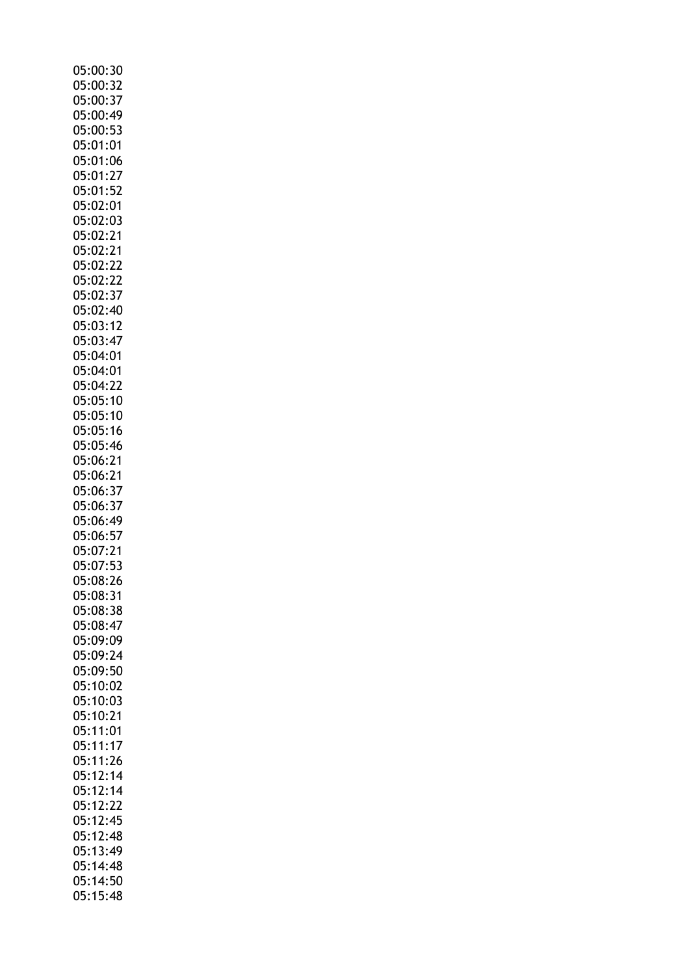| 05:00:30             |
|----------------------|
| 05:00:32             |
| 05:00:37             |
| 05:00:49             |
| 05:00:53             |
| 05:01:01             |
| 05:01:06             |
| 05:01:27             |
| 05:01:52             |
| 05:02:01             |
|                      |
| 05:02:03<br>05:02:21 |
| 05:02:21             |
| 05:02:22             |
| 05:02:22             |
| 05:02:37             |
|                      |
| 05:02:40             |
| 05:03:12             |
| 05:03:47             |
| 05:04:01             |
| 05:04:01             |
| 05:04:22             |
| 05:05:10             |
| 05:05:10<br>05:05:10 |
| 05:05:16             |
| 05:05:46             |
| 05:06:21             |
| 05:06:21             |
| 05:06:37             |
| 05:06:37             |
| 05:06:49             |
| 05:06:57             |
| 05:07:21             |
| 05:07:53             |
| 05:08:26             |
| 05:08:31             |
| 05:08:38             |
| 05:08:47             |
| 05:09:09             |
| 05:09:24             |
| 05:09:50             |
| 05:10:02             |
| 05:10:03             |
| 05:10:21             |
| 05:11:01             |
| 05:11:17             |
| 05:11:26             |
| 05:12:14             |
| 05:12:14             |
| 05:12:22             |
| 05:12:45             |
| 05:12:48             |
| 05:13:49             |
| 05:14:48             |
| 05:14:50             |
| 05:15:48             |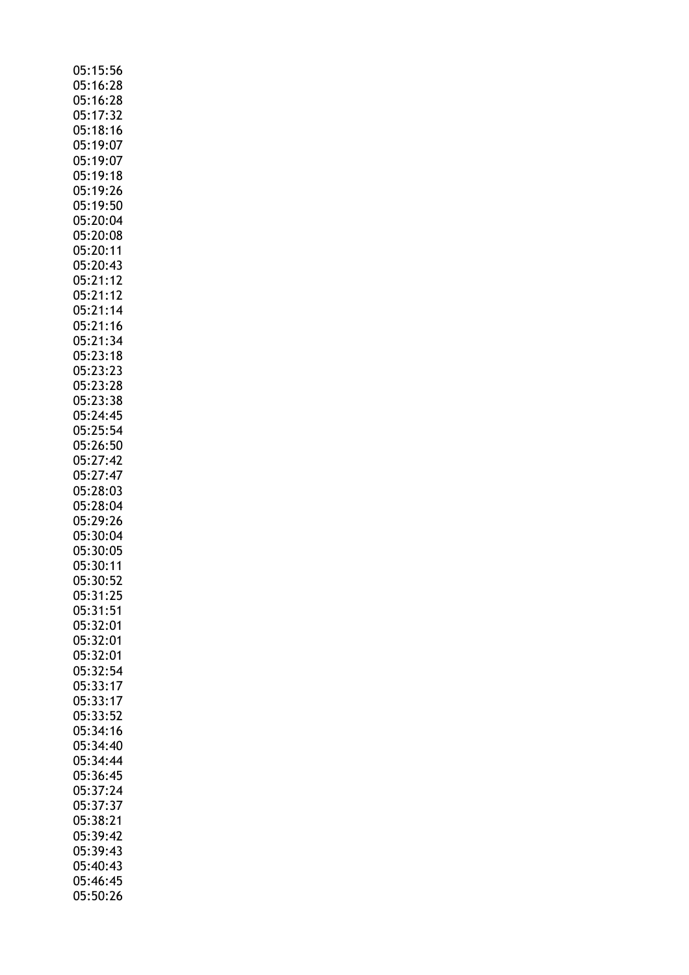| 05:15:56             |
|----------------------|
|                      |
| 05:16:28             |
| 05:16:28             |
| 05:17:32             |
|                      |
| 05:18:16             |
| 05:19:07             |
| 05:19:07             |
| 05:19:18             |
| 05:19:26             |
|                      |
| 05:19:50             |
| 05:20:04             |
| 05:20:08             |
| 05:20:11             |
|                      |
| 05:20:43             |
| 05:21:12             |
| 05:21:12             |
| 05:21:14             |
|                      |
| 05:21:16             |
| 05:21:34             |
| 05:23:18             |
| 05:23:23             |
| 05:23:28             |
|                      |
| 05:23:38             |
| 05:24:45             |
| 05:25:54             |
| 05:26:50             |
|                      |
| 05:27:42             |
| 05:27:47             |
| 05:28:03             |
|                      |
|                      |
| 05:28:04             |
| 05:29:26             |
| 05:30:04             |
|                      |
| 05:30:05             |
| 05:30:11             |
| 05:30:52             |
| 05:31:25             |
| 05:31:51             |
| 05:32:01             |
|                      |
| 05:32:01             |
| 05:32:01             |
|                      |
| 05:32:54             |
| 05:33:17             |
| 05:33:17             |
| 05:33:52             |
| 05:34:16             |
| 05:34:40             |
|                      |
| 05:34:44             |
| 05:36:45             |
| 05:37:24             |
| 05:37:37             |
| 05:38:21             |
|                      |
| 05:39:42             |
| 05:39:43             |
| 05:40:43             |
| 05:46:45<br>05:50:26 |